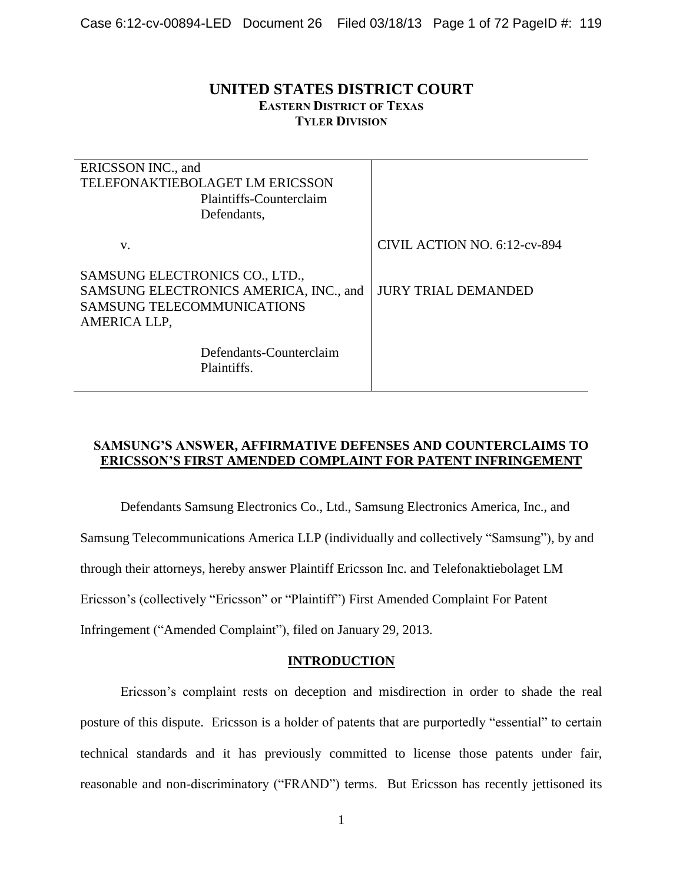# **UNITED STATES DISTRICT COURT EASTERN DISTRICT OF TEXAS TYLER DIVISION**

| ERICSSON INC., and                     |                              |
|----------------------------------------|------------------------------|
| TELEFONAKTIEBOLAGET LM ERICSSON        |                              |
| Plaintiffs-Counterclaim                |                              |
| Defendants,                            |                              |
|                                        |                              |
| V.                                     | CIVIL ACTION NO. 6:12-cv-894 |
|                                        |                              |
| SAMSUNG ELECTRONICS CO., LTD.,         |                              |
| SAMSUNG ELECTRONICS AMERICA, INC., and | <b>JURY TRIAL DEMANDED</b>   |
| <b>SAMSUNG TELECOMMUNICATIONS</b>      |                              |
| AMERICA LLP,                           |                              |
|                                        |                              |
| Defendants-Counterclaim                |                              |
| Plaintiffs.                            |                              |
|                                        |                              |

# **SAMSUNG'S ANSWER, AFFIRMATIVE DEFENSES AND COUNTERCLAIMS TO ERICSSON'S FIRST AMENDED COMPLAINT FOR PATENT INFRINGEMENT**

Defendants Samsung Electronics Co., Ltd., Samsung Electronics America, Inc., and Samsung Telecommunications America LLP (individually and collectively "Samsung"), by and through their attorneys, hereby answer Plaintiff Ericsson Inc. and Telefonaktiebolaget LM Ericsson's (collectively "Ericsson" or "Plaintiff") First Amended Complaint For Patent Infringement ("Amended Complaint"), filed on January 29, 2013.

### **INTRODUCTION**

Ericsson's complaint rests on deception and misdirection in order to shade the real posture of this dispute. Ericsson is a holder of patents that are purportedly "essential" to certain technical standards and it has previously committed to license those patents under fair, reasonable and non-discriminatory ("FRAND") terms. But Ericsson has recently jettisoned its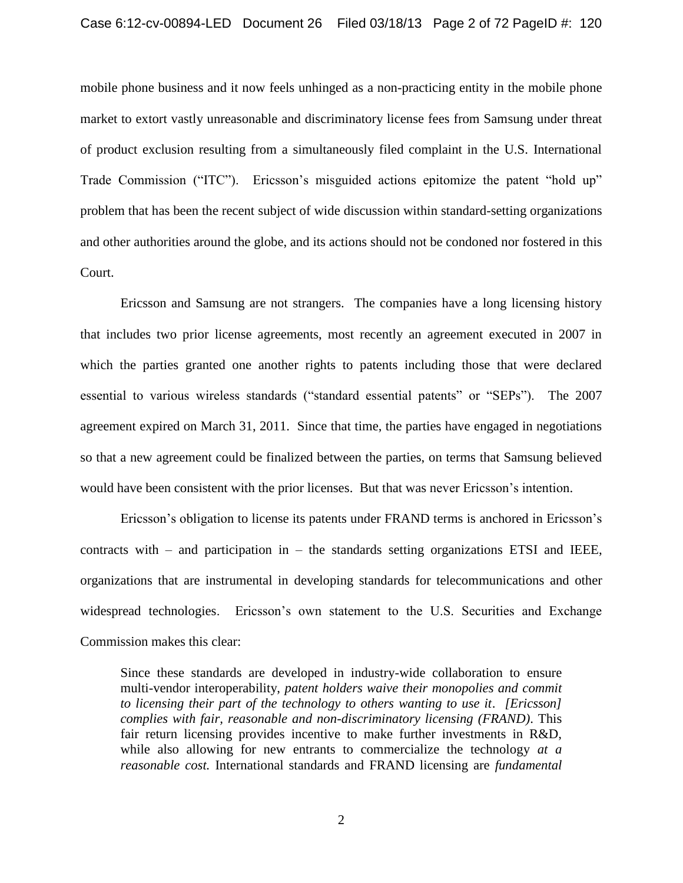mobile phone business and it now feels unhinged as a non-practicing entity in the mobile phone market to extort vastly unreasonable and discriminatory license fees from Samsung under threat of product exclusion resulting from a simultaneously filed complaint in the U.S. International Trade Commission ("ITC"). Ericsson's misguided actions epitomize the patent "hold up" problem that has been the recent subject of wide discussion within standard-setting organizations and other authorities around the globe, and its actions should not be condoned nor fostered in this Court.

Ericsson and Samsung are not strangers. The companies have a long licensing history that includes two prior license agreements, most recently an agreement executed in 2007 in which the parties granted one another rights to patents including those that were declared essential to various wireless standards ("standard essential patents" or "SEPs"). The 2007 agreement expired on March 31, 2011. Since that time, the parties have engaged in negotiations so that a new agreement could be finalized between the parties, on terms that Samsung believed would have been consistent with the prior licenses. But that was never Ericsson's intention.

Ericsson's obligation to license its patents under FRAND terms is anchored in Ericsson's contracts with  $-$  and participation in  $-$  the standards setting organizations ETSI and IEEE, organizations that are instrumental in developing standards for telecommunications and other widespread technologies. Ericsson's own statement to the U.S. Securities and Exchange Commission makes this clear:

Since these standards are developed in industry-wide collaboration to ensure multi-vendor interoperability, *patent holders waive their monopolies and commit to licensing their part of the technology to others wanting to use it*. *[Ericsson] complies with fair, reasonable and non-discriminatory licensing (FRAND)*. This fair return licensing provides incentive to make further investments in R&D, while also allowing for new entrants to commercialize the technology *at a reasonable cost.* International standards and FRAND licensing are *fundamental*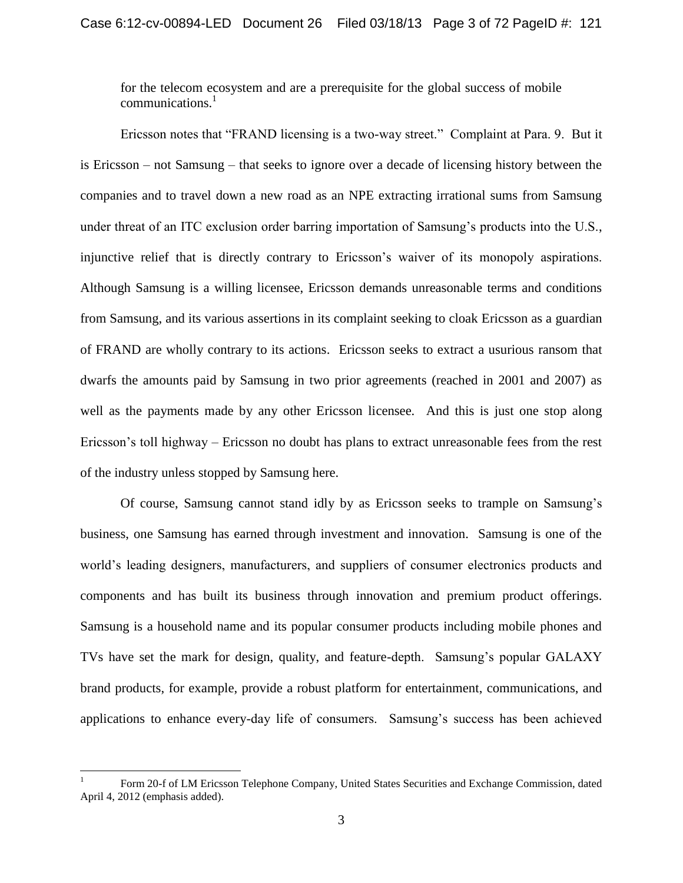for the telecom ecosystem and are a prerequisite for the global success of mobile communications. $<sup>1</sup>$ </sup>

Ericsson notes that "FRAND licensing is a two-way street." Complaint at Para. 9. But it is Ericsson – not Samsung – that seeks to ignore over a decade of licensing history between the companies and to travel down a new road as an NPE extracting irrational sums from Samsung under threat of an ITC exclusion order barring importation of Samsung's products into the U.S., injunctive relief that is directly contrary to Ericsson's waiver of its monopoly aspirations. Although Samsung is a willing licensee, Ericsson demands unreasonable terms and conditions from Samsung, and its various assertions in its complaint seeking to cloak Ericsson as a guardian of FRAND are wholly contrary to its actions. Ericsson seeks to extract a usurious ransom that dwarfs the amounts paid by Samsung in two prior agreements (reached in 2001 and 2007) as well as the payments made by any other Ericsson licensee. And this is just one stop along Ericsson's toll highway – Ericsson no doubt has plans to extract unreasonable fees from the rest of the industry unless stopped by Samsung here.

Of course, Samsung cannot stand idly by as Ericsson seeks to trample on Samsung's business, one Samsung has earned through investment and innovation. Samsung is one of the world's leading designers, manufacturers, and suppliers of consumer electronics products and components and has built its business through innovation and premium product offerings. Samsung is a household name and its popular consumer products including mobile phones and TVs have set the mark for design, quality, and feature-depth. Samsung's popular GALAXY brand products, for example, provide a robust platform for entertainment, communications, and applications to enhance every-day life of consumers. Samsung's success has been achieved

 $\overline{a}$ 

<sup>1</sup> Form 20-f of LM Ericsson Telephone Company, United States Securities and Exchange Commission, dated April 4, 2012 (emphasis added).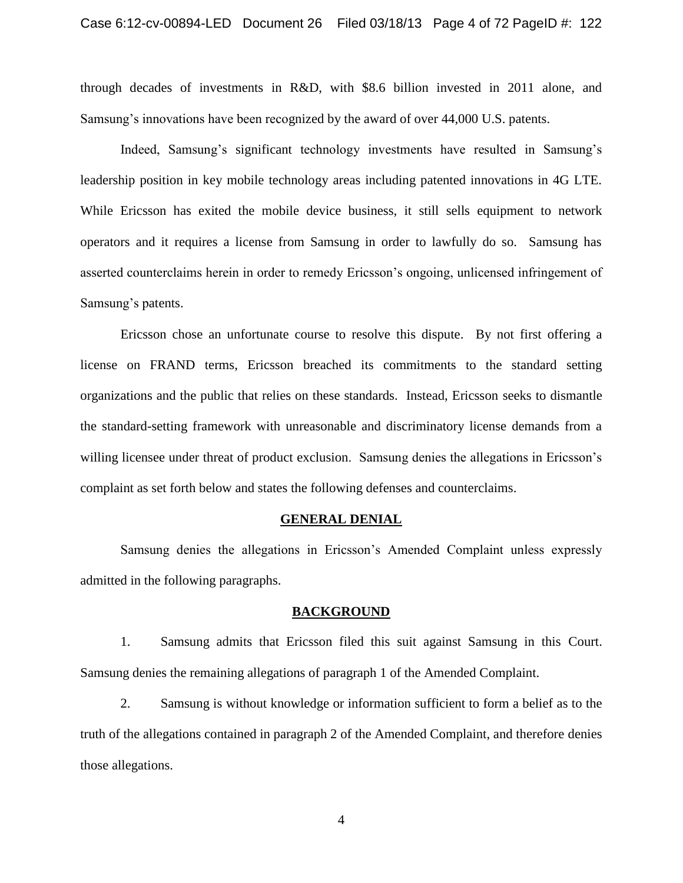through decades of investments in R&D, with \$8.6 billion invested in 2011 alone, and Samsung's innovations have been recognized by the award of over 44,000 U.S. patents.

Indeed, Samsung's significant technology investments have resulted in Samsung's leadership position in key mobile technology areas including patented innovations in 4G LTE. While Ericsson has exited the mobile device business, it still sells equipment to network operators and it requires a license from Samsung in order to lawfully do so. Samsung has asserted counterclaims herein in order to remedy Ericsson's ongoing, unlicensed infringement of Samsung's patents.

Ericsson chose an unfortunate course to resolve this dispute. By not first offering a license on FRAND terms, Ericsson breached its commitments to the standard setting organizations and the public that relies on these standards. Instead, Ericsson seeks to dismantle the standard-setting framework with unreasonable and discriminatory license demands from a willing licensee under threat of product exclusion. Samsung denies the allegations in Ericsson's complaint as set forth below and states the following defenses and counterclaims.

#### **GENERAL DENIAL**

Samsung denies the allegations in Ericsson's Amended Complaint unless expressly admitted in the following paragraphs.

#### **BACKGROUND**

1. Samsung admits that Ericsson filed this suit against Samsung in this Court. Samsung denies the remaining allegations of paragraph 1 of the Amended Complaint.

2. Samsung is without knowledge or information sufficient to form a belief as to the truth of the allegations contained in paragraph 2 of the Amended Complaint, and therefore denies those allegations.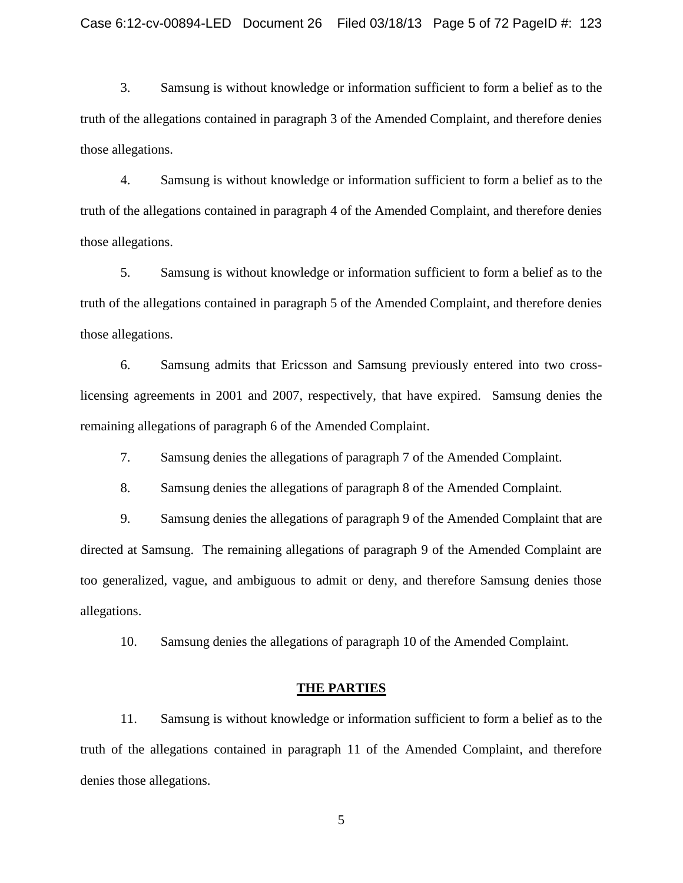3. Samsung is without knowledge or information sufficient to form a belief as to the truth of the allegations contained in paragraph 3 of the Amended Complaint, and therefore denies those allegations.

4. Samsung is without knowledge or information sufficient to form a belief as to the truth of the allegations contained in paragraph 4 of the Amended Complaint, and therefore denies those allegations.

5. Samsung is without knowledge or information sufficient to form a belief as to the truth of the allegations contained in paragraph 5 of the Amended Complaint, and therefore denies those allegations.

6. Samsung admits that Ericsson and Samsung previously entered into two crosslicensing agreements in 2001 and 2007, respectively, that have expired. Samsung denies the remaining allegations of paragraph 6 of the Amended Complaint.

7. Samsung denies the allegations of paragraph 7 of the Amended Complaint.

8. Samsung denies the allegations of paragraph 8 of the Amended Complaint.

9. Samsung denies the allegations of paragraph 9 of the Amended Complaint that are directed at Samsung. The remaining allegations of paragraph 9 of the Amended Complaint are too generalized, vague, and ambiguous to admit or deny, and therefore Samsung denies those allegations.

10. Samsung denies the allegations of paragraph 10 of the Amended Complaint.

#### **THE PARTIES**

11. Samsung is without knowledge or information sufficient to form a belief as to the truth of the allegations contained in paragraph 11 of the Amended Complaint, and therefore denies those allegations.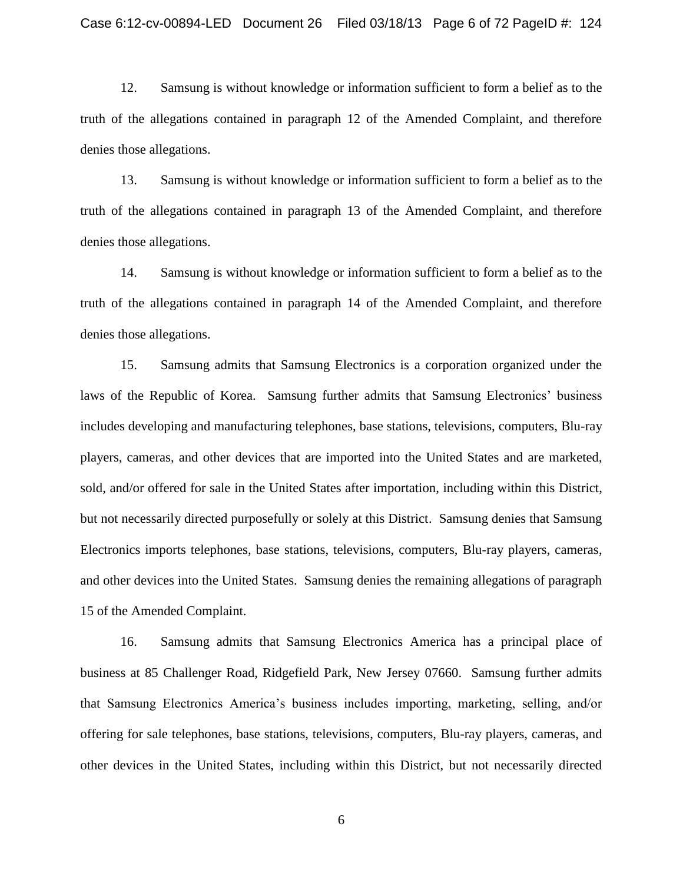12. Samsung is without knowledge or information sufficient to form a belief as to the truth of the allegations contained in paragraph 12 of the Amended Complaint, and therefore denies those allegations.

13. Samsung is without knowledge or information sufficient to form a belief as to the truth of the allegations contained in paragraph 13 of the Amended Complaint, and therefore denies those allegations.

14. Samsung is without knowledge or information sufficient to form a belief as to the truth of the allegations contained in paragraph 14 of the Amended Complaint, and therefore denies those allegations.

15. Samsung admits that Samsung Electronics is a corporation organized under the laws of the Republic of Korea. Samsung further admits that Samsung Electronics' business includes developing and manufacturing telephones, base stations, televisions, computers, Blu-ray players, cameras, and other devices that are imported into the United States and are marketed, sold, and/or offered for sale in the United States after importation, including within this District, but not necessarily directed purposefully or solely at this District. Samsung denies that Samsung Electronics imports telephones, base stations, televisions, computers, Blu-ray players, cameras, and other devices into the United States. Samsung denies the remaining allegations of paragraph 15 of the Amended Complaint.

16. Samsung admits that Samsung Electronics America has a principal place of business at 85 Challenger Road, Ridgefield Park, New Jersey 07660. Samsung further admits that Samsung Electronics America's business includes importing, marketing, selling, and/or offering for sale telephones, base stations, televisions, computers, Blu-ray players, cameras, and other devices in the United States, including within this District, but not necessarily directed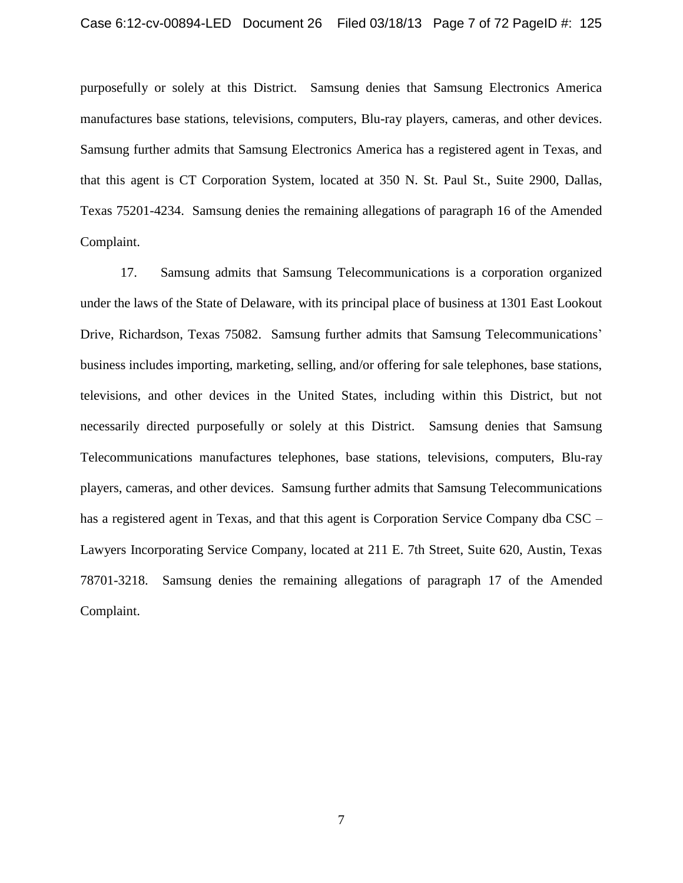purposefully or solely at this District. Samsung denies that Samsung Electronics America manufactures base stations, televisions, computers, Blu-ray players, cameras, and other devices. Samsung further admits that Samsung Electronics America has a registered agent in Texas, and that this agent is CT Corporation System, located at 350 N. St. Paul St., Suite 2900, Dallas, Texas 75201-4234. Samsung denies the remaining allegations of paragraph 16 of the Amended Complaint.

17. Samsung admits that Samsung Telecommunications is a corporation organized under the laws of the State of Delaware, with its principal place of business at 1301 East Lookout Drive, Richardson, Texas 75082. Samsung further admits that Samsung Telecommunications' business includes importing, marketing, selling, and/or offering for sale telephones, base stations, televisions, and other devices in the United States, including within this District, but not necessarily directed purposefully or solely at this District. Samsung denies that Samsung Telecommunications manufactures telephones, base stations, televisions, computers, Blu-ray players, cameras, and other devices. Samsung further admits that Samsung Telecommunications has a registered agent in Texas, and that this agent is Corporation Service Company dba CSC – Lawyers Incorporating Service Company, located at 211 E. 7th Street, Suite 620, Austin, Texas 78701-3218. Samsung denies the remaining allegations of paragraph 17 of the Amended Complaint.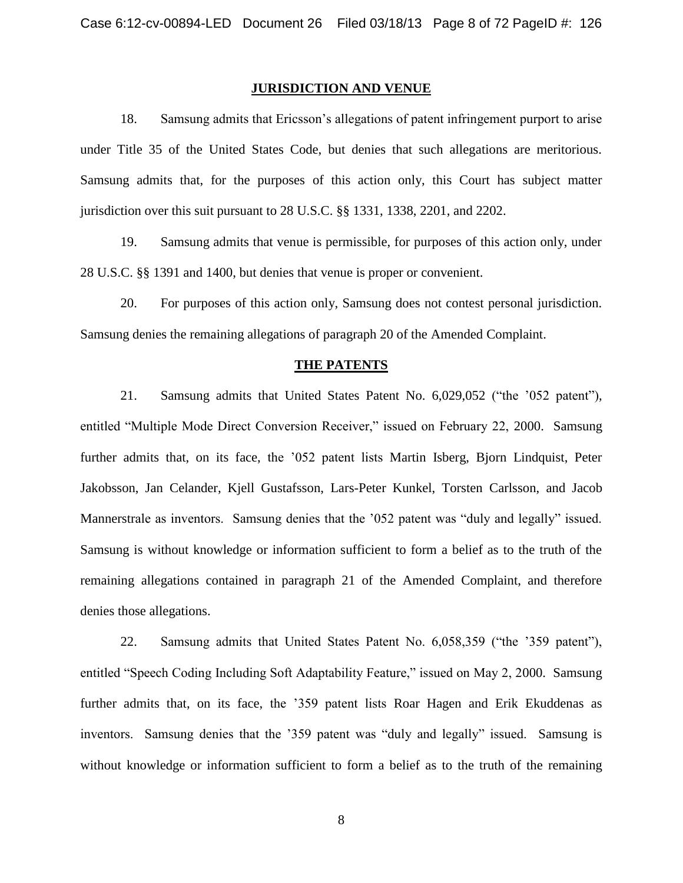#### **JURISDICTION AND VENUE**

18. Samsung admits that Ericsson's allegations of patent infringement purport to arise under Title 35 of the United States Code, but denies that such allegations are meritorious. Samsung admits that, for the purposes of this action only, this Court has subject matter jurisdiction over this suit pursuant to 28 U.S.C. §§ 1331, 1338, 2201, and 2202.

19. Samsung admits that venue is permissible, for purposes of this action only, under 28 U.S.C. §§ 1391 and 1400, but denies that venue is proper or convenient.

20. For purposes of this action only, Samsung does not contest personal jurisdiction. Samsung denies the remaining allegations of paragraph 20 of the Amended Complaint.

#### **THE PATENTS**

21. Samsung admits that United States Patent No. 6,029,052 ("the '052 patent"), entitled "Multiple Mode Direct Conversion Receiver," issued on February 22, 2000. Samsung further admits that, on its face, the '052 patent lists Martin Isberg, Bjorn Lindquist, Peter Jakobsson, Jan Celander, Kjell Gustafsson, Lars-Peter Kunkel, Torsten Carlsson, and Jacob Mannerstrale as inventors. Samsung denies that the '052 patent was "duly and legally" issued. Samsung is without knowledge or information sufficient to form a belief as to the truth of the remaining allegations contained in paragraph 21 of the Amended Complaint, and therefore denies those allegations.

22. Samsung admits that United States Patent No. 6,058,359 ("the '359 patent"), entitled "Speech Coding Including Soft Adaptability Feature," issued on May 2, 2000. Samsung further admits that, on its face, the '359 patent lists Roar Hagen and Erik Ekuddenas as inventors. Samsung denies that the '359 patent was "duly and legally" issued. Samsung is without knowledge or information sufficient to form a belief as to the truth of the remaining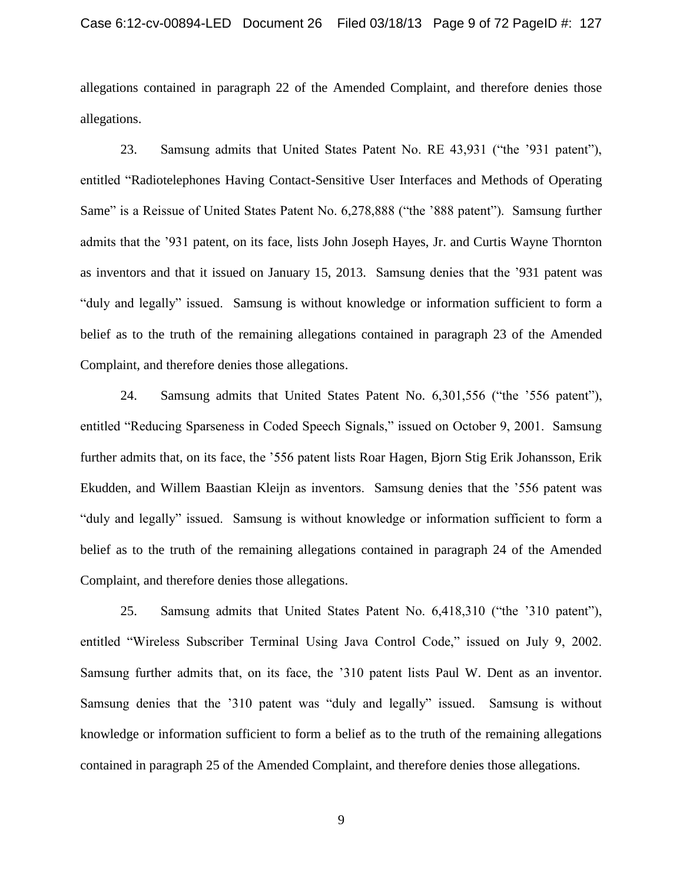allegations contained in paragraph 22 of the Amended Complaint, and therefore denies those allegations.

23. Samsung admits that United States Patent No. RE 43,931 ("the '931 patent"), entitled "Radiotelephones Having Contact-Sensitive User Interfaces and Methods of Operating Same" is a Reissue of United States Patent No. 6,278,888 ("the '888 patent"). Samsung further admits that the '931 patent, on its face, lists John Joseph Hayes, Jr. and Curtis Wayne Thornton as inventors and that it issued on January 15, 2013. Samsung denies that the '931 patent was "duly and legally" issued. Samsung is without knowledge or information sufficient to form a belief as to the truth of the remaining allegations contained in paragraph 23 of the Amended Complaint, and therefore denies those allegations.

24. Samsung admits that United States Patent No. 6,301,556 ("the '556 patent"), entitled "Reducing Sparseness in Coded Speech Signals," issued on October 9, 2001. Samsung further admits that, on its face, the '556 patent lists Roar Hagen, Bjorn Stig Erik Johansson, Erik Ekudden, and Willem Baastian Kleijn as inventors. Samsung denies that the '556 patent was "duly and legally" issued. Samsung is without knowledge or information sufficient to form a belief as to the truth of the remaining allegations contained in paragraph 24 of the Amended Complaint, and therefore denies those allegations.

25. Samsung admits that United States Patent No. 6,418,310 ("the '310 patent"), entitled "Wireless Subscriber Terminal Using Java Control Code," issued on July 9, 2002. Samsung further admits that, on its face, the '310 patent lists Paul W. Dent as an inventor. Samsung denies that the '310 patent was "duly and legally" issued. Samsung is without knowledge or information sufficient to form a belief as to the truth of the remaining allegations contained in paragraph 25 of the Amended Complaint, and therefore denies those allegations.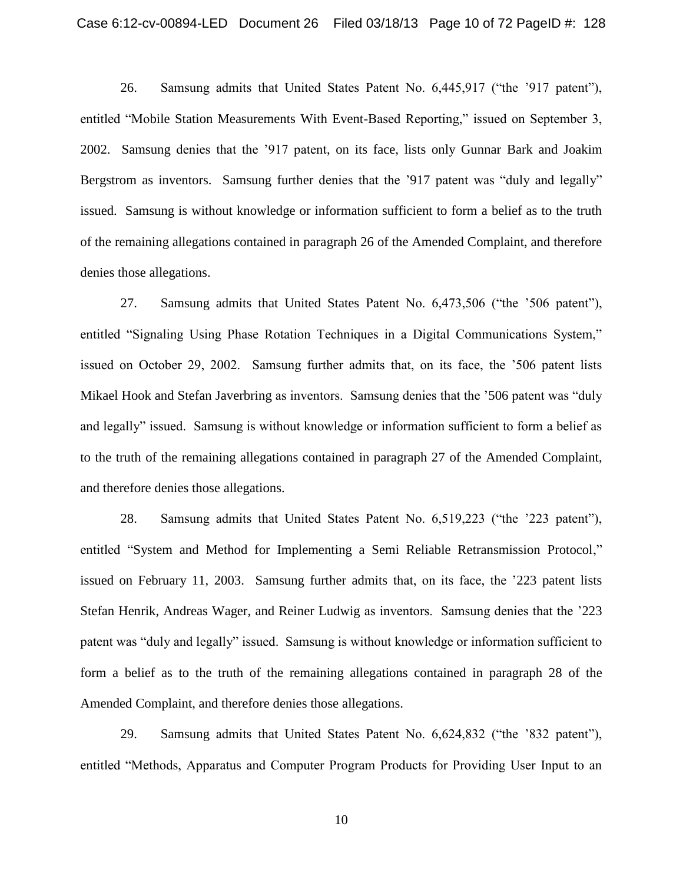26. Samsung admits that United States Patent No. 6,445,917 ("the '917 patent"), entitled "Mobile Station Measurements With Event-Based Reporting," issued on September 3, 2002. Samsung denies that the '917 patent, on its face, lists only Gunnar Bark and Joakim Bergstrom as inventors. Samsung further denies that the '917 patent was "duly and legally" issued. Samsung is without knowledge or information sufficient to form a belief as to the truth of the remaining allegations contained in paragraph 26 of the Amended Complaint, and therefore denies those allegations.

27. Samsung admits that United States Patent No.  $6,473,506$  ("the  $\frac{1}{2}$ 506 patent"), entitled "Signaling Using Phase Rotation Techniques in a Digital Communications System," issued on October 29, 2002. Samsung further admits that, on its face, the '506 patent lists Mikael Hook and Stefan Javerbring as inventors. Samsung denies that the '506 patent was "duly and legally" issued. Samsung is without knowledge or information sufficient to form a belief as to the truth of the remaining allegations contained in paragraph 27 of the Amended Complaint, and therefore denies those allegations.

28. Samsung admits that United States Patent No. 6,519,223 ("the '223 patent"), entitled "System and Method for Implementing a Semi Reliable Retransmission Protocol," issued on February 11, 2003. Samsung further admits that, on its face, the '223 patent lists Stefan Henrik, Andreas Wager, and Reiner Ludwig as inventors. Samsung denies that the '223 patent was "duly and legally" issued. Samsung is without knowledge or information sufficient to form a belief as to the truth of the remaining allegations contained in paragraph 28 of the Amended Complaint, and therefore denies those allegations.

29. Samsung admits that United States Patent No. 6,624,832 ("the '832 patent"), entitled "Methods, Apparatus and Computer Program Products for Providing User Input to an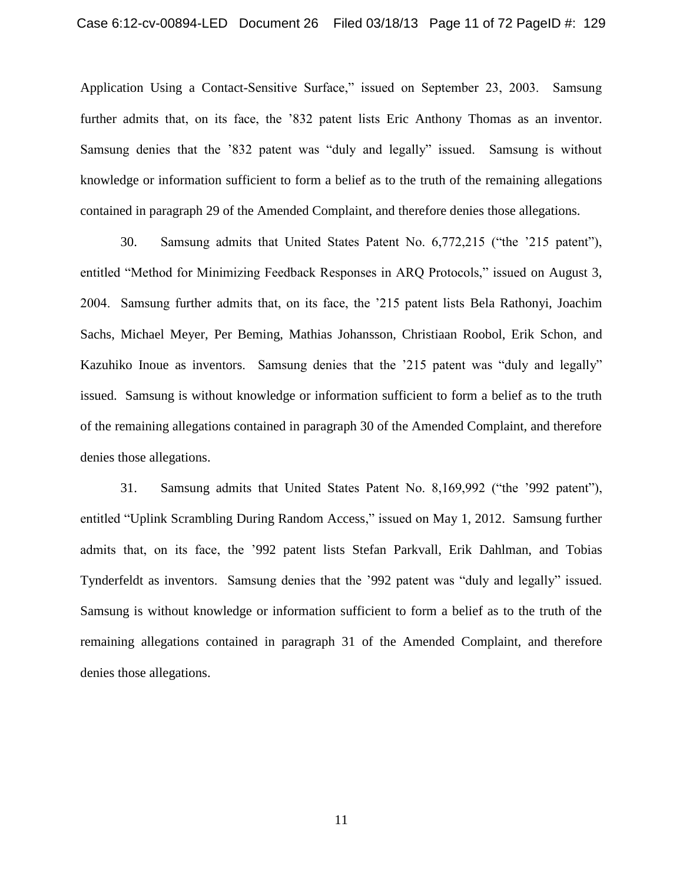Application Using a Contact-Sensitive Surface," issued on September 23, 2003. Samsung further admits that, on its face, the '832 patent lists Eric Anthony Thomas as an inventor. Samsung denies that the '832 patent was "duly and legally" issued. Samsung is without knowledge or information sufficient to form a belief as to the truth of the remaining allegations contained in paragraph 29 of the Amended Complaint, and therefore denies those allegations.

30. Samsung admits that United States Patent No. 6,772,215 ("the '215 patent"), entitled "Method for Minimizing Feedback Responses in ARQ Protocols," issued on August 3, 2004. Samsung further admits that, on its face, the '215 patent lists Bela Rathonyi, Joachim Sachs, Michael Meyer, Per Beming, Mathias Johansson, Christiaan Roobol, Erik Schon, and Kazuhiko Inoue as inventors. Samsung denies that the '215 patent was "duly and legally" issued. Samsung is without knowledge or information sufficient to form a belief as to the truth of the remaining allegations contained in paragraph 30 of the Amended Complaint, and therefore denies those allegations.

31. Samsung admits that United States Patent No. 8,169,992 ("the '992 patent"), entitled "Uplink Scrambling During Random Access," issued on May 1, 2012. Samsung further admits that, on its face, the '992 patent lists Stefan Parkvall, Erik Dahlman, and Tobias Tynderfeldt as inventors. Samsung denies that the '992 patent was "duly and legally" issued. Samsung is without knowledge or information sufficient to form a belief as to the truth of the remaining allegations contained in paragraph 31 of the Amended Complaint, and therefore denies those allegations.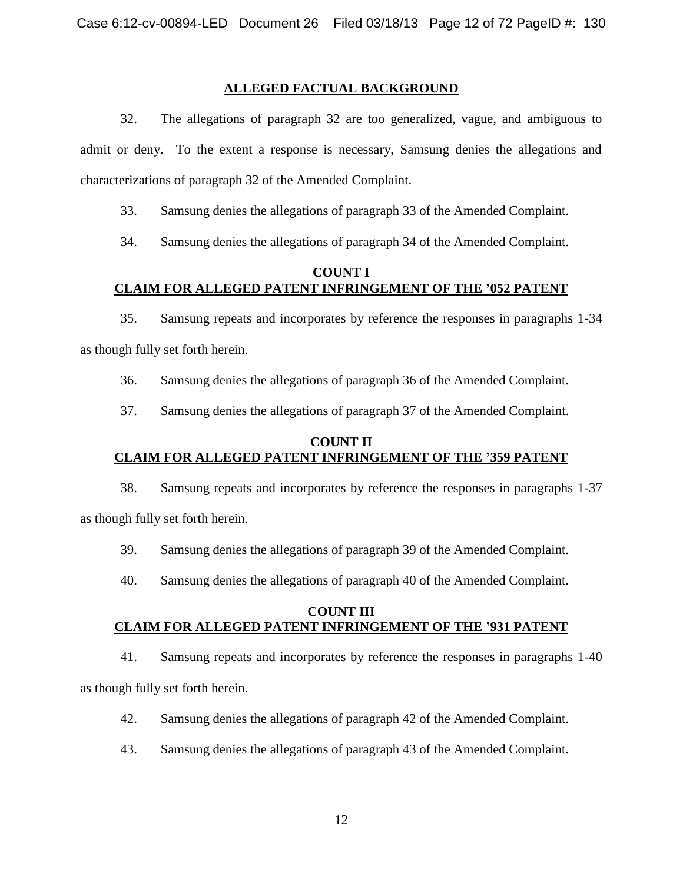## **ALLEGED FACTUAL BACKGROUND**

32. The allegations of paragraph 32 are too generalized, vague, and ambiguous to admit or deny. To the extent a response is necessary, Samsung denies the allegations and characterizations of paragraph 32 of the Amended Complaint.

33. Samsung denies the allegations of paragraph 33 of the Amended Complaint.

34. Samsung denies the allegations of paragraph 34 of the Amended Complaint.

### **COUNT I CLAIM FOR ALLEGED PATENT INFRINGEMENT OF THE '052 PATENT**

35. Samsung repeats and incorporates by reference the responses in paragraphs 1-34 as though fully set forth herein.

36. Samsung denies the allegations of paragraph 36 of the Amended Complaint.

37. Samsung denies the allegations of paragraph 37 of the Amended Complaint.

### **COUNT II CLAIM FOR ALLEGED PATENT INFRINGEMENT OF THE '359 PATENT**

38. Samsung repeats and incorporates by reference the responses in paragraphs 1-37

as though fully set forth herein.

- 39. Samsung denies the allegations of paragraph 39 of the Amended Complaint.
- 40. Samsung denies the allegations of paragraph 40 of the Amended Complaint.

## **COUNT III CLAIM FOR ALLEGED PATENT INFRINGEMENT OF THE '931 PATENT**

41. Samsung repeats and incorporates by reference the responses in paragraphs 1-40

as though fully set forth herein.

- 42. Samsung denies the allegations of paragraph 42 of the Amended Complaint.
- 43. Samsung denies the allegations of paragraph 43 of the Amended Complaint.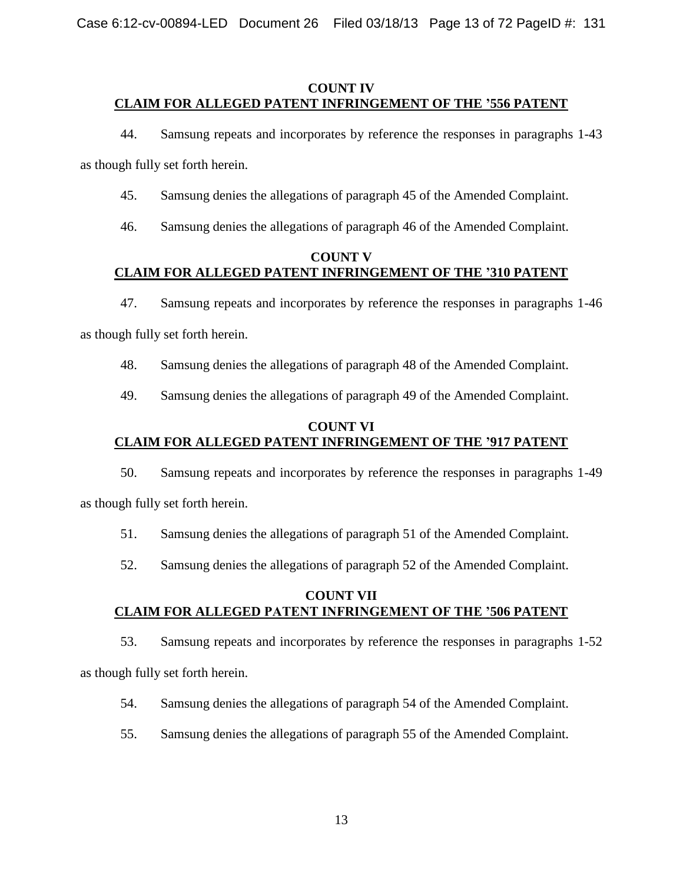## **COUNT IV CLAIM FOR ALLEGED PATENT INFRINGEMENT OF THE '556 PATENT**

44. Samsung repeats and incorporates by reference the responses in paragraphs 1-43

as though fully set forth herein.

- 45. Samsung denies the allegations of paragraph 45 of the Amended Complaint.
- 46. Samsung denies the allegations of paragraph 46 of the Amended Complaint.

# **COUNT V CLAIM FOR ALLEGED PATENT INFRINGEMENT OF THE '310 PATENT**

47. Samsung repeats and incorporates by reference the responses in paragraphs 1-46

as though fully set forth herein.

48. Samsung denies the allegations of paragraph 48 of the Amended Complaint.

49. Samsung denies the allegations of paragraph 49 of the Amended Complaint.

### **COUNT VI CLAIM FOR ALLEGED PATENT INFRINGEMENT OF THE '917 PATENT**

50. Samsung repeats and incorporates by reference the responses in paragraphs 1-49

as though fully set forth herein.

51. Samsung denies the allegations of paragraph 51 of the Amended Complaint.

52. Samsung denies the allegations of paragraph 52 of the Amended Complaint.

## **COUNT VII CLAIM FOR ALLEGED PATENT INFRINGEMENT OF THE '506 PATENT**

53. Samsung repeats and incorporates by reference the responses in paragraphs 1-52 as though fully set forth herein.

54. Samsung denies the allegations of paragraph 54 of the Amended Complaint.

55. Samsung denies the allegations of paragraph 55 of the Amended Complaint.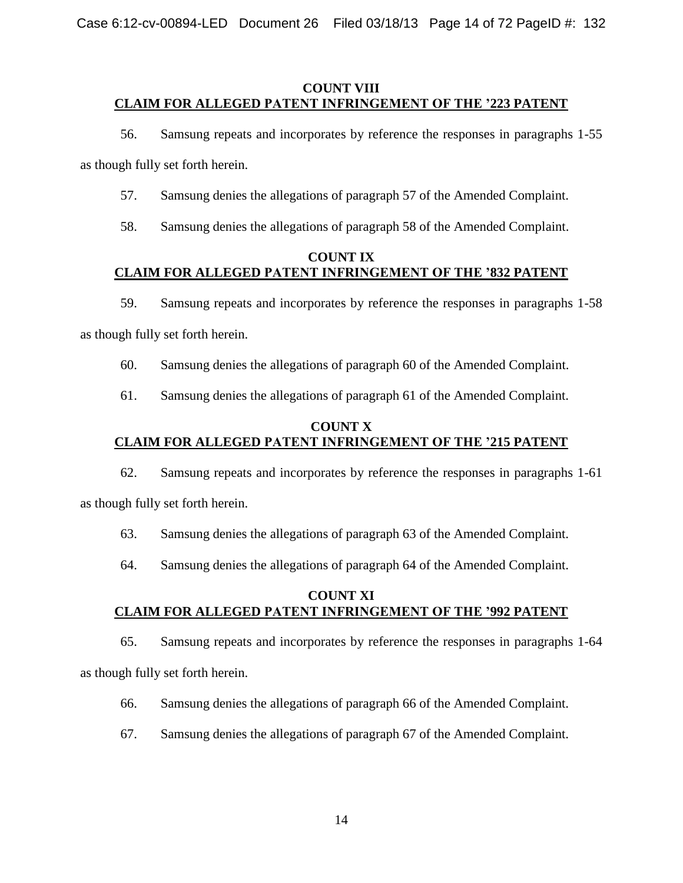## **COUNT VIII CLAIM FOR ALLEGED PATENT INFRINGEMENT OF THE '223 PATENT**

56. Samsung repeats and incorporates by reference the responses in paragraphs 1-55

as though fully set forth herein.

- 57. Samsung denies the allegations of paragraph 57 of the Amended Complaint.
- 58. Samsung denies the allegations of paragraph 58 of the Amended Complaint.

# **COUNT IX CLAIM FOR ALLEGED PATENT INFRINGEMENT OF THE '832 PATENT**

59. Samsung repeats and incorporates by reference the responses in paragraphs 1-58

as though fully set forth herein.

- 60. Samsung denies the allegations of paragraph 60 of the Amended Complaint.
- 61. Samsung denies the allegations of paragraph 61 of the Amended Complaint.

### **COUNT X CLAIM FOR ALLEGED PATENT INFRINGEMENT OF THE '215 PATENT**

62. Samsung repeats and incorporates by reference the responses in paragraphs 1-61

as though fully set forth herein.

63. Samsung denies the allegations of paragraph 63 of the Amended Complaint.

64. Samsung denies the allegations of paragraph 64 of the Amended Complaint.

## **COUNT XI CLAIM FOR ALLEGED PATENT INFRINGEMENT OF THE '992 PATENT**

65. Samsung repeats and incorporates by reference the responses in paragraphs 1-64 as though fully set forth herein.

- 66. Samsung denies the allegations of paragraph 66 of the Amended Complaint.
- 67. Samsung denies the allegations of paragraph 67 of the Amended Complaint.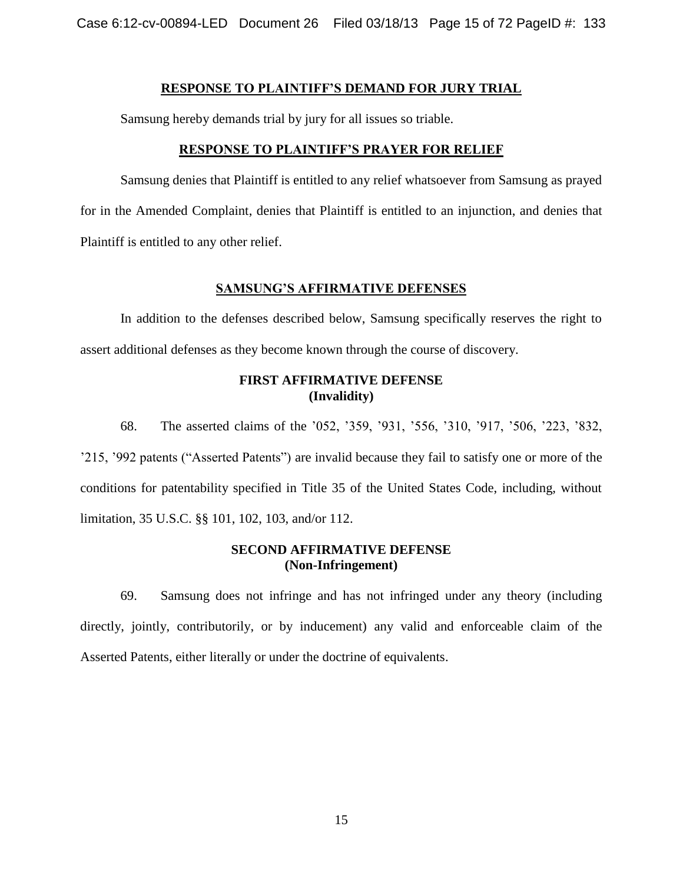Case 6:12-cv-00894-LED Document 26 Filed 03/18/13 Page 15 of 72 PageID #: 133

#### **RESPONSE TO PLAINTIFF'S DEMAND FOR JURY TRIAL**

Samsung hereby demands trial by jury for all issues so triable.

#### **RESPONSE TO PLAINTIFF'S PRAYER FOR RELIEF**

Samsung denies that Plaintiff is entitled to any relief whatsoever from Samsung as prayed for in the Amended Complaint, denies that Plaintiff is entitled to an injunction, and denies that Plaintiff is entitled to any other relief.

#### **SAMSUNG'S AFFIRMATIVE DEFENSES**

In addition to the defenses described below, Samsung specifically reserves the right to assert additional defenses as they become known through the course of discovery.

### **FIRST AFFIRMATIVE DEFENSE (Invalidity)**

68. The asserted claims of the '052, '359, '931, '556, '310, '917, '506, '223, '832, '215, '992 patents ("Asserted Patents") are invalid because they fail to satisfy one or more of the conditions for patentability specified in Title 35 of the United States Code, including, without limitation, 35 U.S.C. §§ 101, 102, 103, and/or 112.

#### **SECOND AFFIRMATIVE DEFENSE (Non-Infringement)**

69. Samsung does not infringe and has not infringed under any theory (including directly, jointly, contributorily, or by inducement) any valid and enforceable claim of the Asserted Patents, either literally or under the doctrine of equivalents.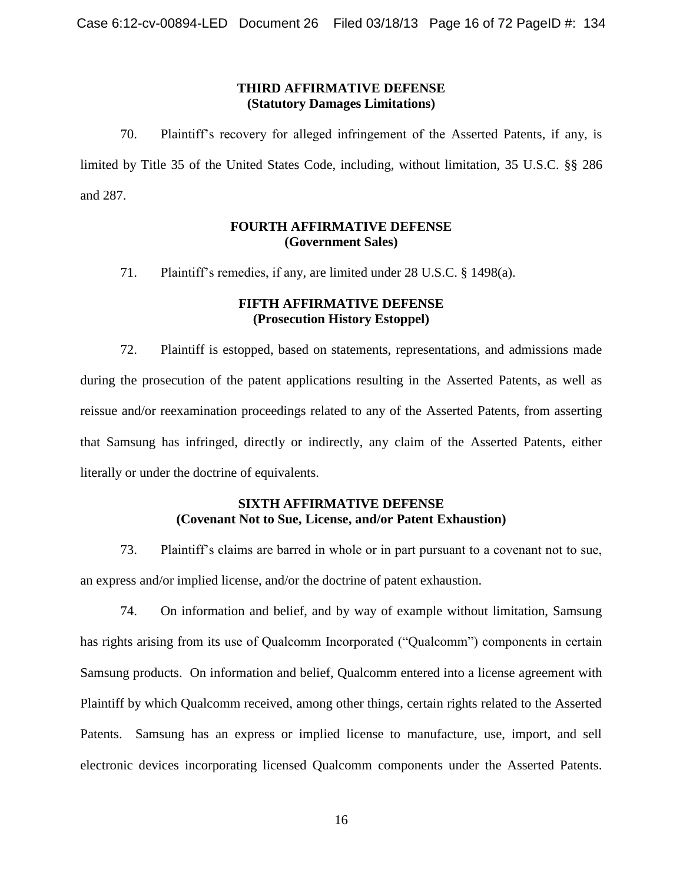### **THIRD AFFIRMATIVE DEFENSE (Statutory Damages Limitations)**

70. Plaintiff's recovery for alleged infringement of the Asserted Patents, if any, is limited by Title 35 of the United States Code, including, without limitation, 35 U.S.C. §§ 286 and 287.

### **FOURTH AFFIRMATIVE DEFENSE (Government Sales)**

71. Plaintiff's remedies, if any, are limited under 28 U.S.C. § 1498(a).

### **FIFTH AFFIRMATIVE DEFENSE (Prosecution History Estoppel)**

72. Plaintiff is estopped, based on statements, representations, and admissions made during the prosecution of the patent applications resulting in the Asserted Patents, as well as reissue and/or reexamination proceedings related to any of the Asserted Patents, from asserting that Samsung has infringed, directly or indirectly, any claim of the Asserted Patents, either literally or under the doctrine of equivalents.

## **SIXTH AFFIRMATIVE DEFENSE (Covenant Not to Sue, License, and/or Patent Exhaustion)**

73. Plaintiff's claims are barred in whole or in part pursuant to a covenant not to sue, an express and/or implied license, and/or the doctrine of patent exhaustion.

74. On information and belief, and by way of example without limitation, Samsung has rights arising from its use of Qualcomm Incorporated ("Qualcomm") components in certain Samsung products. On information and belief, Qualcomm entered into a license agreement with Plaintiff by which Qualcomm received, among other things, certain rights related to the Asserted Patents. Samsung has an express or implied license to manufacture, use, import, and sell electronic devices incorporating licensed Qualcomm components under the Asserted Patents.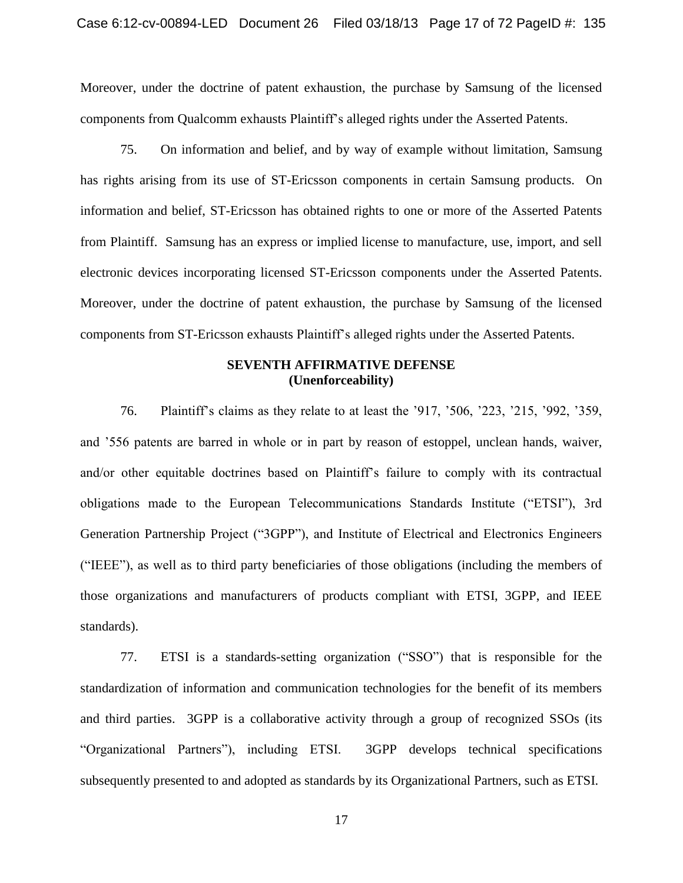Moreover, under the doctrine of patent exhaustion, the purchase by Samsung of the licensed components from Qualcomm exhausts Plaintiff's alleged rights under the Asserted Patents.

75. On information and belief, and by way of example without limitation, Samsung has rights arising from its use of ST-Ericsson components in certain Samsung products. On information and belief, ST-Ericsson has obtained rights to one or more of the Asserted Patents from Plaintiff. Samsung has an express or implied license to manufacture, use, import, and sell electronic devices incorporating licensed ST-Ericsson components under the Asserted Patents. Moreover, under the doctrine of patent exhaustion, the purchase by Samsung of the licensed components from ST-Ericsson exhausts Plaintiff's alleged rights under the Asserted Patents.

#### **SEVENTH AFFIRMATIVE DEFENSE (Unenforceability)**

76. Plaintiff's claims as they relate to at least the '917, '506, '223, '215, '992, '359, and '556 patents are barred in whole or in part by reason of estoppel, unclean hands, waiver, and/or other equitable doctrines based on Plaintiff's failure to comply with its contractual obligations made to the European Telecommunications Standards Institute ("ETSI"), 3rd Generation Partnership Project ("3GPP"), and Institute of Electrical and Electronics Engineers (―IEEE‖), as well as to third party beneficiaries of those obligations (including the members of those organizations and manufacturers of products compliant with ETSI, 3GPP, and IEEE standards).

77. ETSI is a standards-setting organization ("SSO") that is responsible for the standardization of information and communication technologies for the benefit of its members and third parties. 3GPP is a collaborative activity through a group of recognized SSOs (its ―Organizational Partners‖), including ETSI. 3GPP develops technical specifications subsequently presented to and adopted as standards by its Organizational Partners, such as ETSI.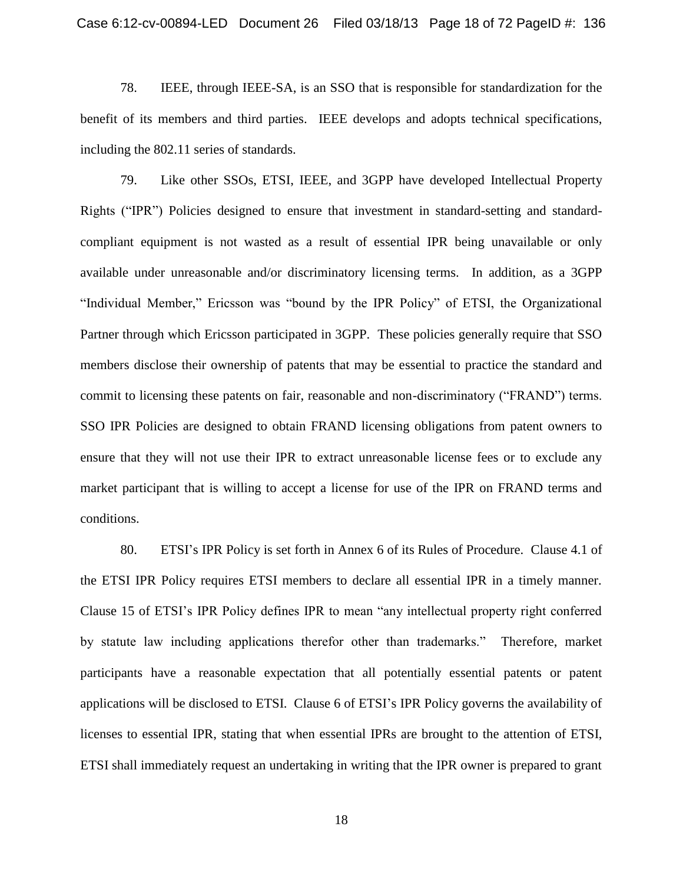78. IEEE, through IEEE-SA, is an SSO that is responsible for standardization for the benefit of its members and third parties. IEEE develops and adopts technical specifications, including the 802.11 series of standards.

79. Like other SSOs, ETSI, IEEE, and 3GPP have developed Intellectual Property Rights ("IPR") Policies designed to ensure that investment in standard-setting and standardcompliant equipment is not wasted as a result of essential IPR being unavailable or only available under unreasonable and/or discriminatory licensing terms. In addition, as a 3GPP "Individual Member," Ericsson was "bound by the IPR Policy" of ETSI, the Organizational Partner through which Ericsson participated in 3GPP. These policies generally require that SSO members disclose their ownership of patents that may be essential to practice the standard and commit to licensing these patents on fair, reasonable and non-discriminatory ("FRAND") terms. SSO IPR Policies are designed to obtain FRAND licensing obligations from patent owners to ensure that they will not use their IPR to extract unreasonable license fees or to exclude any market participant that is willing to accept a license for use of the IPR on FRAND terms and conditions.

80. ETSI's IPR Policy is set forth in Annex 6 of its Rules of Procedure. Clause 4.1 of the ETSI IPR Policy requires ETSI members to declare all essential IPR in a timely manner. Clause 15 of ETSI's IPR Policy defines IPR to mean "any intellectual property right conferred by statute law including applications therefor other than trademarks." Therefore, market participants have a reasonable expectation that all potentially essential patents or patent applications will be disclosed to ETSI. Clause 6 of ETSI's IPR Policy governs the availability of licenses to essential IPR, stating that when essential IPRs are brought to the attention of ETSI, ETSI shall immediately request an undertaking in writing that the IPR owner is prepared to grant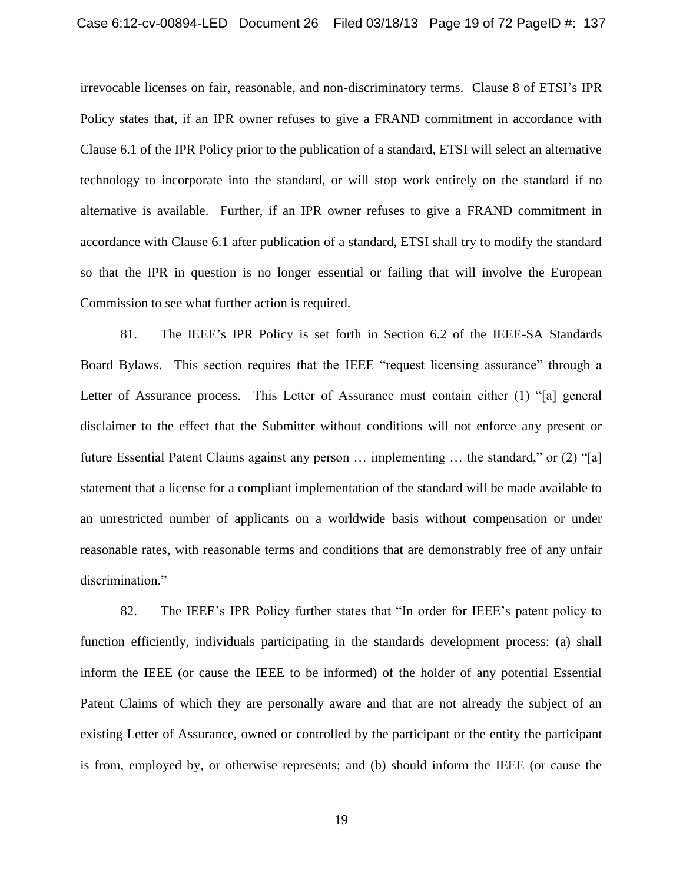irrevocable licenses on fair, reasonable, and non-discriminatory terms. Clause 8 of ETSI's IPR Policy states that, if an IPR owner refuses to give a FRAND commitment in accordance with Clause 6.1 of the IPR Policy prior to the publication of a standard, ETSI will select an alternative technology to incorporate into the standard, or will stop work entirely on the standard if no alternative is available. Further, if an IPR owner refuses to give a FRAND commitment in accordance with Clause 6.1 after publication of a standard, ETSI shall try to modify the standard so that the IPR in question is no longer essential or failing that will involve the European Commission to see what further action is required.

81. The IEEE's IPR Policy is set forth in Section 6.2 of the IEEE-SA Standards Board Bylaws. This section requires that the IEEE "request licensing assurance" through a Letter of Assurance process. This Letter of Assurance must contain either  $(1)$  "[a] general disclaimer to the effect that the Submitter without conditions will not enforce any present or future Essential Patent Claims against any person  $\ldots$  implementing  $\ldots$  the standard," or (2) "[a] statement that a license for a compliant implementation of the standard will be made available to an unrestricted number of applicants on a worldwide basis without compensation or under reasonable rates, with reasonable terms and conditions that are demonstrably free of any unfair discrimination."

82. The IEEE's IPR Policy further states that "In order for IEEE's patent policy to function efficiently, individuals participating in the standards development process: (a) shall inform the IEEE (or cause the IEEE to be informed) of the holder of any potential Essential Patent Claims of which they are personally aware and that are not already the subject of an existing Letter of Assurance, owned or controlled by the participant or the entity the participant is from, employed by, or otherwise represents; and (b) should inform the IEEE (or cause the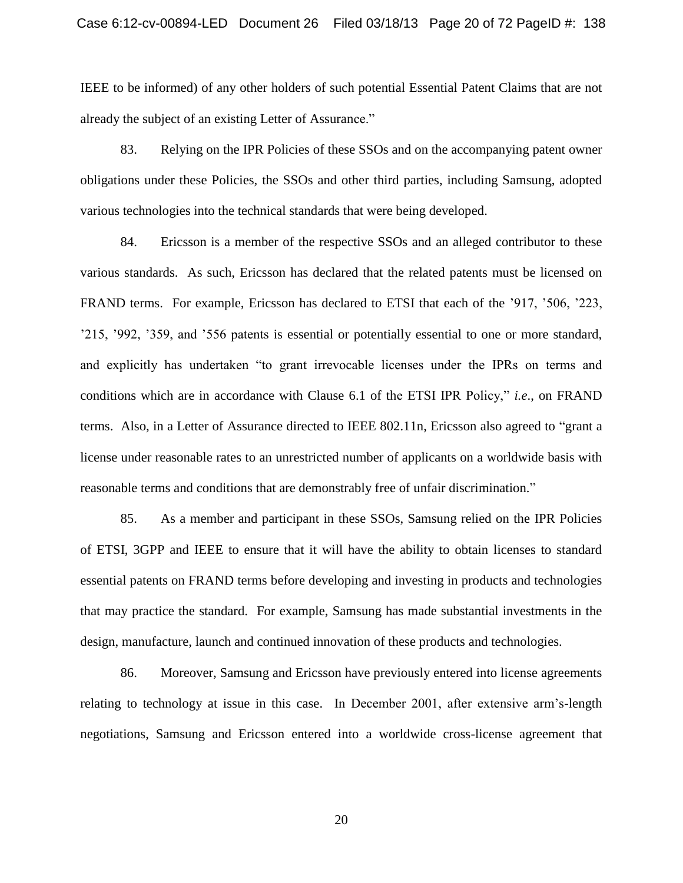IEEE to be informed) of any other holders of such potential Essential Patent Claims that are not already the subject of an existing Letter of Assurance."

83. Relying on the IPR Policies of these SSOs and on the accompanying patent owner obligations under these Policies, the SSOs and other third parties, including Samsung, adopted various technologies into the technical standards that were being developed.

84. Ericsson is a member of the respective SSOs and an alleged contributor to these various standards. As such, Ericsson has declared that the related patents must be licensed on FRAND terms. For example, Ericsson has declared to ETSI that each of the '917, '506, '223, '215, '992, '359, and '556 patents is essential or potentially essential to one or more standard, and explicitly has undertaken "to grant irrevocable licenses under the IPRs on terms and conditions which are in accordance with Clause 6.1 of the ETSI IPR Policy," *i.e.*, on FRAND terms. Also, in a Letter of Assurance directed to IEEE 802.11n, Ericsson also agreed to "grant a license under reasonable rates to an unrestricted number of applicants on a worldwide basis with reasonable terms and conditions that are demonstrably free of unfair discrimination."

85. As a member and participant in these SSOs, Samsung relied on the IPR Policies of ETSI, 3GPP and IEEE to ensure that it will have the ability to obtain licenses to standard essential patents on FRAND terms before developing and investing in products and technologies that may practice the standard. For example, Samsung has made substantial investments in the design, manufacture, launch and continued innovation of these products and technologies.

86. Moreover, Samsung and Ericsson have previously entered into license agreements relating to technology at issue in this case. In December 2001, after extensive arm's-length negotiations, Samsung and Ericsson entered into a worldwide cross-license agreement that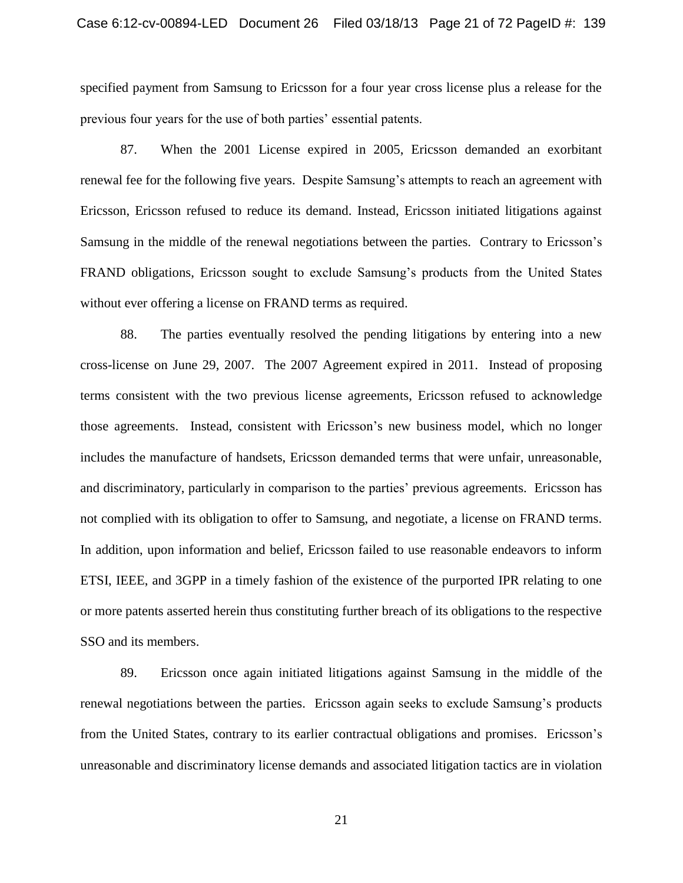specified payment from Samsung to Ericsson for a four year cross license plus a release for the previous four years for the use of both parties' essential patents.

87. When the 2001 License expired in 2005, Ericsson demanded an exorbitant renewal fee for the following five years. Despite Samsung's attempts to reach an agreement with Ericsson, Ericsson refused to reduce its demand. Instead, Ericsson initiated litigations against Samsung in the middle of the renewal negotiations between the parties. Contrary to Ericsson's FRAND obligations, Ericsson sought to exclude Samsung's products from the United States without ever offering a license on FRAND terms as required.

88. The parties eventually resolved the pending litigations by entering into a new cross-license on June 29, 2007. The 2007 Agreement expired in 2011. Instead of proposing terms consistent with the two previous license agreements, Ericsson refused to acknowledge those agreements. Instead, consistent with Ericsson's new business model, which no longer includes the manufacture of handsets, Ericsson demanded terms that were unfair, unreasonable, and discriminatory, particularly in comparison to the parties' previous agreements. Ericsson has not complied with its obligation to offer to Samsung, and negotiate, a license on FRAND terms. In addition, upon information and belief, Ericsson failed to use reasonable endeavors to inform ETSI, IEEE, and 3GPP in a timely fashion of the existence of the purported IPR relating to one or more patents asserted herein thus constituting further breach of its obligations to the respective SSO and its members.

89. Ericsson once again initiated litigations against Samsung in the middle of the renewal negotiations between the parties. Ericsson again seeks to exclude Samsung's products from the United States, contrary to its earlier contractual obligations and promises. Ericsson's unreasonable and discriminatory license demands and associated litigation tactics are in violation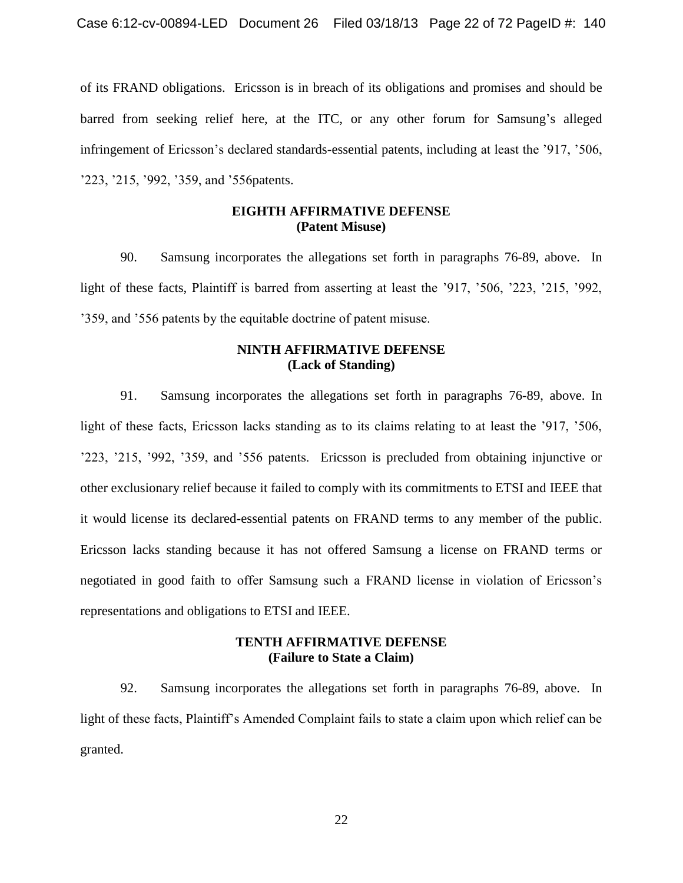of its FRAND obligations. Ericsson is in breach of its obligations and promises and should be barred from seeking relief here, at the ITC, or any other forum for Samsung's alleged infringement of Ericsson's declared standards-essential patents, including at least the '917, '506, '223, '215, '992, '359, and '556patents.

### **EIGHTH AFFIRMATIVE DEFENSE (Patent Misuse)**

90. Samsung incorporates the allegations set forth in paragraphs 76-89, above. In light of these facts, Plaintiff is barred from asserting at least the '917, '506, '223, '215, '992, '359, and '556 patents by the equitable doctrine of patent misuse.

### **NINTH AFFIRMATIVE DEFENSE (Lack of Standing)**

91. Samsung incorporates the allegations set forth in paragraphs 76-89, above. In light of these facts, Ericsson lacks standing as to its claims relating to at least the '917, '506, '223, '215, '992, '359, and '556 patents. Ericsson is precluded from obtaining injunctive or other exclusionary relief because it failed to comply with its commitments to ETSI and IEEE that it would license its declared-essential patents on FRAND terms to any member of the public. Ericsson lacks standing because it has not offered Samsung a license on FRAND terms or negotiated in good faith to offer Samsung such a FRAND license in violation of Ericsson's representations and obligations to ETSI and IEEE.

### **TENTH AFFIRMATIVE DEFENSE (Failure to State a Claim)**

92. Samsung incorporates the allegations set forth in paragraphs 76-89, above. In light of these facts, Plaintiff's Amended Complaint fails to state a claim upon which relief can be granted.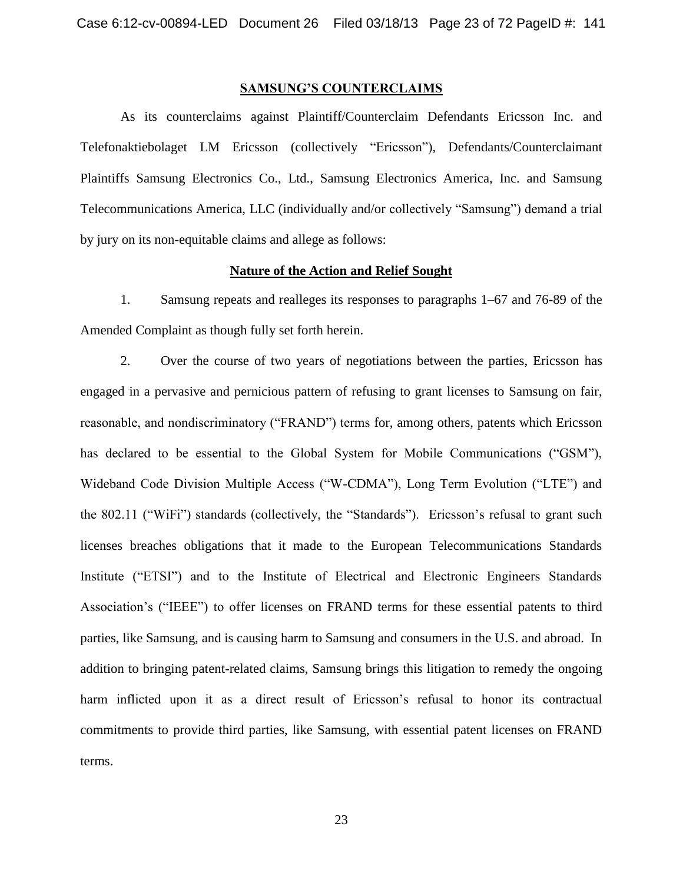#### **SAMSUNG'S COUNTERCLAIMS**

As its counterclaims against Plaintiff/Counterclaim Defendants Ericsson Inc. and Telefonaktiebolaget LM Ericsson (collectively "Ericsson"), Defendants/Counterclaimant Plaintiffs Samsung Electronics Co., Ltd., Samsung Electronics America, Inc. and Samsung Telecommunications America, LLC (individually and/or collectively "Samsung") demand a trial by jury on its non-equitable claims and allege as follows:

#### **Nature of the Action and Relief Sought**

1. Samsung repeats and realleges its responses to paragraphs 1–67 and 76-89 of the Amended Complaint as though fully set forth herein.

2. Over the course of two years of negotiations between the parties, Ericsson has engaged in a pervasive and pernicious pattern of refusing to grant licenses to Samsung on fair, reasonable, and nondiscriminatory ("FRAND") terms for, among others, patents which Ericsson has declared to be essential to the Global System for Mobile Communications ("GSM"), Wideband Code Division Multiple Access ("W-CDMA"), Long Term Evolution ("LTE") and the 802.11 ("WiFi") standards (collectively, the "Standards"). Ericsson's refusal to grant such licenses breaches obligations that it made to the European Telecommunications Standards Institute ("ETSI") and to the Institute of Electrical and Electronic Engineers Standards Association's ("IEEE") to offer licenses on FRAND terms for these essential patents to third parties, like Samsung, and is causing harm to Samsung and consumers in the U.S. and abroad. In addition to bringing patent-related claims, Samsung brings this litigation to remedy the ongoing harm inflicted upon it as a direct result of Ericsson's refusal to honor its contractual commitments to provide third parties, like Samsung, with essential patent licenses on FRAND terms.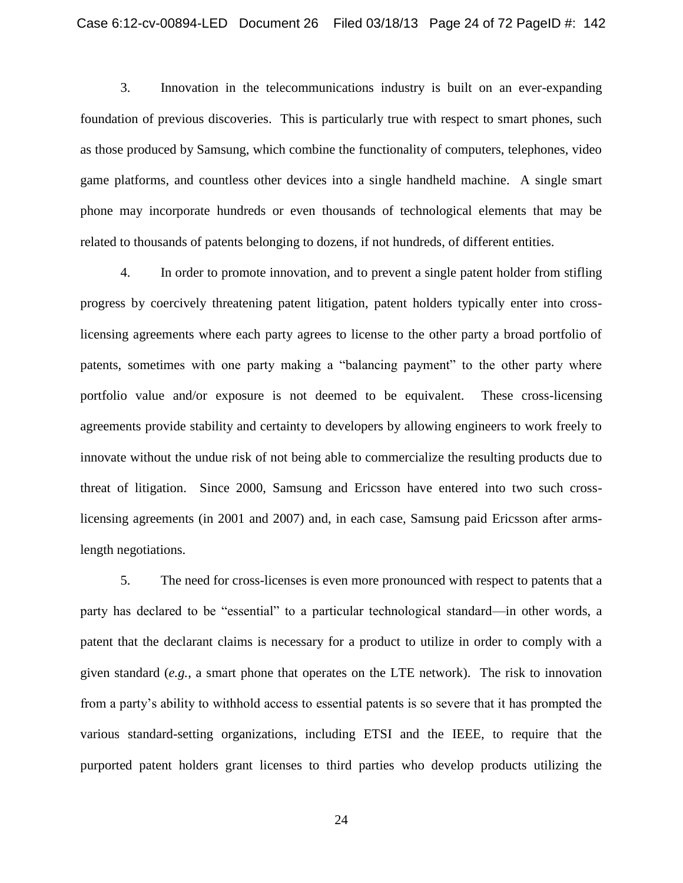3. Innovation in the telecommunications industry is built on an ever-expanding foundation of previous discoveries. This is particularly true with respect to smart phones, such as those produced by Samsung, which combine the functionality of computers, telephones, video game platforms, and countless other devices into a single handheld machine. A single smart phone may incorporate hundreds or even thousands of technological elements that may be related to thousands of patents belonging to dozens, if not hundreds, of different entities.

4. In order to promote innovation, and to prevent a single patent holder from stifling progress by coercively threatening patent litigation, patent holders typically enter into crosslicensing agreements where each party agrees to license to the other party a broad portfolio of patents, sometimes with one party making a "balancing payment" to the other party where portfolio value and/or exposure is not deemed to be equivalent. These cross-licensing agreements provide stability and certainty to developers by allowing engineers to work freely to innovate without the undue risk of not being able to commercialize the resulting products due to threat of litigation. Since 2000, Samsung and Ericsson have entered into two such crosslicensing agreements (in 2001 and 2007) and, in each case, Samsung paid Ericsson after armslength negotiations.

5. The need for cross-licenses is even more pronounced with respect to patents that a party has declared to be "essential" to a particular technological standard—in other words, a patent that the declarant claims is necessary for a product to utilize in order to comply with a given standard (*e.g.*, a smart phone that operates on the LTE network). The risk to innovation from a party's ability to withhold access to essential patents is so severe that it has prompted the various standard-setting organizations, including ETSI and the IEEE, to require that the purported patent holders grant licenses to third parties who develop products utilizing the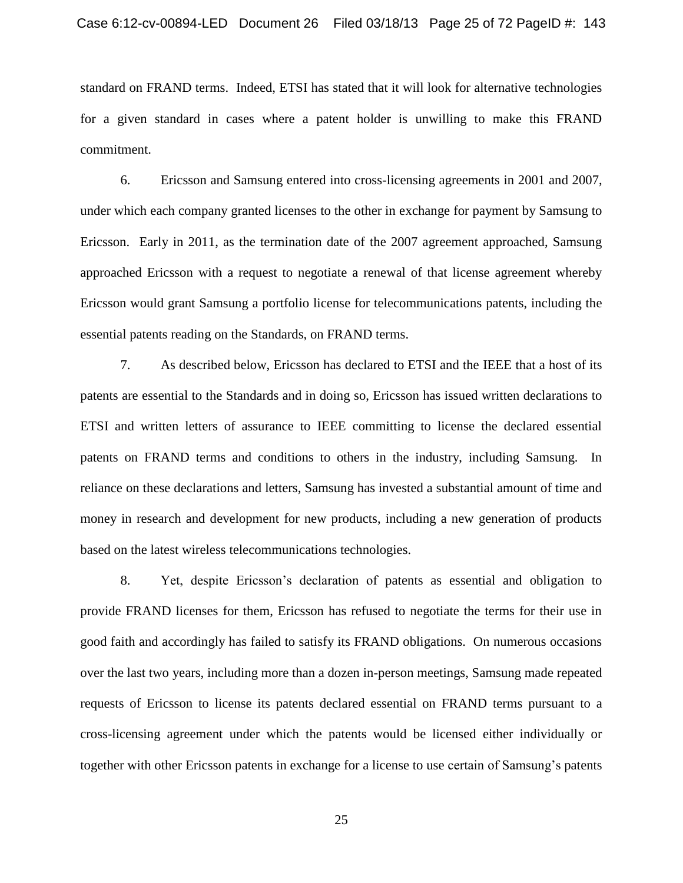standard on FRAND terms. Indeed, ETSI has stated that it will look for alternative technologies for a given standard in cases where a patent holder is unwilling to make this FRAND commitment.

6. Ericsson and Samsung entered into cross-licensing agreements in 2001 and 2007, under which each company granted licenses to the other in exchange for payment by Samsung to Ericsson. Early in 2011, as the termination date of the 2007 agreement approached, Samsung approached Ericsson with a request to negotiate a renewal of that license agreement whereby Ericsson would grant Samsung a portfolio license for telecommunications patents, including the essential patents reading on the Standards, on FRAND terms.

7. As described below, Ericsson has declared to ETSI and the IEEE that a host of its patents are essential to the Standards and in doing so, Ericsson has issued written declarations to ETSI and written letters of assurance to IEEE committing to license the declared essential patents on FRAND terms and conditions to others in the industry, including Samsung. In reliance on these declarations and letters, Samsung has invested a substantial amount of time and money in research and development for new products, including a new generation of products based on the latest wireless telecommunications technologies.

8. Yet, despite Ericsson's declaration of patents as essential and obligation to provide FRAND licenses for them, Ericsson has refused to negotiate the terms for their use in good faith and accordingly has failed to satisfy its FRAND obligations. On numerous occasions over the last two years, including more than a dozen in-person meetings, Samsung made repeated requests of Ericsson to license its patents declared essential on FRAND terms pursuant to a cross-licensing agreement under which the patents would be licensed either individually or together with other Ericsson patents in exchange for a license to use certain of Samsung's patents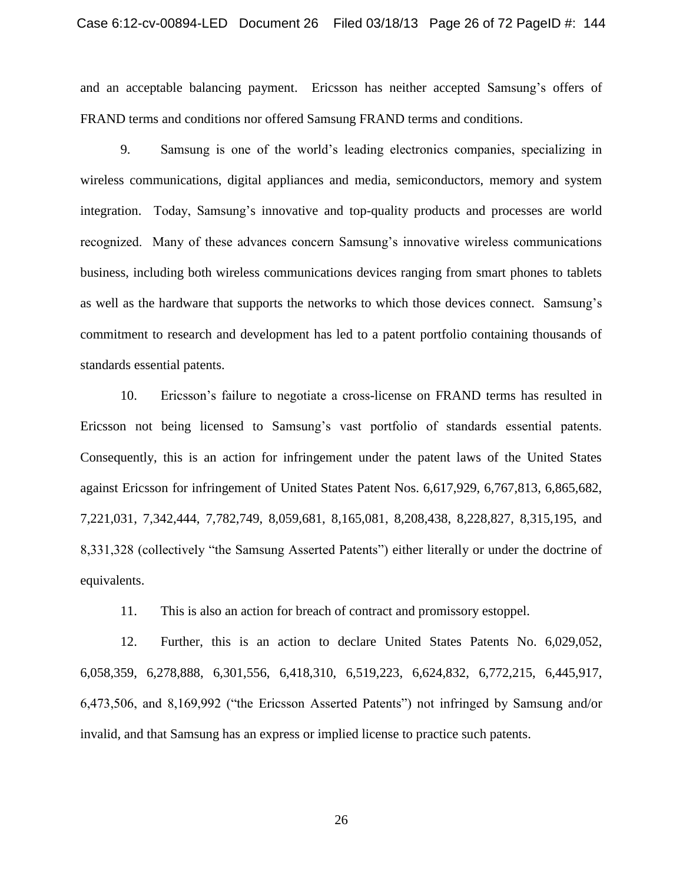#### Case 6:12-cv-00894-LED Document 26 Filed 03/18/13 Page 26 of 72 PageID #: 144

and an acceptable balancing payment. Ericsson has neither accepted Samsung's offers of FRAND terms and conditions nor offered Samsung FRAND terms and conditions.

9. Samsung is one of the world's leading electronics companies, specializing in wireless communications, digital appliances and media, semiconductors, memory and system integration. Today, Samsung's innovative and top-quality products and processes are world recognized. Many of these advances concern Samsung's innovative wireless communications business, including both wireless communications devices ranging from smart phones to tablets as well as the hardware that supports the networks to which those devices connect. Samsung's commitment to research and development has led to a patent portfolio containing thousands of standards essential patents.

10. Ericsson's failure to negotiate a cross-license on FRAND terms has resulted in Ericsson not being licensed to Samsung's vast portfolio of standards essential patents. Consequently, this is an action for infringement under the patent laws of the United States against Ericsson for infringement of United States Patent Nos. 6,617,929, 6,767,813, 6,865,682, 7,221,031, 7,342,444, 7,782,749, 8,059,681, 8,165,081, 8,208,438, 8,228,827, 8,315,195, and 8,331,328 (collectively "the Samsung Asserted Patents") either literally or under the doctrine of equivalents.

11. This is also an action for breach of contract and promissory estoppel.

12. Further, this is an action to declare United States Patents No. 6,029,052, 6,058,359, 6,278,888, 6,301,556, 6,418,310, 6,519,223, 6,624,832, 6,772,215, 6,445,917, 6,473,506, and 8,169,992 ("the Ericsson Asserted Patents") not infringed by Samsung and/or invalid, and that Samsung has an express or implied license to practice such patents.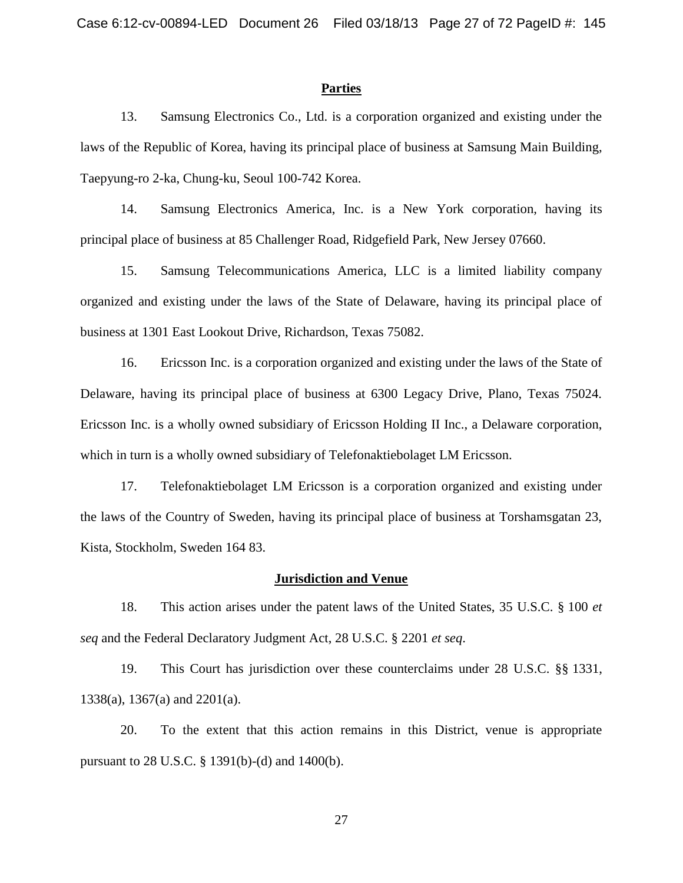#### **Parties**

13. Samsung Electronics Co., Ltd. is a corporation organized and existing under the laws of the Republic of Korea, having its principal place of business at Samsung Main Building, Taepyung-ro 2-ka, Chung-ku, Seoul 100-742 Korea.

14. Samsung Electronics America, Inc. is a New York corporation, having its principal place of business at 85 Challenger Road, Ridgefield Park, New Jersey 07660.

15. Samsung Telecommunications America, LLC is a limited liability company organized and existing under the laws of the State of Delaware, having its principal place of business at 1301 East Lookout Drive, Richardson, Texas 75082.

16. Ericsson Inc. is a corporation organized and existing under the laws of the State of Delaware, having its principal place of business at 6300 Legacy Drive, Plano, Texas 75024. Ericsson Inc. is a wholly owned subsidiary of Ericsson Holding II Inc., a Delaware corporation, which in turn is a wholly owned subsidiary of Telefonaktiebolaget LM Ericsson.

17. Telefonaktiebolaget LM Ericsson is a corporation organized and existing under the laws of the Country of Sweden, having its principal place of business at Torshamsgatan 23, Kista, Stockholm, Sweden 164 83.

#### **Jurisdiction and Venue**

18. This action arises under the patent laws of the United States, 35 U.S.C. § 100 *et seq* and the Federal Declaratory Judgment Act, 28 U.S.C. § 2201 *et seq*.

19. This Court has jurisdiction over these counterclaims under 28 U.S.C. §§ 1331, 1338(a), 1367(a) and 2201(a).

20. To the extent that this action remains in this District, venue is appropriate pursuant to 28 U.S.C. § 1391(b)-(d) and 1400(b).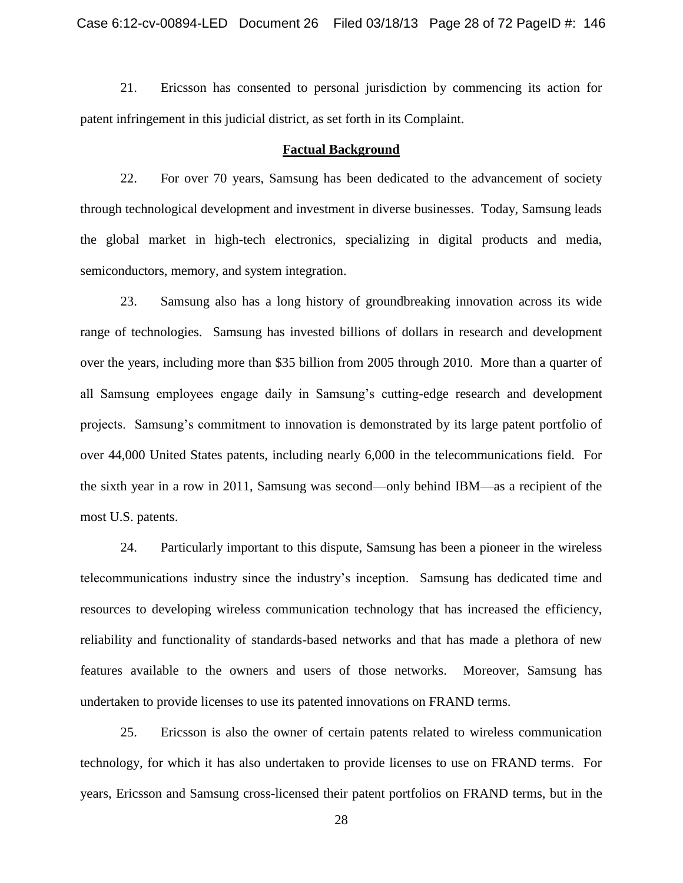21. Ericsson has consented to personal jurisdiction by commencing its action for patent infringement in this judicial district, as set forth in its Complaint.

#### **Factual Background**

22. For over 70 years, Samsung has been dedicated to the advancement of society through technological development and investment in diverse businesses. Today, Samsung leads the global market in high-tech electronics, specializing in digital products and media, semiconductors, memory, and system integration.

23. Samsung also has a long history of groundbreaking innovation across its wide range of technologies. Samsung has invested billions of dollars in research and development over the years, including more than \$35 billion from 2005 through 2010. More than a quarter of all Samsung employees engage daily in Samsung's cutting-edge research and development projects. Samsung's commitment to innovation is demonstrated by its large patent portfolio of over 44,000 United States patents, including nearly 6,000 in the telecommunications field. For the sixth year in a row in 2011, Samsung was second—only behind IBM—as a recipient of the most U.S. patents.

24. Particularly important to this dispute, Samsung has been a pioneer in the wireless telecommunications industry since the industry's inception. Samsung has dedicated time and resources to developing wireless communication technology that has increased the efficiency, reliability and functionality of standards-based networks and that has made a plethora of new features available to the owners and users of those networks. Moreover, Samsung has undertaken to provide licenses to use its patented innovations on FRAND terms.

25. Ericsson is also the owner of certain patents related to wireless communication technology, for which it has also undertaken to provide licenses to use on FRAND terms. For years, Ericsson and Samsung cross-licensed their patent portfolios on FRAND terms, but in the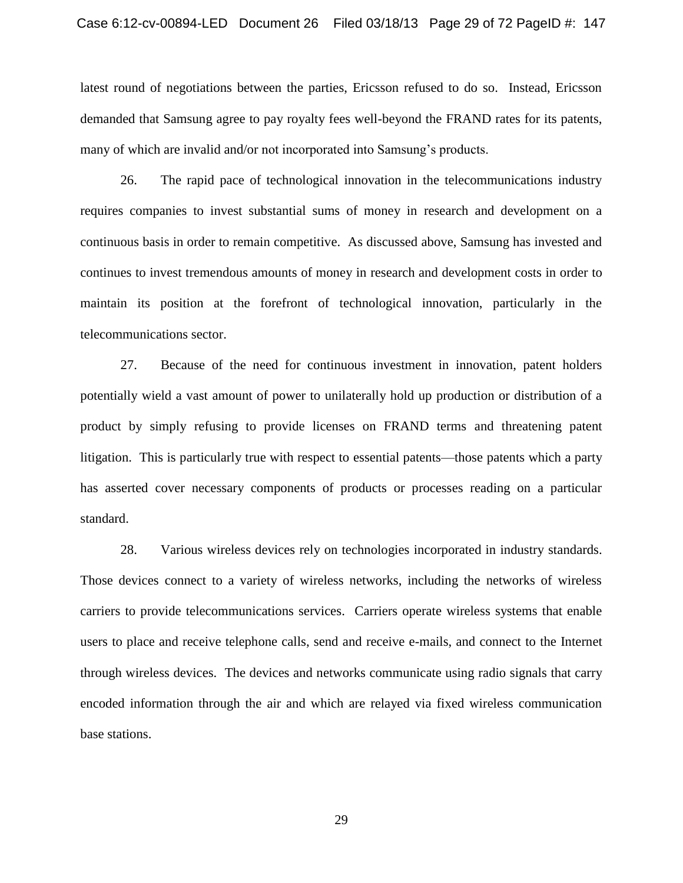latest round of negotiations between the parties, Ericsson refused to do so. Instead, Ericsson demanded that Samsung agree to pay royalty fees well-beyond the FRAND rates for its patents, many of which are invalid and/or not incorporated into Samsung's products.

26. The rapid pace of technological innovation in the telecommunications industry requires companies to invest substantial sums of money in research and development on a continuous basis in order to remain competitive. As discussed above, Samsung has invested and continues to invest tremendous amounts of money in research and development costs in order to maintain its position at the forefront of technological innovation, particularly in the telecommunications sector.

27. Because of the need for continuous investment in innovation, patent holders potentially wield a vast amount of power to unilaterally hold up production or distribution of a product by simply refusing to provide licenses on FRAND terms and threatening patent litigation. This is particularly true with respect to essential patents—those patents which a party has asserted cover necessary components of products or processes reading on a particular standard.

28. Various wireless devices rely on technologies incorporated in industry standards. Those devices connect to a variety of wireless networks, including the networks of wireless carriers to provide telecommunications services. Carriers operate wireless systems that enable users to place and receive telephone calls, send and receive e-mails, and connect to the Internet through wireless devices. The devices and networks communicate using radio signals that carry encoded information through the air and which are relayed via fixed wireless communication base stations.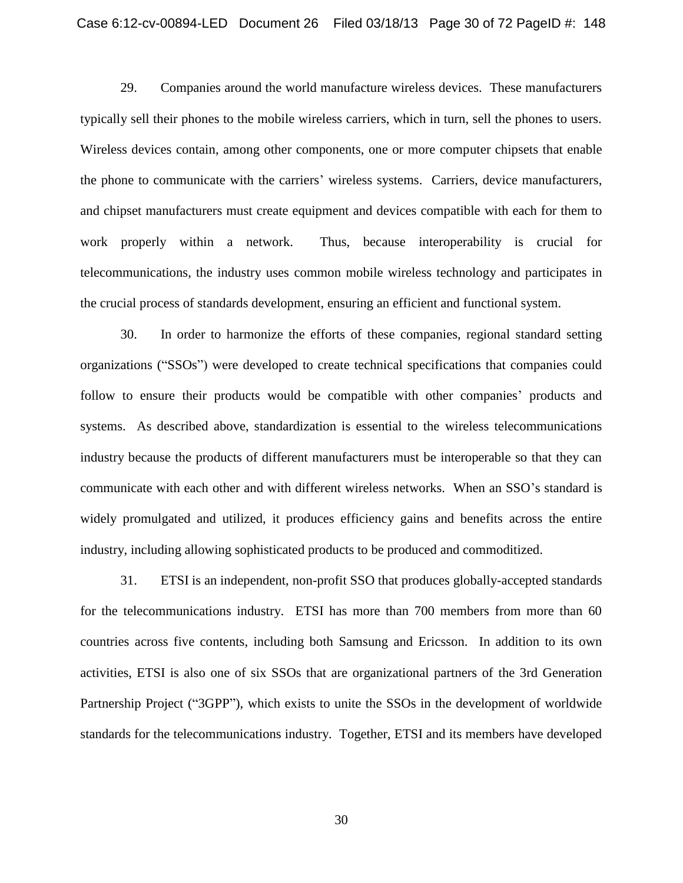29. Companies around the world manufacture wireless devices. These manufacturers typically sell their phones to the mobile wireless carriers, which in turn, sell the phones to users. Wireless devices contain, among other components, one or more computer chipsets that enable the phone to communicate with the carriers' wireless systems. Carriers, device manufacturers, and chipset manufacturers must create equipment and devices compatible with each for them to work properly within a network. Thus, because interoperability is crucial for telecommunications, the industry uses common mobile wireless technology and participates in the crucial process of standards development, ensuring an efficient and functional system.

30. In order to harmonize the efforts of these companies, regional standard setting organizations ("SSOs") were developed to create technical specifications that companies could follow to ensure their products would be compatible with other companies' products and systems. As described above, standardization is essential to the wireless telecommunications industry because the products of different manufacturers must be interoperable so that they can communicate with each other and with different wireless networks. When an SSO's standard is widely promulgated and utilized, it produces efficiency gains and benefits across the entire industry, including allowing sophisticated products to be produced and commoditized.

31. ETSI is an independent, non-profit SSO that produces globally-accepted standards for the telecommunications industry. ETSI has more than 700 members from more than 60 countries across five contents, including both Samsung and Ericsson. In addition to its own activities, ETSI is also one of six SSOs that are organizational partners of the 3rd Generation Partnership Project ("3GPP"), which exists to unite the SSOs in the development of worldwide standards for the telecommunications industry. Together, ETSI and its members have developed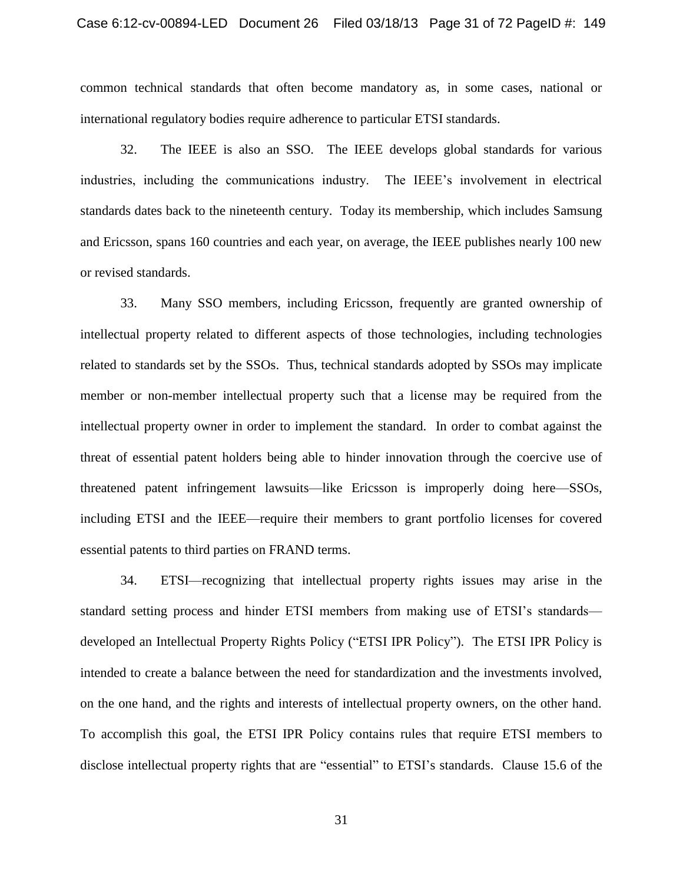common technical standards that often become mandatory as, in some cases, national or international regulatory bodies require adherence to particular ETSI standards.

32. The IEEE is also an SSO. The IEEE develops global standards for various industries, including the communications industry. The IEEE's involvement in electrical standards dates back to the nineteenth century. Today its membership, which includes Samsung and Ericsson, spans 160 countries and each year, on average, the IEEE publishes nearly 100 new or revised standards.

33. Many SSO members, including Ericsson, frequently are granted ownership of intellectual property related to different aspects of those technologies, including technologies related to standards set by the SSOs. Thus, technical standards adopted by SSOs may implicate member or non-member intellectual property such that a license may be required from the intellectual property owner in order to implement the standard. In order to combat against the threat of essential patent holders being able to hinder innovation through the coercive use of threatened patent infringement lawsuits—like Ericsson is improperly doing here—SSOs, including ETSI and the IEEE—require their members to grant portfolio licenses for covered essential patents to third parties on FRAND terms.

34. ETSI—recognizing that intellectual property rights issues may arise in the standard setting process and hinder ETSI members from making use of ETSI's standards developed an Intellectual Property Rights Policy ("ETSI IPR Policy"). The ETSI IPR Policy is intended to create a balance between the need for standardization and the investments involved, on the one hand, and the rights and interests of intellectual property owners, on the other hand. To accomplish this goal, the ETSI IPR Policy contains rules that require ETSI members to disclose intellectual property rights that are "essential" to ETSI's standards. Clause 15.6 of the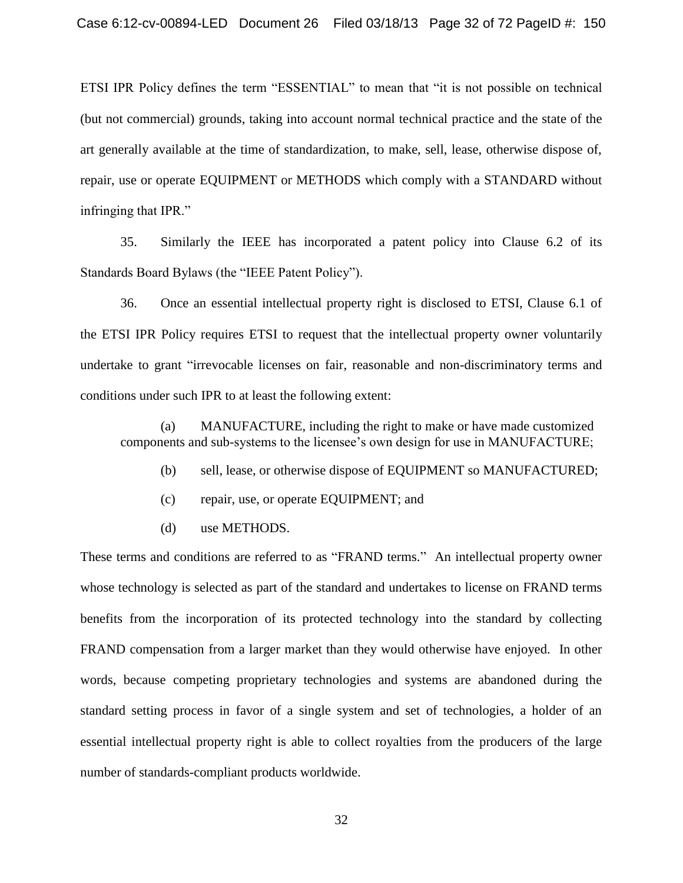ETSI IPR Policy defines the term "ESSENTIAL" to mean that "it is not possible on technical (but not commercial) grounds, taking into account normal technical practice and the state of the art generally available at the time of standardization, to make, sell, lease, otherwise dispose of, repair, use or operate EQUIPMENT or METHODS which comply with a STANDARD without infringing that IPR."

35. Similarly the IEEE has incorporated a patent policy into Clause 6.2 of its Standards Board Bylaws (the "IEEE Patent Policy").

36. Once an essential intellectual property right is disclosed to ETSI, Clause 6.1 of the ETSI IPR Policy requires ETSI to request that the intellectual property owner voluntarily undertake to grant "irrevocable licenses on fair, reasonable and non-discriminatory terms and conditions under such IPR to at least the following extent:

(a) MANUFACTURE, including the right to make or have made customized components and sub-systems to the licensee's own design for use in MANUFACTURE;

- (b) sell, lease, or otherwise dispose of EQUIPMENT so MANUFACTURED;
- (c) repair, use, or operate EQUIPMENT; and
- (d) use METHODS.

These terms and conditions are referred to as "FRAND terms." An intellectual property owner whose technology is selected as part of the standard and undertakes to license on FRAND terms benefits from the incorporation of its protected technology into the standard by collecting FRAND compensation from a larger market than they would otherwise have enjoyed. In other words, because competing proprietary technologies and systems are abandoned during the standard setting process in favor of a single system and set of technologies, a holder of an essential intellectual property right is able to collect royalties from the producers of the large number of standards-compliant products worldwide.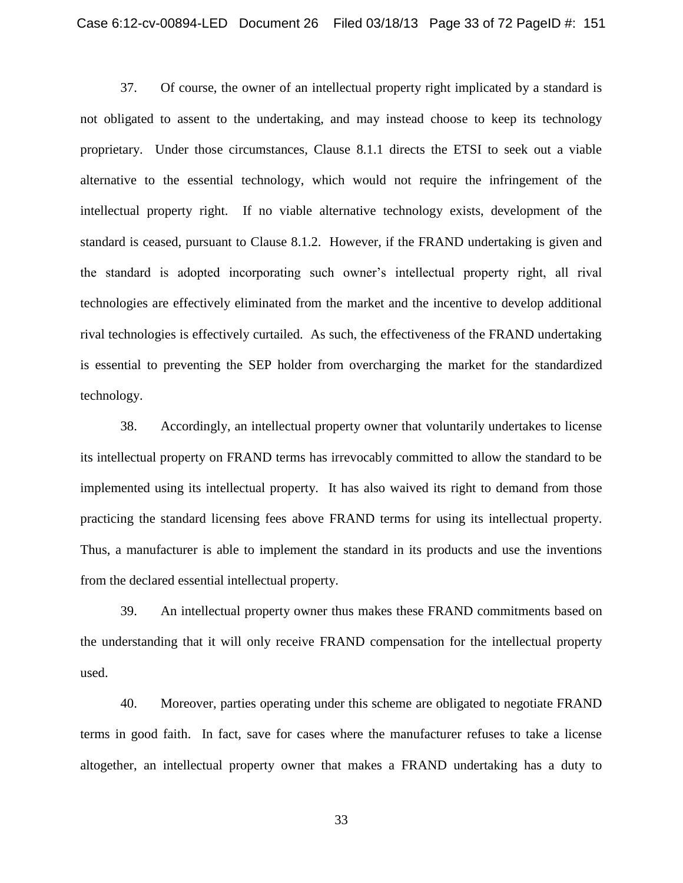37. Of course, the owner of an intellectual property right implicated by a standard is not obligated to assent to the undertaking, and may instead choose to keep its technology proprietary. Under those circumstances, Clause 8.1.1 directs the ETSI to seek out a viable alternative to the essential technology, which would not require the infringement of the intellectual property right. If no viable alternative technology exists, development of the standard is ceased, pursuant to Clause 8.1.2. However, if the FRAND undertaking is given and the standard is adopted incorporating such owner's intellectual property right, all rival technologies are effectively eliminated from the market and the incentive to develop additional rival technologies is effectively curtailed. As such, the effectiveness of the FRAND undertaking is essential to preventing the SEP holder from overcharging the market for the standardized technology.

38. Accordingly, an intellectual property owner that voluntarily undertakes to license its intellectual property on FRAND terms has irrevocably committed to allow the standard to be implemented using its intellectual property. It has also waived its right to demand from those practicing the standard licensing fees above FRAND terms for using its intellectual property. Thus, a manufacturer is able to implement the standard in its products and use the inventions from the declared essential intellectual property.

39. An intellectual property owner thus makes these FRAND commitments based on the understanding that it will only receive FRAND compensation for the intellectual property used.

40. Moreover, parties operating under this scheme are obligated to negotiate FRAND terms in good faith. In fact, save for cases where the manufacturer refuses to take a license altogether, an intellectual property owner that makes a FRAND undertaking has a duty to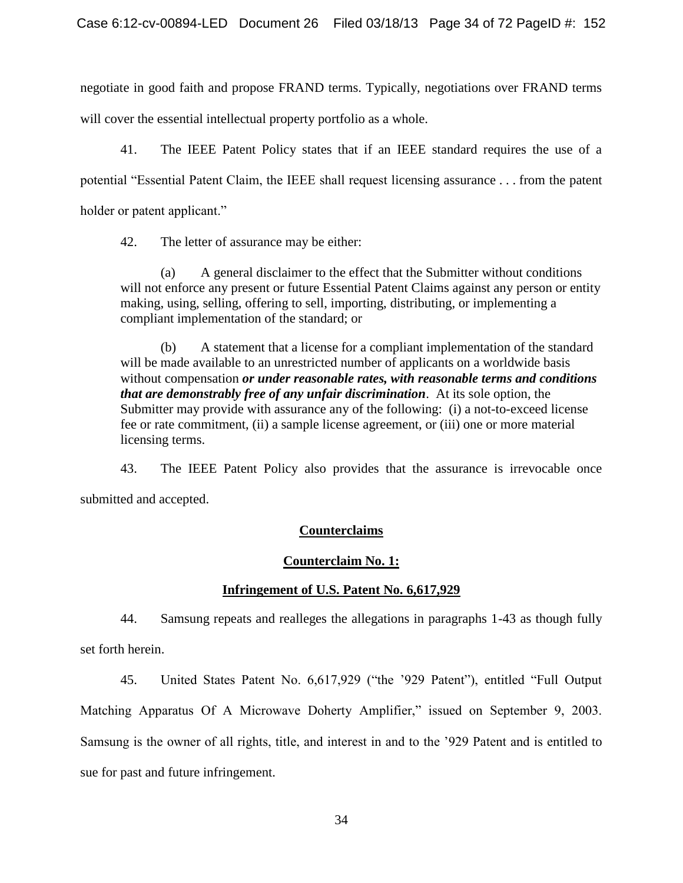negotiate in good faith and propose FRAND terms. Typically, negotiations over FRAND terms will cover the essential intellectual property portfolio as a whole.

41. The IEEE Patent Policy states that if an IEEE standard requires the use of a potential "Essential Patent Claim, the IEEE shall request licensing assurance . . . from the patent holder or patent applicant."

42. The letter of assurance may be either:

(a) A general disclaimer to the effect that the Submitter without conditions will not enforce any present or future Essential Patent Claims against any person or entity making, using, selling, offering to sell, importing, distributing, or implementing a compliant implementation of the standard; or

(b) A statement that a license for a compliant implementation of the standard will be made available to an unrestricted number of applicants on a worldwide basis without compensation *or under reasonable rates, with reasonable terms and conditions that are demonstrably free of any unfair discrimination*. At its sole option, the Submitter may provide with assurance any of the following: (i) a not-to-exceed license fee or rate commitment, (ii) a sample license agreement, or (iii) one or more material licensing terms.

43. The IEEE Patent Policy also provides that the assurance is irrevocable once submitted and accepted.

# **Counterclaims**

## **Counterclaim No. 1:**

## **Infringement of U.S. Patent No. 6,617,929**

44. Samsung repeats and realleges the allegations in paragraphs 1-43 as though fully set forth herein.

45. United States Patent No. 6,617,929 ("the '929 Patent"), entitled "Full Output Matching Apparatus Of A Microwave Doherty Amplifier," issued on September 9, 2003. Samsung is the owner of all rights, title, and interest in and to the '929 Patent and is entitled to sue for past and future infringement.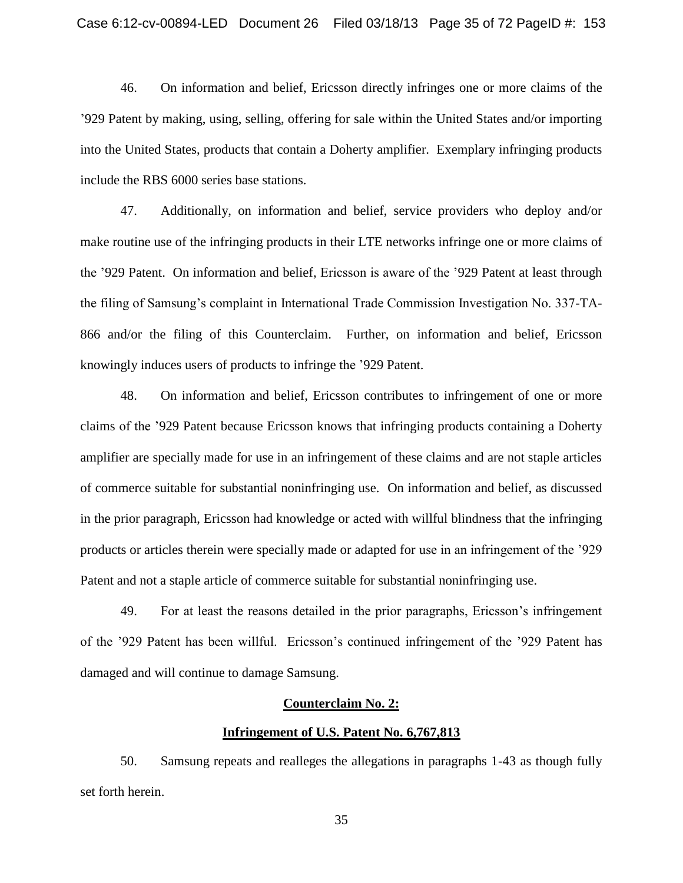46. On information and belief, Ericsson directly infringes one or more claims of the '929 Patent by making, using, selling, offering for sale within the United States and/or importing into the United States, products that contain a Doherty amplifier. Exemplary infringing products include the RBS 6000 series base stations.

47. Additionally, on information and belief, service providers who deploy and/or make routine use of the infringing products in their LTE networks infringe one or more claims of the '929 Patent. On information and belief, Ericsson is aware of the '929 Patent at least through the filing of Samsung's complaint in International Trade Commission Investigation No. 337-TA-866 and/or the filing of this Counterclaim. Further, on information and belief, Ericsson knowingly induces users of products to infringe the '929 Patent.

48. On information and belief, Ericsson contributes to infringement of one or more claims of the '929 Patent because Ericsson knows that infringing products containing a Doherty amplifier are specially made for use in an infringement of these claims and are not staple articles of commerce suitable for substantial noninfringing use. On information and belief, as discussed in the prior paragraph, Ericsson had knowledge or acted with willful blindness that the infringing products or articles therein were specially made or adapted for use in an infringement of the '929 Patent and not a staple article of commerce suitable for substantial noninfringing use.

49. For at least the reasons detailed in the prior paragraphs, Ericsson's infringement of the '929 Patent has been willful. Ericsson's continued infringement of the '929 Patent has damaged and will continue to damage Samsung.

#### **Counterclaim No. 2:**

#### **Infringement of U.S. Patent No. 6,767,813**

50. Samsung repeats and realleges the allegations in paragraphs 1-43 as though fully set forth herein.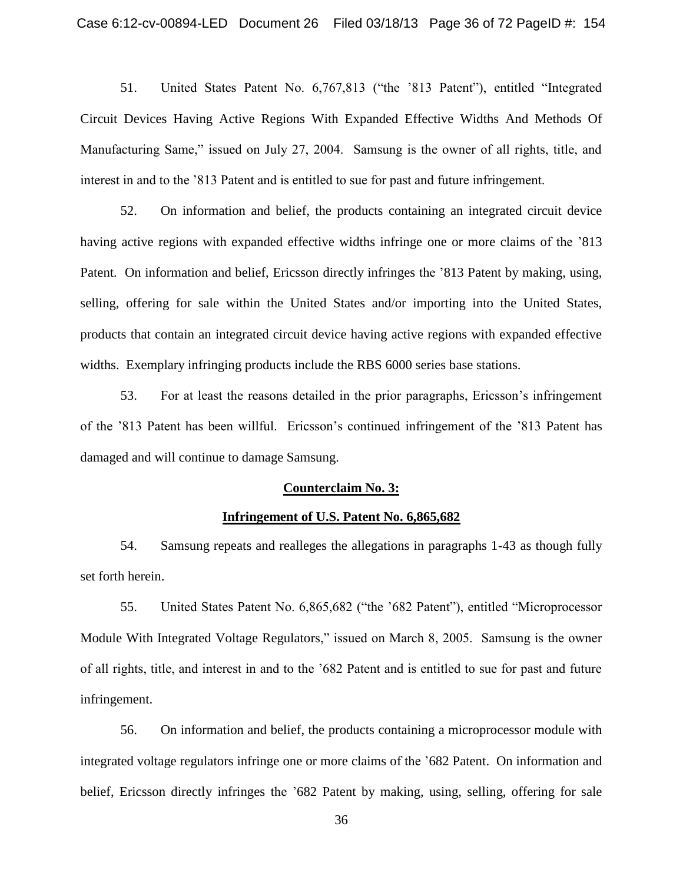51. United States Patent No. 6,767,813 ("the '813 Patent"), entitled "Integrated Circuit Devices Having Active Regions With Expanded Effective Widths And Methods Of Manufacturing Same," issued on July 27, 2004. Samsung is the owner of all rights, title, and interest in and to the '813 Patent and is entitled to sue for past and future infringement.

52. On information and belief, the products containing an integrated circuit device having active regions with expanded effective widths infringe one or more claims of the '813 Patent. On information and belief, Ericsson directly infringes the '813 Patent by making, using, selling, offering for sale within the United States and/or importing into the United States, products that contain an integrated circuit device having active regions with expanded effective widths. Exemplary infringing products include the RBS 6000 series base stations.

53. For at least the reasons detailed in the prior paragraphs, Ericsson's infringement of the '813 Patent has been willful. Ericsson's continued infringement of the '813 Patent has damaged and will continue to damage Samsung.

### **Counterclaim No. 3:**

#### **Infringement of U.S. Patent No. 6,865,682**

54. Samsung repeats and realleges the allegations in paragraphs 1-43 as though fully set forth herein.

55. United States Patent No. 6,865,682 ("the '682 Patent"), entitled "Microprocessor Module With Integrated Voltage Regulators," issued on March 8, 2005. Samsung is the owner of all rights, title, and interest in and to the '682 Patent and is entitled to sue for past and future infringement.

56. On information and belief, the products containing a microprocessor module with integrated voltage regulators infringe one or more claims of the '682 Patent. On information and belief, Ericsson directly infringes the '682 Patent by making, using, selling, offering for sale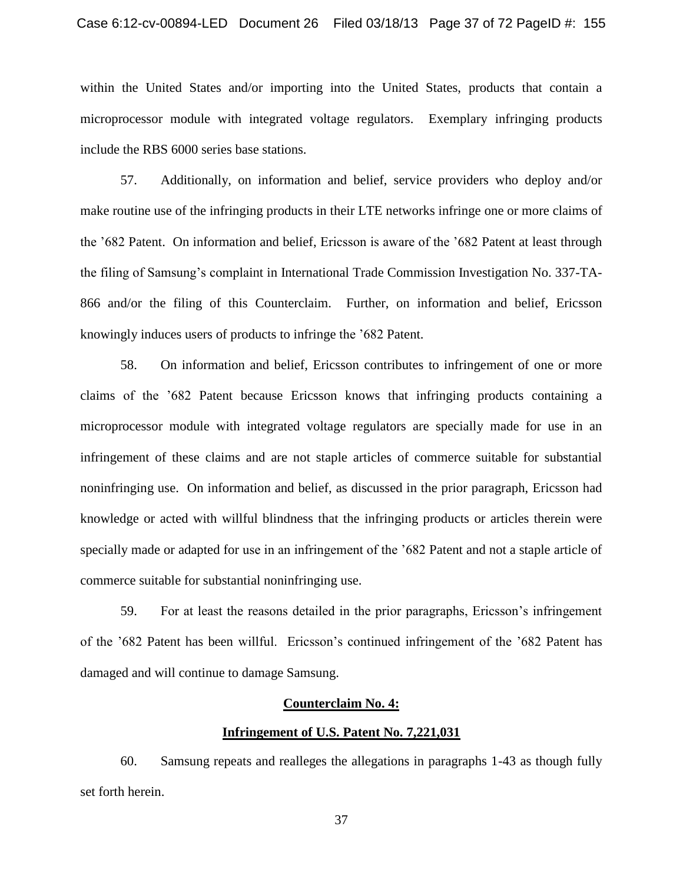within the United States and/or importing into the United States, products that contain a microprocessor module with integrated voltage regulators. Exemplary infringing products include the RBS 6000 series base stations.

57. Additionally, on information and belief, service providers who deploy and/or make routine use of the infringing products in their LTE networks infringe one or more claims of the '682 Patent. On information and belief, Ericsson is aware of the '682 Patent at least through the filing of Samsung's complaint in International Trade Commission Investigation No. 337-TA-866 and/or the filing of this Counterclaim. Further, on information and belief, Ericsson knowingly induces users of products to infringe the '682 Patent.

58. On information and belief, Ericsson contributes to infringement of one or more claims of the '682 Patent because Ericsson knows that infringing products containing a microprocessor module with integrated voltage regulators are specially made for use in an infringement of these claims and are not staple articles of commerce suitable for substantial noninfringing use. On information and belief, as discussed in the prior paragraph, Ericsson had knowledge or acted with willful blindness that the infringing products or articles therein were specially made or adapted for use in an infringement of the '682 Patent and not a staple article of commerce suitable for substantial noninfringing use.

59. For at least the reasons detailed in the prior paragraphs, Ericsson's infringement of the '682 Patent has been willful. Ericsson's continued infringement of the '682 Patent has damaged and will continue to damage Samsung.

#### **Counterclaim No. 4:**

## **Infringement of U.S. Patent No. 7,221,031**

60. Samsung repeats and realleges the allegations in paragraphs 1-43 as though fully set forth herein.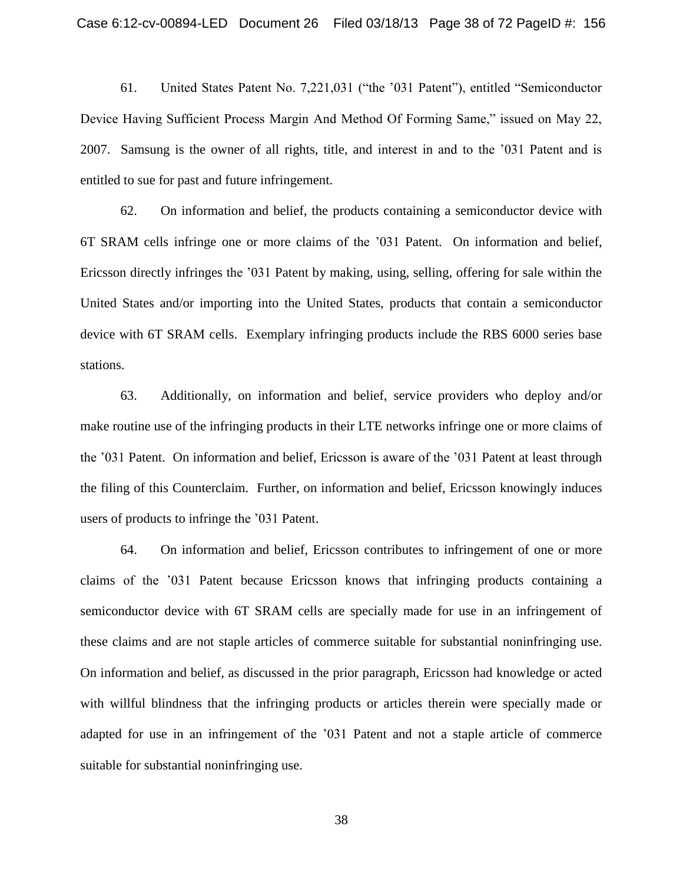61. United States Patent No. 7,221,031 ("the '031 Patent"), entitled "Semiconductor Device Having Sufficient Process Margin And Method Of Forming Same," issued on May 22, 2007. Samsung is the owner of all rights, title, and interest in and to the '031 Patent and is entitled to sue for past and future infringement.

62. On information and belief, the products containing a semiconductor device with 6T SRAM cells infringe one or more claims of the '031 Patent. On information and belief, Ericsson directly infringes the '031 Patent by making, using, selling, offering for sale within the United States and/or importing into the United States, products that contain a semiconductor device with 6T SRAM cells. Exemplary infringing products include the RBS 6000 series base stations.

63. Additionally, on information and belief, service providers who deploy and/or make routine use of the infringing products in their LTE networks infringe one or more claims of the '031 Patent. On information and belief, Ericsson is aware of the '031 Patent at least through the filing of this Counterclaim. Further, on information and belief, Ericsson knowingly induces users of products to infringe the '031 Patent.

64. On information and belief, Ericsson contributes to infringement of one or more claims of the '031 Patent because Ericsson knows that infringing products containing a semiconductor device with 6T SRAM cells are specially made for use in an infringement of these claims and are not staple articles of commerce suitable for substantial noninfringing use. On information and belief, as discussed in the prior paragraph, Ericsson had knowledge or acted with willful blindness that the infringing products or articles therein were specially made or adapted for use in an infringement of the '031 Patent and not a staple article of commerce suitable for substantial noninfringing use.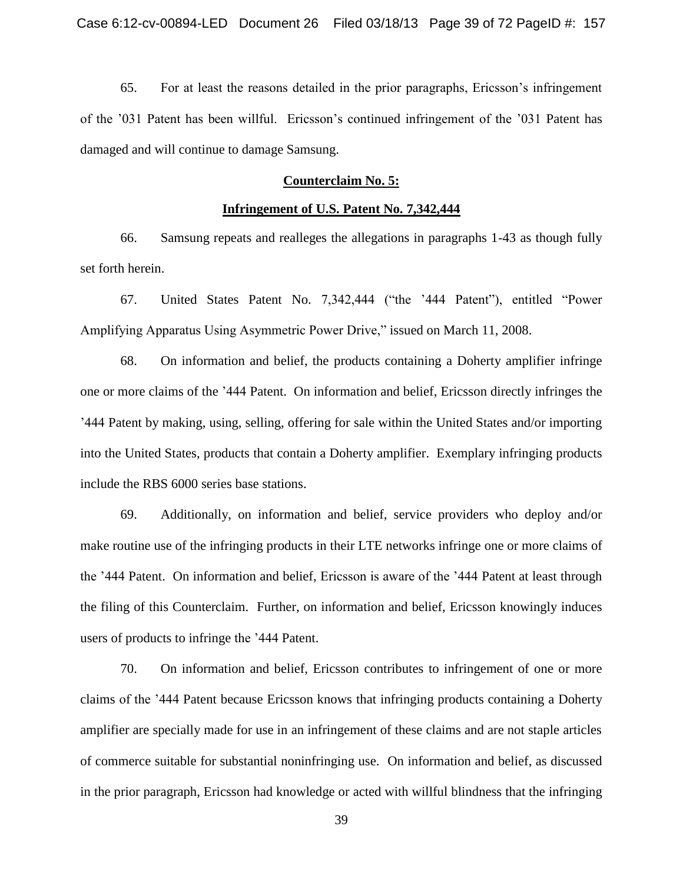65. For at least the reasons detailed in the prior paragraphs, Ericsson's infringement of the '031 Patent has been willful. Ericsson's continued infringement of the '031 Patent has damaged and will continue to damage Samsung.

# **Counterclaim No. 5:**

#### **Infringement of U.S. Patent No. 7,342,444**

66. Samsung repeats and realleges the allegations in paragraphs 1-43 as though fully set forth herein.

67. United States Patent No. 7,342,444 ("the '444 Patent"), entitled "Power Amplifying Apparatus Using Asymmetric Power Drive," issued on March 11, 2008.

68. On information and belief, the products containing a Doherty amplifier infringe one or more claims of the '444 Patent. On information and belief, Ericsson directly infringes the '444 Patent by making, using, selling, offering for sale within the United States and/or importing into the United States, products that contain a Doherty amplifier. Exemplary infringing products include the RBS 6000 series base stations.

69. Additionally, on information and belief, service providers who deploy and/or make routine use of the infringing products in their LTE networks infringe one or more claims of the '444 Patent. On information and belief, Ericsson is aware of the '444 Patent at least through the filing of this Counterclaim. Further, on information and belief, Ericsson knowingly induces users of products to infringe the '444 Patent.

70. On information and belief, Ericsson contributes to infringement of one or more claims of the '444 Patent because Ericsson knows that infringing products containing a Doherty amplifier are specially made for use in an infringement of these claims and are not staple articles of commerce suitable for substantial noninfringing use. On information and belief, as discussed in the prior paragraph, Ericsson had knowledge or acted with willful blindness that the infringing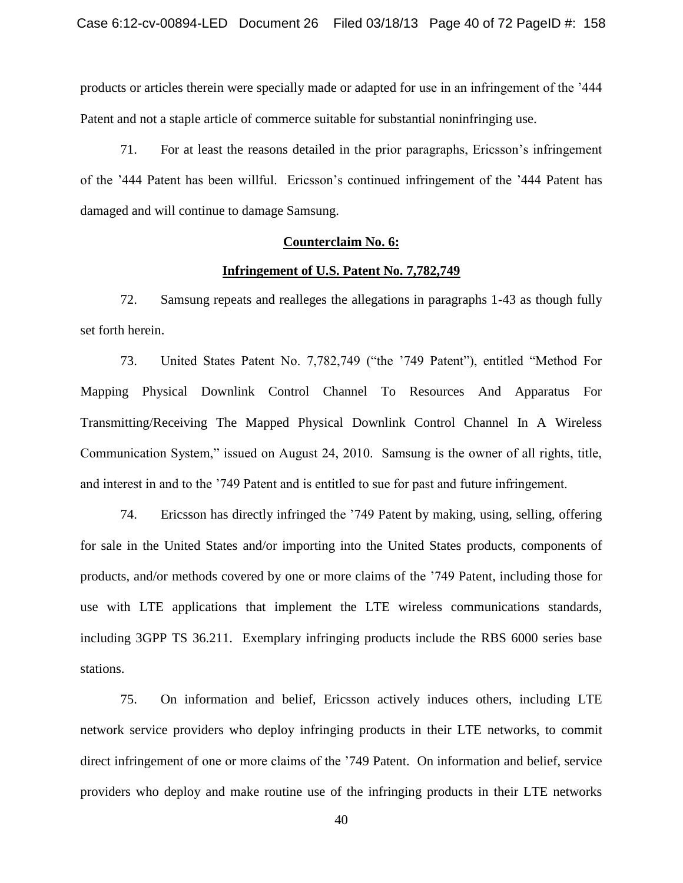products or articles therein were specially made or adapted for use in an infringement of the '444 Patent and not a staple article of commerce suitable for substantial noninfringing use.

71. For at least the reasons detailed in the prior paragraphs, Ericsson's infringement of the '444 Patent has been willful. Ericsson's continued infringement of the '444 Patent has damaged and will continue to damage Samsung.

## **Counterclaim No. 6:**

#### **Infringement of U.S. Patent No. 7,782,749**

72. Samsung repeats and realleges the allegations in paragraphs 1-43 as though fully set forth herein.

73. United States Patent No. 7,782,749 ("the '749 Patent"), entitled "Method For Mapping Physical Downlink Control Channel To Resources And Apparatus For Transmitting/Receiving The Mapped Physical Downlink Control Channel In A Wireless Communication System," issued on August 24, 2010. Samsung is the owner of all rights, title, and interest in and to the '749 Patent and is entitled to sue for past and future infringement.

74. Ericsson has directly infringed the '749 Patent by making, using, selling, offering for sale in the United States and/or importing into the United States products, components of products, and/or methods covered by one or more claims of the '749 Patent, including those for use with LTE applications that implement the LTE wireless communications standards, including 3GPP TS 36.211. Exemplary infringing products include the RBS 6000 series base stations.

75. On information and belief, Ericsson actively induces others, including LTE network service providers who deploy infringing products in their LTE networks, to commit direct infringement of one or more claims of the '749 Patent. On information and belief, service providers who deploy and make routine use of the infringing products in their LTE networks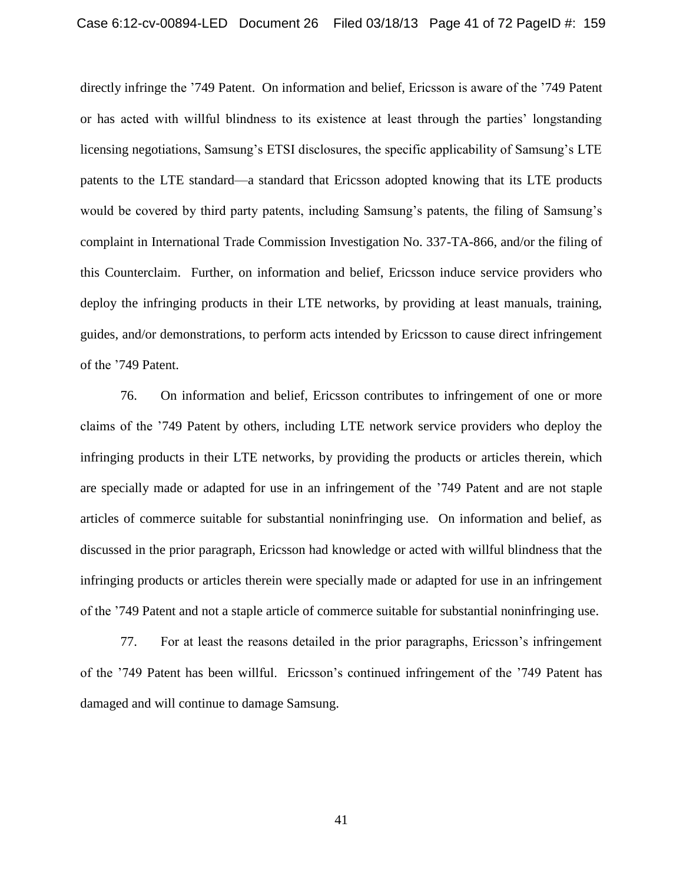directly infringe the '749 Patent. On information and belief, Ericsson is aware of the '749 Patent or has acted with willful blindness to its existence at least through the parties' longstanding licensing negotiations, Samsung's ETSI disclosures, the specific applicability of Samsung's LTE patents to the LTE standard—a standard that Ericsson adopted knowing that its LTE products would be covered by third party patents, including Samsung's patents, the filing of Samsung's complaint in International Trade Commission Investigation No. 337-TA-866, and/or the filing of this Counterclaim. Further, on information and belief, Ericsson induce service providers who deploy the infringing products in their LTE networks, by providing at least manuals, training, guides, and/or demonstrations, to perform acts intended by Ericsson to cause direct infringement of the '749 Patent.

76. On information and belief, Ericsson contributes to infringement of one or more claims of the '749 Patent by others, including LTE network service providers who deploy the infringing products in their LTE networks, by providing the products or articles therein, which are specially made or adapted for use in an infringement of the '749 Patent and are not staple articles of commerce suitable for substantial noninfringing use. On information and belief, as discussed in the prior paragraph, Ericsson had knowledge or acted with willful blindness that the infringing products or articles therein were specially made or adapted for use in an infringement of the '749 Patent and not a staple article of commerce suitable for substantial noninfringing use.

77. For at least the reasons detailed in the prior paragraphs, Ericsson's infringement of the '749 Patent has been willful. Ericsson's continued infringement of the '749 Patent has damaged and will continue to damage Samsung.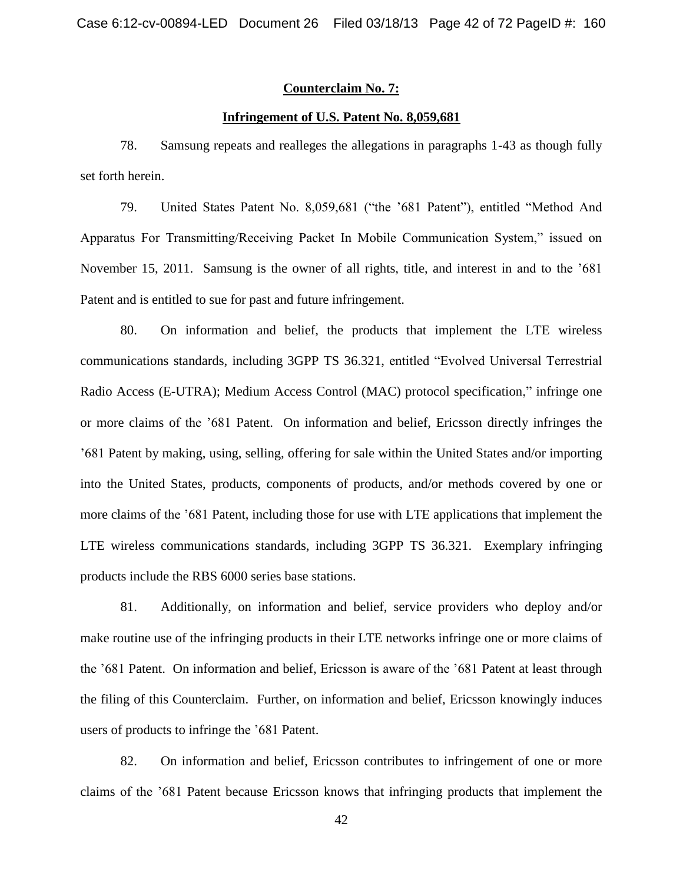# **Counterclaim No. 7:**

# **Infringement of U.S. Patent No. 8,059,681**

78. Samsung repeats and realleges the allegations in paragraphs 1-43 as though fully set forth herein.

79. United States Patent No. 8,059,681 ("the '681 Patent"), entitled "Method And Apparatus For Transmitting/Receiving Packet In Mobile Communication System," issued on November 15, 2011. Samsung is the owner of all rights, title, and interest in and to the '681 Patent and is entitled to sue for past and future infringement.

80. On information and belief, the products that implement the LTE wireless communications standards, including 3GPP TS 36.321, entitled "Evolved Universal Terrestrial Radio Access (E-UTRA); Medium Access Control (MAC) protocol specification," infringe one or more claims of the '681 Patent. On information and belief, Ericsson directly infringes the '681 Patent by making, using, selling, offering for sale within the United States and/or importing into the United States, products, components of products, and/or methods covered by one or more claims of the '681 Patent, including those for use with LTE applications that implement the LTE wireless communications standards, including 3GPP TS 36.321. Exemplary infringing products include the RBS 6000 series base stations.

81. Additionally, on information and belief, service providers who deploy and/or make routine use of the infringing products in their LTE networks infringe one or more claims of the '681 Patent. On information and belief, Ericsson is aware of the '681 Patent at least through the filing of this Counterclaim. Further, on information and belief, Ericsson knowingly induces users of products to infringe the '681 Patent.

82. On information and belief, Ericsson contributes to infringement of one or more claims of the '681 Patent because Ericsson knows that infringing products that implement the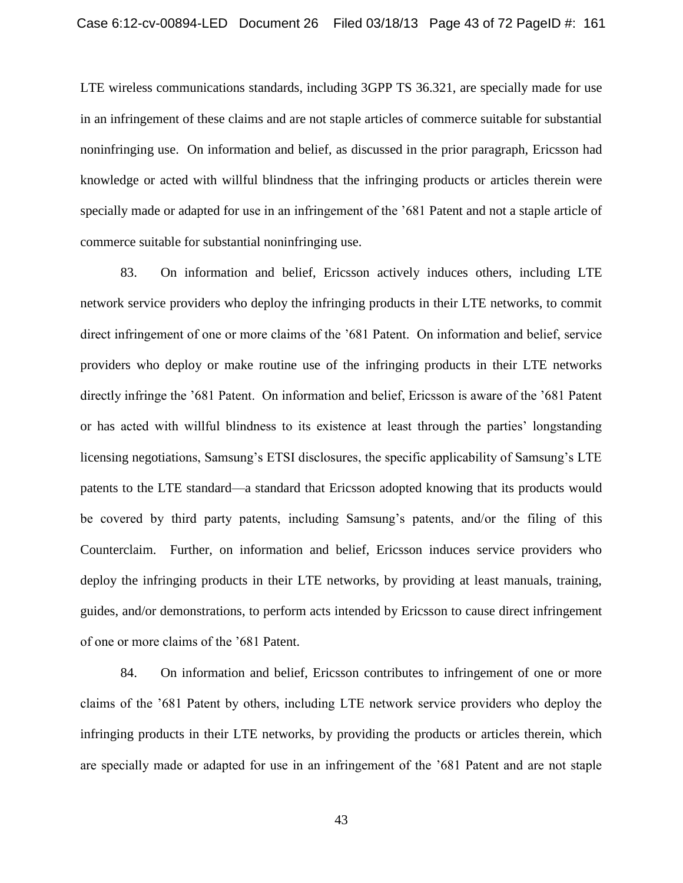LTE wireless communications standards, including 3GPP TS 36.321, are specially made for use in an infringement of these claims and are not staple articles of commerce suitable for substantial noninfringing use. On information and belief, as discussed in the prior paragraph, Ericsson had knowledge or acted with willful blindness that the infringing products or articles therein were specially made or adapted for use in an infringement of the '681 Patent and not a staple article of commerce suitable for substantial noninfringing use.

83. On information and belief, Ericsson actively induces others, including LTE network service providers who deploy the infringing products in their LTE networks, to commit direct infringement of one or more claims of the '681 Patent. On information and belief, service providers who deploy or make routine use of the infringing products in their LTE networks directly infringe the '681 Patent. On information and belief, Ericsson is aware of the '681 Patent or has acted with willful blindness to its existence at least through the parties' longstanding licensing negotiations, Samsung's ETSI disclosures, the specific applicability of Samsung's LTE patents to the LTE standard—a standard that Ericsson adopted knowing that its products would be covered by third party patents, including Samsung's patents, and/or the filing of this Counterclaim. Further, on information and belief, Ericsson induces service providers who deploy the infringing products in their LTE networks, by providing at least manuals, training, guides, and/or demonstrations, to perform acts intended by Ericsson to cause direct infringement of one or more claims of the '681 Patent.

84. On information and belief, Ericsson contributes to infringement of one or more claims of the '681 Patent by others, including LTE network service providers who deploy the infringing products in their LTE networks, by providing the products or articles therein, which are specially made or adapted for use in an infringement of the '681 Patent and are not staple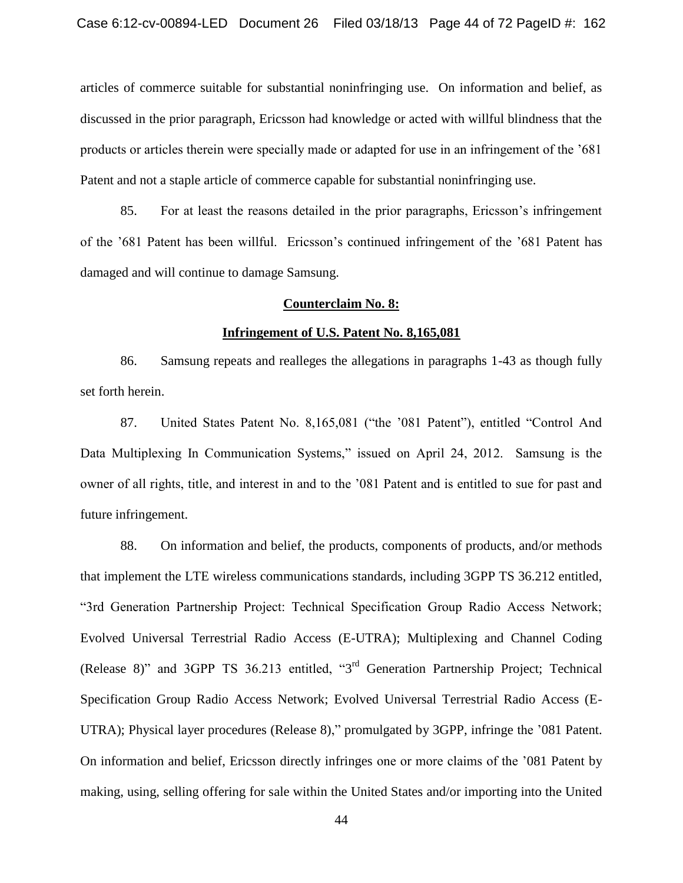articles of commerce suitable for substantial noninfringing use. On information and belief, as discussed in the prior paragraph, Ericsson had knowledge or acted with willful blindness that the products or articles therein were specially made or adapted for use in an infringement of the '681 Patent and not a staple article of commerce capable for substantial noninfringing use.

85. For at least the reasons detailed in the prior paragraphs, Ericsson's infringement of the '681 Patent has been willful. Ericsson's continued infringement of the '681 Patent has damaged and will continue to damage Samsung.

## **Counterclaim No. 8:**

#### **Infringement of U.S. Patent No. 8,165,081**

86. Samsung repeats and realleges the allegations in paragraphs 1-43 as though fully set forth herein.

87. United States Patent No. 8,165,081 ("the '081 Patent"), entitled "Control And Data Multiplexing In Communication Systems," issued on April 24, 2012. Samsung is the owner of all rights, title, and interest in and to the '081 Patent and is entitled to sue for past and future infringement.

88. On information and belief, the products, components of products, and/or methods that implement the LTE wireless communications standards, including 3GPP TS 36.212 entitled, ―3rd Generation Partnership Project: Technical Specification Group Radio Access Network; Evolved Universal Terrestrial Radio Access (E-UTRA); Multiplexing and Channel Coding (Release 8)" and 3GPP TS 36.213 entitled, "3<sup>rd</sup> Generation Partnership Project; Technical Specification Group Radio Access Network; Evolved Universal Terrestrial Radio Access (E-UTRA); Physical layer procedures (Release 8)," promulgated by 3GPP, infringe the '081 Patent. On information and belief, Ericsson directly infringes one or more claims of the '081 Patent by making, using, selling offering for sale within the United States and/or importing into the United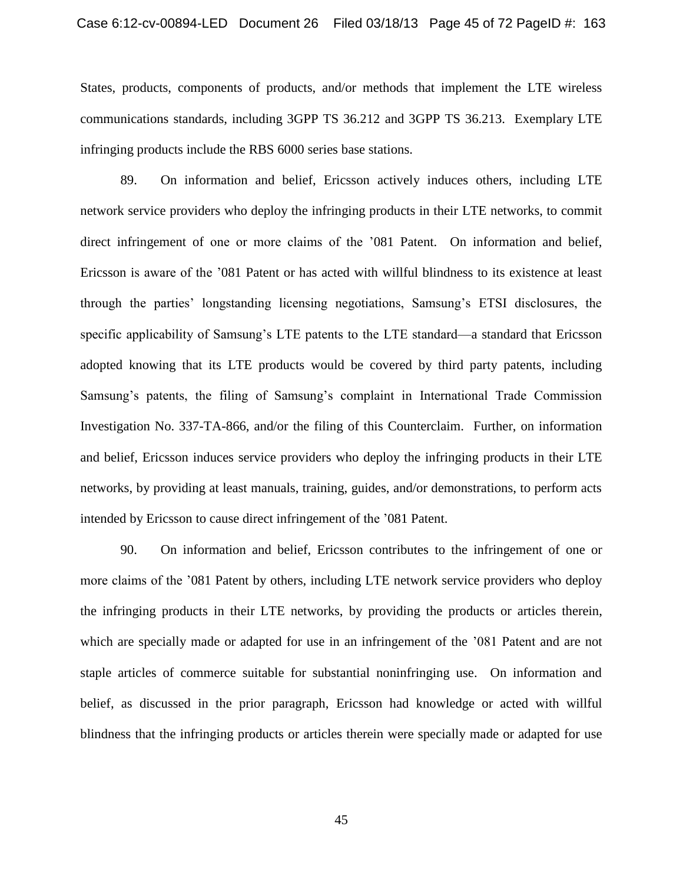States, products, components of products, and/or methods that implement the LTE wireless communications standards, including 3GPP TS 36.212 and 3GPP TS 36.213. Exemplary LTE infringing products include the RBS 6000 series base stations.

89. On information and belief, Ericsson actively induces others, including LTE network service providers who deploy the infringing products in their LTE networks, to commit direct infringement of one or more claims of the '081 Patent. On information and belief, Ericsson is aware of the '081 Patent or has acted with willful blindness to its existence at least through the parties' longstanding licensing negotiations, Samsung's ETSI disclosures, the specific applicability of Samsung's LTE patents to the LTE standard—a standard that Ericsson adopted knowing that its LTE products would be covered by third party patents, including Samsung's patents, the filing of Samsung's complaint in International Trade Commission Investigation No. 337-TA-866, and/or the filing of this Counterclaim. Further, on information and belief, Ericsson induces service providers who deploy the infringing products in their LTE networks, by providing at least manuals, training, guides, and/or demonstrations, to perform acts intended by Ericsson to cause direct infringement of the '081 Patent.

90. On information and belief, Ericsson contributes to the infringement of one or more claims of the '081 Patent by others, including LTE network service providers who deploy the infringing products in their LTE networks, by providing the products or articles therein, which are specially made or adapted for use in an infringement of the '081 Patent and are not staple articles of commerce suitable for substantial noninfringing use. On information and belief, as discussed in the prior paragraph, Ericsson had knowledge or acted with willful blindness that the infringing products or articles therein were specially made or adapted for use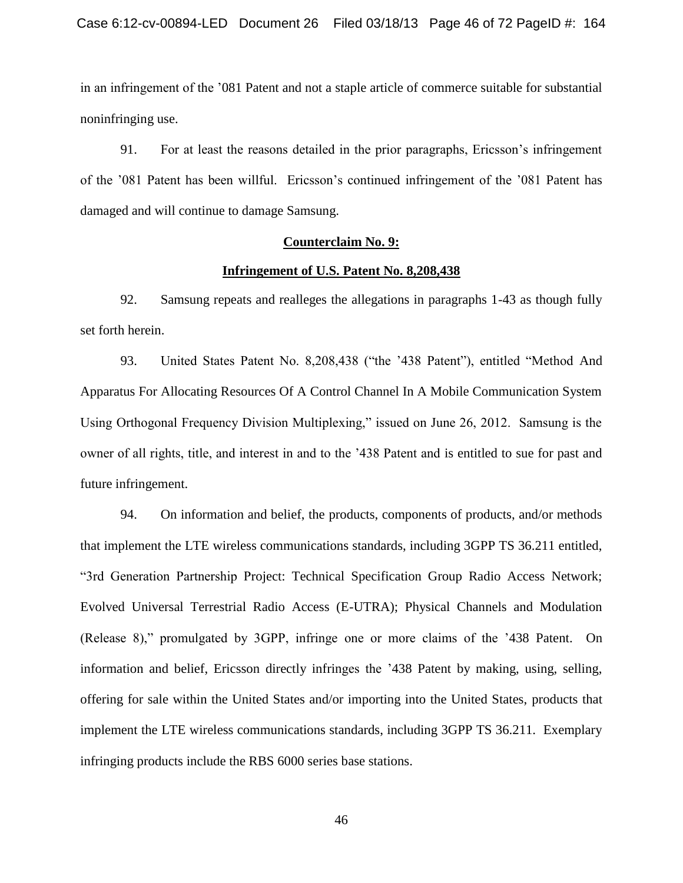in an infringement of the '081 Patent and not a staple article of commerce suitable for substantial noninfringing use.

91. For at least the reasons detailed in the prior paragraphs, Ericsson's infringement of the '081 Patent has been willful. Ericsson's continued infringement of the '081 Patent has damaged and will continue to damage Samsung.

# **Counterclaim No. 9:**

#### **Infringement of U.S. Patent No. 8,208,438**

92. Samsung repeats and realleges the allegations in paragraphs 1-43 as though fully set forth herein.

93. United States Patent No. 8,208,438 ("the '438 Patent"), entitled "Method And Apparatus For Allocating Resources Of A Control Channel In A Mobile Communication System Using Orthogonal Frequency Division Multiplexing," issued on June 26, 2012. Samsung is the owner of all rights, title, and interest in and to the '438 Patent and is entitled to sue for past and future infringement.

94. On information and belief, the products, components of products, and/or methods that implement the LTE wireless communications standards, including 3GPP TS 36.211 entitled, ―3rd Generation Partnership Project: Technical Specification Group Radio Access Network; Evolved Universal Terrestrial Radio Access (E-UTRA); Physical Channels and Modulation (Release 8)," promulgated by 3GPP, infringe one or more claims of the '438 Patent. On information and belief, Ericsson directly infringes the '438 Patent by making, using, selling, offering for sale within the United States and/or importing into the United States, products that implement the LTE wireless communications standards, including 3GPP TS 36.211. Exemplary infringing products include the RBS 6000 series base stations.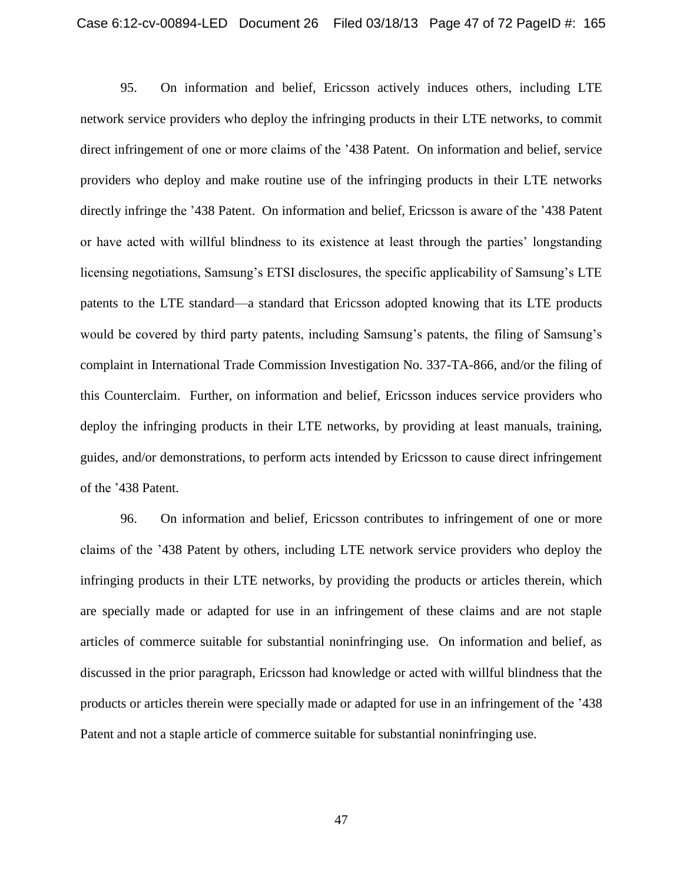95. On information and belief, Ericsson actively induces others, including LTE network service providers who deploy the infringing products in their LTE networks, to commit direct infringement of one or more claims of the '438 Patent. On information and belief, service providers who deploy and make routine use of the infringing products in their LTE networks directly infringe the '438 Patent. On information and belief, Ericsson is aware of the '438 Patent or have acted with willful blindness to its existence at least through the parties' longstanding licensing negotiations, Samsung's ETSI disclosures, the specific applicability of Samsung's LTE patents to the LTE standard—a standard that Ericsson adopted knowing that its LTE products would be covered by third party patents, including Samsung's patents, the filing of Samsung's complaint in International Trade Commission Investigation No. 337-TA-866, and/or the filing of this Counterclaim. Further, on information and belief, Ericsson induces service providers who deploy the infringing products in their LTE networks, by providing at least manuals, training, guides, and/or demonstrations, to perform acts intended by Ericsson to cause direct infringement of the '438 Patent.

96. On information and belief, Ericsson contributes to infringement of one or more claims of the '438 Patent by others, including LTE network service providers who deploy the infringing products in their LTE networks, by providing the products or articles therein, which are specially made or adapted for use in an infringement of these claims and are not staple articles of commerce suitable for substantial noninfringing use. On information and belief, as discussed in the prior paragraph, Ericsson had knowledge or acted with willful blindness that the products or articles therein were specially made or adapted for use in an infringement of the '438 Patent and not a staple article of commerce suitable for substantial noninfringing use.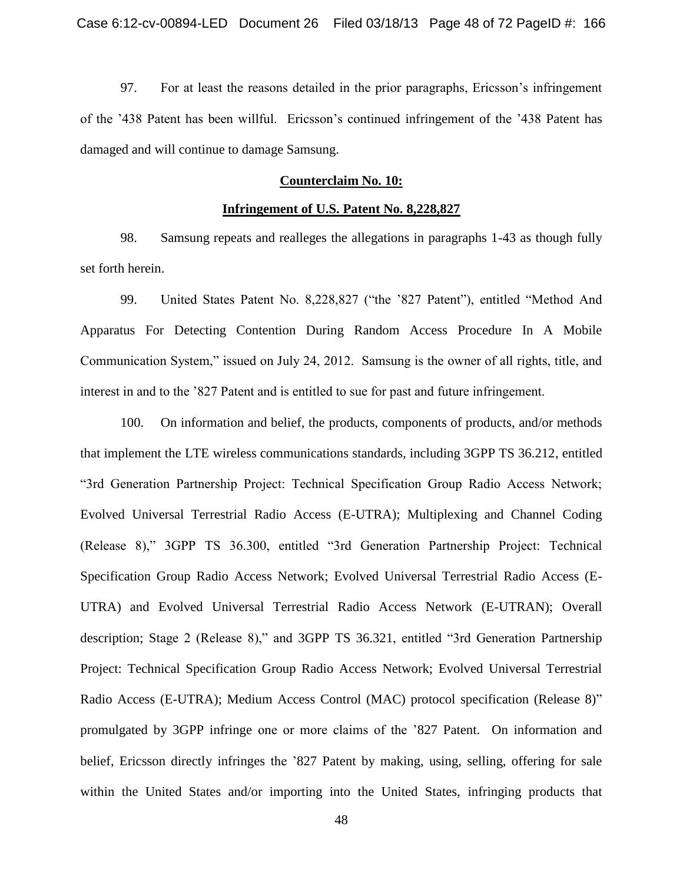97. For at least the reasons detailed in the prior paragraphs, Ericsson's infringement of the '438 Patent has been willful. Ericsson's continued infringement of the '438 Patent has damaged and will continue to damage Samsung.

# **Counterclaim No. 10:**

#### **Infringement of U.S. Patent No. 8,228,827**

98. Samsung repeats and realleges the allegations in paragraphs 1-43 as though fully set forth herein.

99. United States Patent No. 8,228,827 ("the '827 Patent"), entitled "Method And Apparatus For Detecting Contention During Random Access Procedure In A Mobile Communication System," issued on July 24, 2012. Samsung is the owner of all rights, title, and interest in and to the '827 Patent and is entitled to sue for past and future infringement.

100. On information and belief, the products, components of products, and/or methods that implement the LTE wireless communications standards, including 3GPP TS 36.212, entitled ―3rd Generation Partnership Project: Technical Specification Group Radio Access Network; Evolved Universal Terrestrial Radio Access (E-UTRA); Multiplexing and Channel Coding (Release 8)," 3GPP TS 36.300, entitled "3rd Generation Partnership Project: Technical Specification Group Radio Access Network; Evolved Universal Terrestrial Radio Access (E-UTRA) and Evolved Universal Terrestrial Radio Access Network (E-UTRAN); Overall description; Stage 2 (Release 8)," and 3GPP TS 36.321, entitled "3rd Generation Partnership Project: Technical Specification Group Radio Access Network; Evolved Universal Terrestrial Radio Access (E-UTRA); Medium Access Control (MAC) protocol specification (Release 8)" promulgated by 3GPP infringe one or more claims of the '827 Patent. On information and belief, Ericsson directly infringes the '827 Patent by making, using, selling, offering for sale within the United States and/or importing into the United States, infringing products that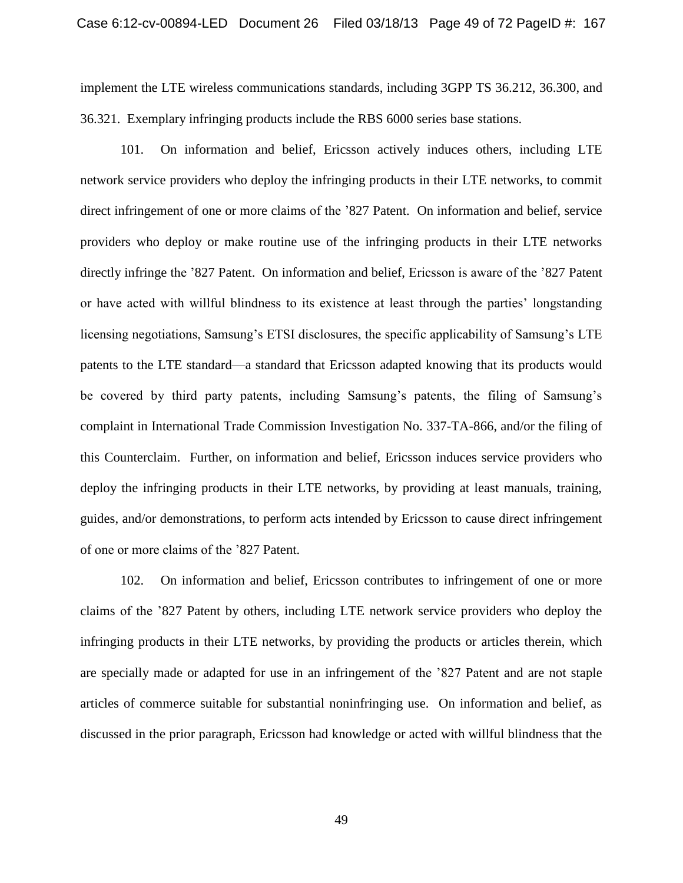implement the LTE wireless communications standards, including 3GPP TS 36.212, 36.300, and 36.321. Exemplary infringing products include the RBS 6000 series base stations.

101. On information and belief, Ericsson actively induces others, including LTE network service providers who deploy the infringing products in their LTE networks, to commit direct infringement of one or more claims of the '827 Patent. On information and belief, service providers who deploy or make routine use of the infringing products in their LTE networks directly infringe the '827 Patent. On information and belief, Ericsson is aware of the '827 Patent or have acted with willful blindness to its existence at least through the parties' longstanding licensing negotiations, Samsung's ETSI disclosures, the specific applicability of Samsung's LTE patents to the LTE standard—a standard that Ericsson adapted knowing that its products would be covered by third party patents, including Samsung's patents, the filing of Samsung's complaint in International Trade Commission Investigation No. 337-TA-866, and/or the filing of this Counterclaim. Further, on information and belief, Ericsson induces service providers who deploy the infringing products in their LTE networks, by providing at least manuals, training, guides, and/or demonstrations, to perform acts intended by Ericsson to cause direct infringement of one or more claims of the '827 Patent.

102. On information and belief, Ericsson contributes to infringement of one or more claims of the '827 Patent by others, including LTE network service providers who deploy the infringing products in their LTE networks, by providing the products or articles therein, which are specially made or adapted for use in an infringement of the '827 Patent and are not staple articles of commerce suitable for substantial noninfringing use. On information and belief, as discussed in the prior paragraph, Ericsson had knowledge or acted with willful blindness that the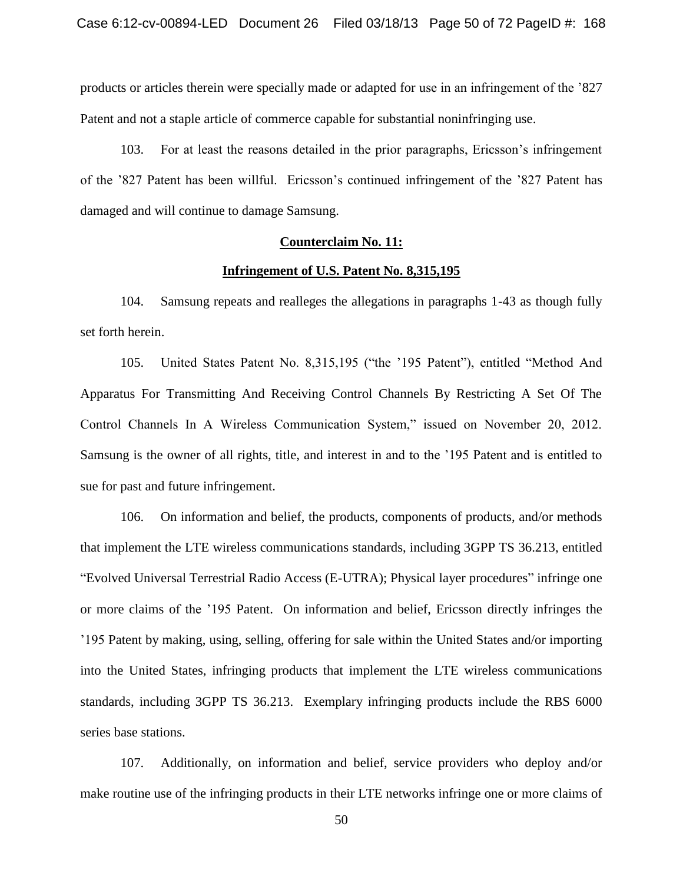products or articles therein were specially made or adapted for use in an infringement of the '827 Patent and not a staple article of commerce capable for substantial noninfringing use.

103. For at least the reasons detailed in the prior paragraphs, Ericsson's infringement of the '827 Patent has been willful. Ericsson's continued infringement of the '827 Patent has damaged and will continue to damage Samsung.

## **Counterclaim No. 11:**

#### **Infringement of U.S. Patent No. 8,315,195**

104. Samsung repeats and realleges the allegations in paragraphs 1-43 as though fully set forth herein.

105. United States Patent No. 8,315,195 ("the '195 Patent"), entitled "Method And Apparatus For Transmitting And Receiving Control Channels By Restricting A Set Of The Control Channels In A Wireless Communication System," issued on November 20, 2012. Samsung is the owner of all rights, title, and interest in and to the '195 Patent and is entitled to sue for past and future infringement.

106. On information and belief, the products, components of products, and/or methods that implement the LTE wireless communications standards, including 3GPP TS 36.213, entitled "Evolved Universal Terrestrial Radio Access (E-UTRA); Physical layer procedures" infringe one or more claims of the '195 Patent. On information and belief, Ericsson directly infringes the '195 Patent by making, using, selling, offering for sale within the United States and/or importing into the United States, infringing products that implement the LTE wireless communications standards, including 3GPP TS 36.213. Exemplary infringing products include the RBS 6000 series base stations.

107. Additionally, on information and belief, service providers who deploy and/or make routine use of the infringing products in their LTE networks infringe one or more claims of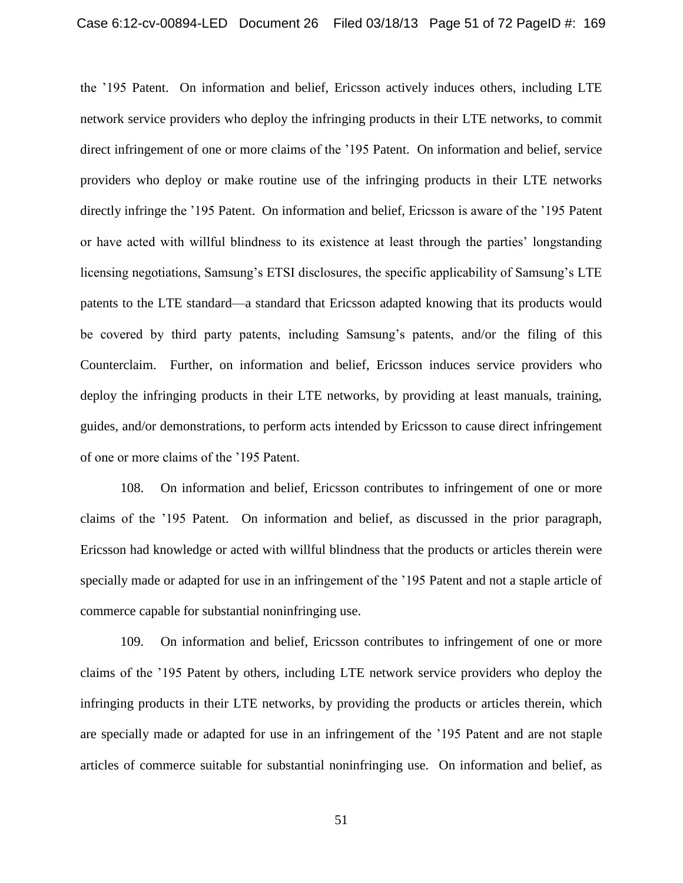the '195 Patent. On information and belief, Ericsson actively induces others, including LTE network service providers who deploy the infringing products in their LTE networks, to commit direct infringement of one or more claims of the '195 Patent. On information and belief, service providers who deploy or make routine use of the infringing products in their LTE networks directly infringe the '195 Patent. On information and belief, Ericsson is aware of the '195 Patent or have acted with willful blindness to its existence at least through the parties' longstanding licensing negotiations, Samsung's ETSI disclosures, the specific applicability of Samsung's LTE patents to the LTE standard—a standard that Ericsson adapted knowing that its products would be covered by third party patents, including Samsung's patents, and/or the filing of this Counterclaim. Further, on information and belief, Ericsson induces service providers who deploy the infringing products in their LTE networks, by providing at least manuals, training, guides, and/or demonstrations, to perform acts intended by Ericsson to cause direct infringement of one or more claims of the '195 Patent.

108. On information and belief, Ericsson contributes to infringement of one or more claims of the '195 Patent. On information and belief, as discussed in the prior paragraph, Ericsson had knowledge or acted with willful blindness that the products or articles therein were specially made or adapted for use in an infringement of the '195 Patent and not a staple article of commerce capable for substantial noninfringing use.

109. On information and belief, Ericsson contributes to infringement of one or more claims of the '195 Patent by others, including LTE network service providers who deploy the infringing products in their LTE networks, by providing the products or articles therein, which are specially made or adapted for use in an infringement of the '195 Patent and are not staple articles of commerce suitable for substantial noninfringing use. On information and belief, as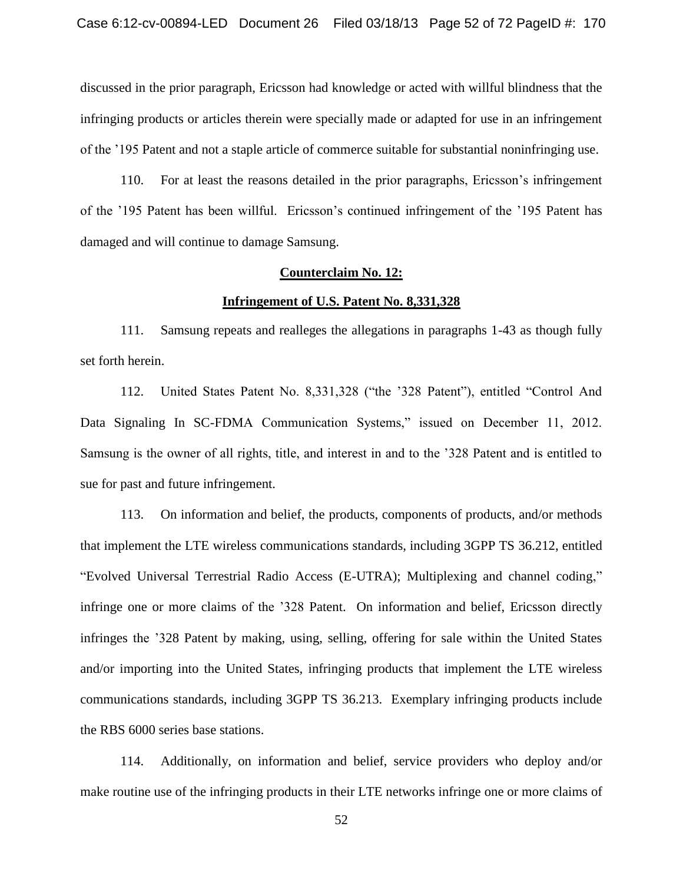discussed in the prior paragraph, Ericsson had knowledge or acted with willful blindness that the infringing products or articles therein were specially made or adapted for use in an infringement of the '195 Patent and not a staple article of commerce suitable for substantial noninfringing use.

110. For at least the reasons detailed in the prior paragraphs, Ericsson's infringement of the '195 Patent has been willful. Ericsson's continued infringement of the '195 Patent has damaged and will continue to damage Samsung.

# **Counterclaim No. 12:**

#### **Infringement of U.S. Patent No. 8,331,328**

111. Samsung repeats and realleges the allegations in paragraphs 1-43 as though fully set forth herein.

112. United States Patent No. 8,331,328 ("the '328 Patent"), entitled "Control And Data Signaling In SC-FDMA Communication Systems," issued on December 11, 2012. Samsung is the owner of all rights, title, and interest in and to the '328 Patent and is entitled to sue for past and future infringement.

113. On information and belief, the products, components of products, and/or methods that implement the LTE wireless communications standards, including 3GPP TS 36.212, entitled "Evolved Universal Terrestrial Radio Access (E-UTRA); Multiplexing and channel coding," infringe one or more claims of the '328 Patent. On information and belief, Ericsson directly infringes the '328 Patent by making, using, selling, offering for sale within the United States and/or importing into the United States, infringing products that implement the LTE wireless communications standards, including 3GPP TS 36.213. Exemplary infringing products include the RBS 6000 series base stations.

114. Additionally, on information and belief, service providers who deploy and/or make routine use of the infringing products in their LTE networks infringe one or more claims of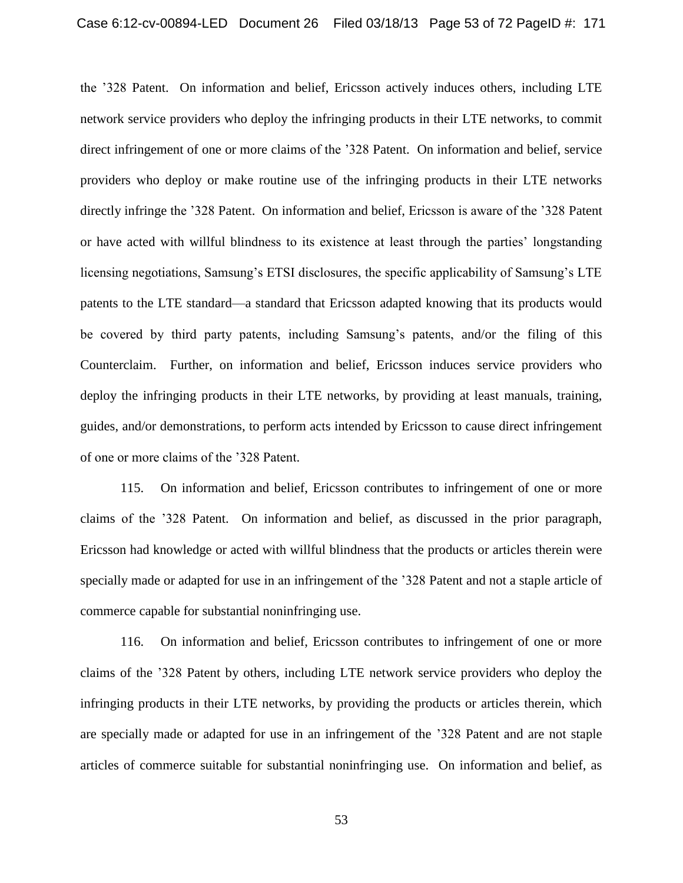the '328 Patent. On information and belief, Ericsson actively induces others, including LTE network service providers who deploy the infringing products in their LTE networks, to commit direct infringement of one or more claims of the '328 Patent. On information and belief, service providers who deploy or make routine use of the infringing products in their LTE networks directly infringe the '328 Patent. On information and belief, Ericsson is aware of the '328 Patent or have acted with willful blindness to its existence at least through the parties' longstanding licensing negotiations, Samsung's ETSI disclosures, the specific applicability of Samsung's LTE patents to the LTE standard—a standard that Ericsson adapted knowing that its products would be covered by third party patents, including Samsung's patents, and/or the filing of this Counterclaim. Further, on information and belief, Ericsson induces service providers who deploy the infringing products in their LTE networks, by providing at least manuals, training, guides, and/or demonstrations, to perform acts intended by Ericsson to cause direct infringement of one or more claims of the '328 Patent.

115. On information and belief, Ericsson contributes to infringement of one or more claims of the '328 Patent. On information and belief, as discussed in the prior paragraph, Ericsson had knowledge or acted with willful blindness that the products or articles therein were specially made or adapted for use in an infringement of the '328 Patent and not a staple article of commerce capable for substantial noninfringing use.

116. On information and belief, Ericsson contributes to infringement of one or more claims of the '328 Patent by others, including LTE network service providers who deploy the infringing products in their LTE networks, by providing the products or articles therein, which are specially made or adapted for use in an infringement of the '328 Patent and are not staple articles of commerce suitable for substantial noninfringing use. On information and belief, as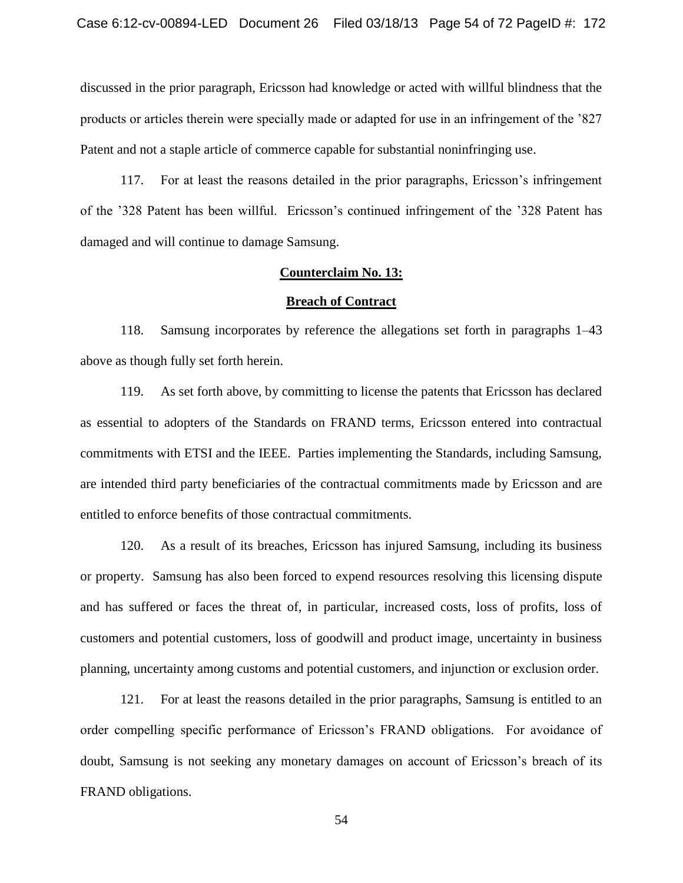discussed in the prior paragraph, Ericsson had knowledge or acted with willful blindness that the products or articles therein were specially made or adapted for use in an infringement of the '827 Patent and not a staple article of commerce capable for substantial noninfringing use.

117. For at least the reasons detailed in the prior paragraphs, Ericsson's infringement of the '328 Patent has been willful. Ericsson's continued infringement of the '328 Patent has damaged and will continue to damage Samsung.

# **Counterclaim No. 13:**

#### **Breach of Contract**

118. Samsung incorporates by reference the allegations set forth in paragraphs 1–43 above as though fully set forth herein.

119. As set forth above, by committing to license the patents that Ericsson has declared as essential to adopters of the Standards on FRAND terms, Ericsson entered into contractual commitments with ETSI and the IEEE. Parties implementing the Standards, including Samsung, are intended third party beneficiaries of the contractual commitments made by Ericsson and are entitled to enforce benefits of those contractual commitments.

120. As a result of its breaches, Ericsson has injured Samsung, including its business or property. Samsung has also been forced to expend resources resolving this licensing dispute and has suffered or faces the threat of, in particular, increased costs, loss of profits, loss of customers and potential customers, loss of goodwill and product image, uncertainty in business planning, uncertainty among customs and potential customers, and injunction or exclusion order.

121. For at least the reasons detailed in the prior paragraphs, Samsung is entitled to an order compelling specific performance of Ericsson's FRAND obligations. For avoidance of doubt, Samsung is not seeking any monetary damages on account of Ericsson's breach of its FRAND obligations.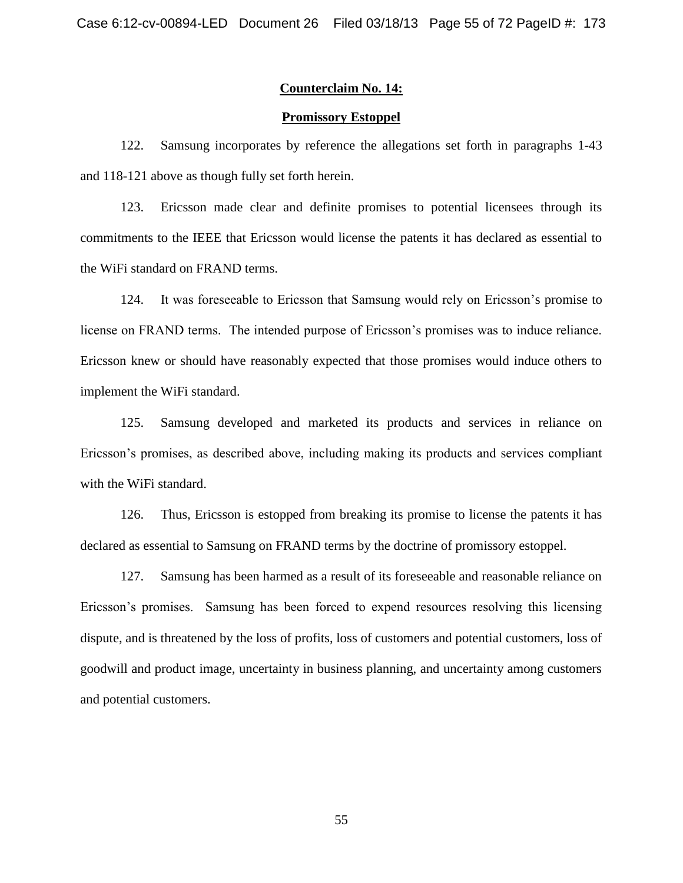## **Counterclaim No. 14:**

## **Promissory Estoppel**

122. Samsung incorporates by reference the allegations set forth in paragraphs 1-43 and 118-121 above as though fully set forth herein.

123. Ericsson made clear and definite promises to potential licensees through its commitments to the IEEE that Ericsson would license the patents it has declared as essential to the WiFi standard on FRAND terms.

124. It was foreseeable to Ericsson that Samsung would rely on Ericsson's promise to license on FRAND terms. The intended purpose of Ericsson's promises was to induce reliance. Ericsson knew or should have reasonably expected that those promises would induce others to implement the WiFi standard.

125. Samsung developed and marketed its products and services in reliance on Ericsson's promises, as described above, including making its products and services compliant with the WiFi standard.

126. Thus, Ericsson is estopped from breaking its promise to license the patents it has declared as essential to Samsung on FRAND terms by the doctrine of promissory estoppel.

127. Samsung has been harmed as a result of its foreseeable and reasonable reliance on Ericsson's promises. Samsung has been forced to expend resources resolving this licensing dispute, and is threatened by the loss of profits, loss of customers and potential customers, loss of goodwill and product image, uncertainty in business planning, and uncertainty among customers and potential customers.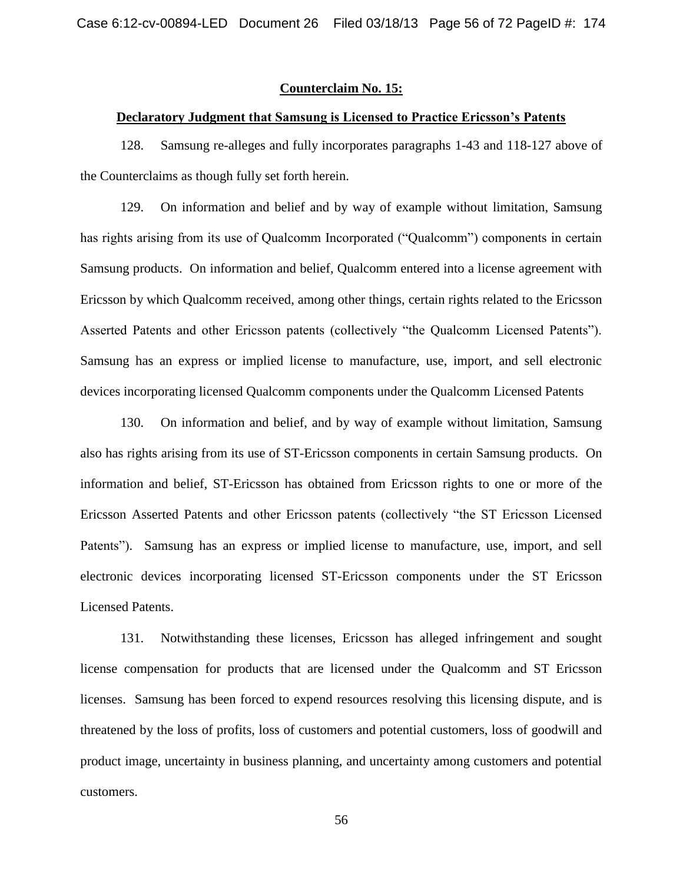# **Counterclaim No. 15:**

## **Declaratory Judgment that Samsung is Licensed to Practice Ericsson's Patents**

128. Samsung re-alleges and fully incorporates paragraphs 1-43 and 118-127 above of the Counterclaims as though fully set forth herein.

129. On information and belief and by way of example without limitation, Samsung has rights arising from its use of Qualcomm Incorporated ("Qualcomm") components in certain Samsung products. On information and belief, Qualcomm entered into a license agreement with Ericsson by which Qualcomm received, among other things, certain rights related to the Ericsson Asserted Patents and other Ericsson patents (collectively "the Qualcomm Licensed Patents"). Samsung has an express or implied license to manufacture, use, import, and sell electronic devices incorporating licensed Qualcomm components under the Qualcomm Licensed Patents

130. On information and belief, and by way of example without limitation, Samsung also has rights arising from its use of ST-Ericsson components in certain Samsung products. On information and belief, ST-Ericsson has obtained from Ericsson rights to one or more of the Ericsson Asserted Patents and other Ericsson patents (collectively "the ST Ericsson Licensed Patents"). Samsung has an express or implied license to manufacture, use, import, and sell electronic devices incorporating licensed ST-Ericsson components under the ST Ericsson Licensed Patents.

131. Notwithstanding these licenses, Ericsson has alleged infringement and sought license compensation for products that are licensed under the Qualcomm and ST Ericsson licenses. Samsung has been forced to expend resources resolving this licensing dispute, and is threatened by the loss of profits, loss of customers and potential customers, loss of goodwill and product image, uncertainty in business planning, and uncertainty among customers and potential customers.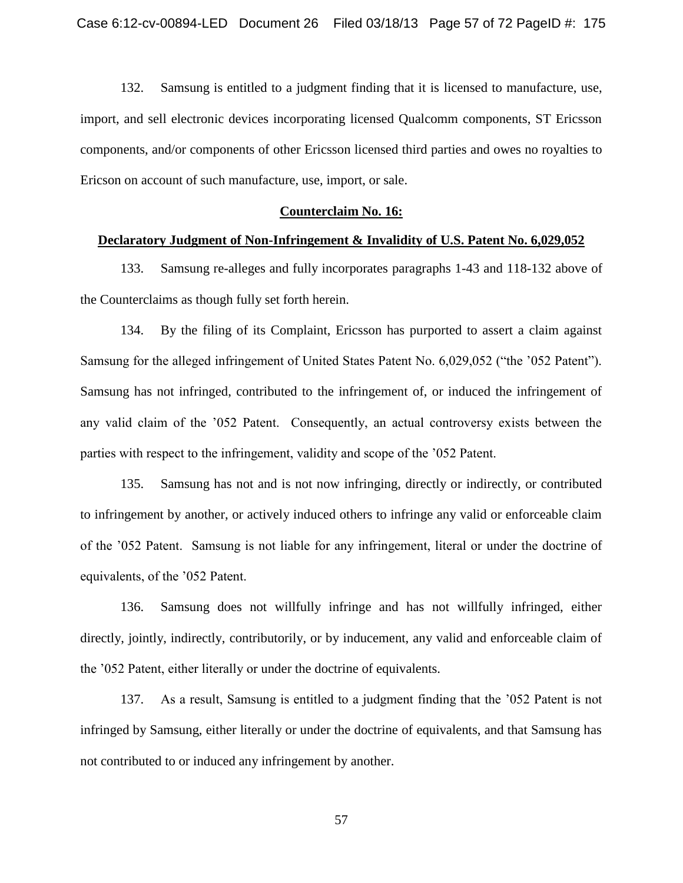132. Samsung is entitled to a judgment finding that it is licensed to manufacture, use, import, and sell electronic devices incorporating licensed Qualcomm components, ST Ericsson components, and/or components of other Ericsson licensed third parties and owes no royalties to Ericson on account of such manufacture, use, import, or sale.

# **Counterclaim No. 16:**

# **Declaratory Judgment of Non-Infringement & Invalidity of U.S. Patent No. 6,029,052**

133. Samsung re-alleges and fully incorporates paragraphs 1-43 and 118-132 above of the Counterclaims as though fully set forth herein.

134. By the filing of its Complaint, Ericsson has purported to assert a claim against Samsung for the alleged infringement of United States Patent No. 6,029,052 ("the '052 Patent"). Samsung has not infringed, contributed to the infringement of, or induced the infringement of any valid claim of the '052 Patent. Consequently, an actual controversy exists between the parties with respect to the infringement, validity and scope of the '052 Patent.

135. Samsung has not and is not now infringing, directly or indirectly, or contributed to infringement by another, or actively induced others to infringe any valid or enforceable claim of the '052 Patent. Samsung is not liable for any infringement, literal or under the doctrine of equivalents, of the '052 Patent.

136. Samsung does not willfully infringe and has not willfully infringed, either directly, jointly, indirectly, contributorily, or by inducement, any valid and enforceable claim of the '052 Patent, either literally or under the doctrine of equivalents.

137. As a result, Samsung is entitled to a judgment finding that the '052 Patent is not infringed by Samsung, either literally or under the doctrine of equivalents, and that Samsung has not contributed to or induced any infringement by another.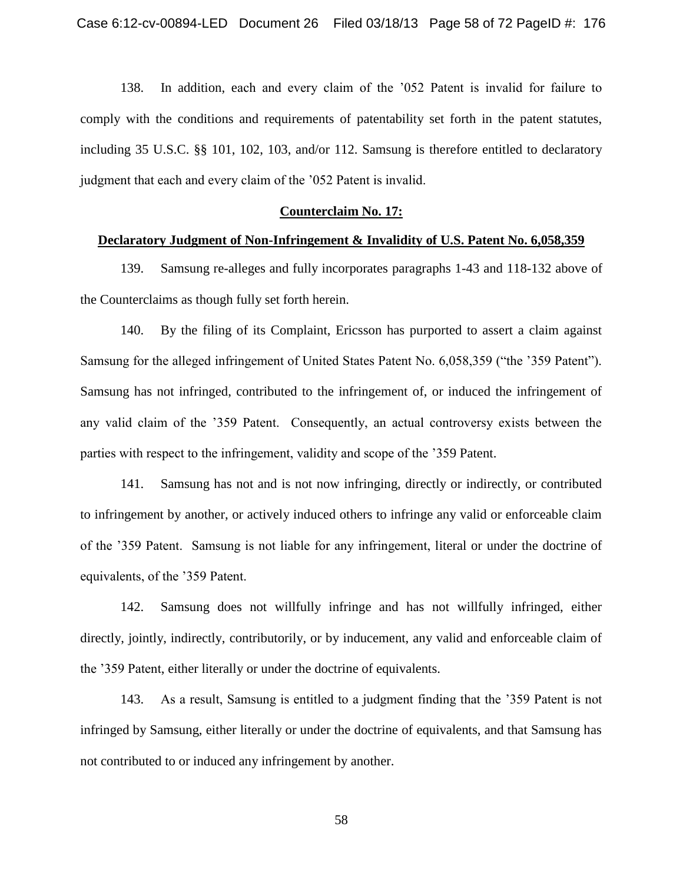138. In addition, each and every claim of the '052 Patent is invalid for failure to comply with the conditions and requirements of patentability set forth in the patent statutes, including 35 U.S.C. §§ 101, 102, 103, and/or 112. Samsung is therefore entitled to declaratory judgment that each and every claim of the '052 Patent is invalid.

# **Counterclaim No. 17:**

# **Declaratory Judgment of Non-Infringement & Invalidity of U.S. Patent No. 6,058,359**

139. Samsung re-alleges and fully incorporates paragraphs 1-43 and 118-132 above of the Counterclaims as though fully set forth herein.

140. By the filing of its Complaint, Ericsson has purported to assert a claim against Samsung for the alleged infringement of United States Patent No. 6,058,359 ("the '359 Patent"). Samsung has not infringed, contributed to the infringement of, or induced the infringement of any valid claim of the '359 Patent. Consequently, an actual controversy exists between the parties with respect to the infringement, validity and scope of the '359 Patent.

141. Samsung has not and is not now infringing, directly or indirectly, or contributed to infringement by another, or actively induced others to infringe any valid or enforceable claim of the '359 Patent. Samsung is not liable for any infringement, literal or under the doctrine of equivalents, of the '359 Patent.

142. Samsung does not willfully infringe and has not willfully infringed, either directly, jointly, indirectly, contributorily, or by inducement, any valid and enforceable claim of the '359 Patent, either literally or under the doctrine of equivalents.

143. As a result, Samsung is entitled to a judgment finding that the '359 Patent is not infringed by Samsung, either literally or under the doctrine of equivalents, and that Samsung has not contributed to or induced any infringement by another.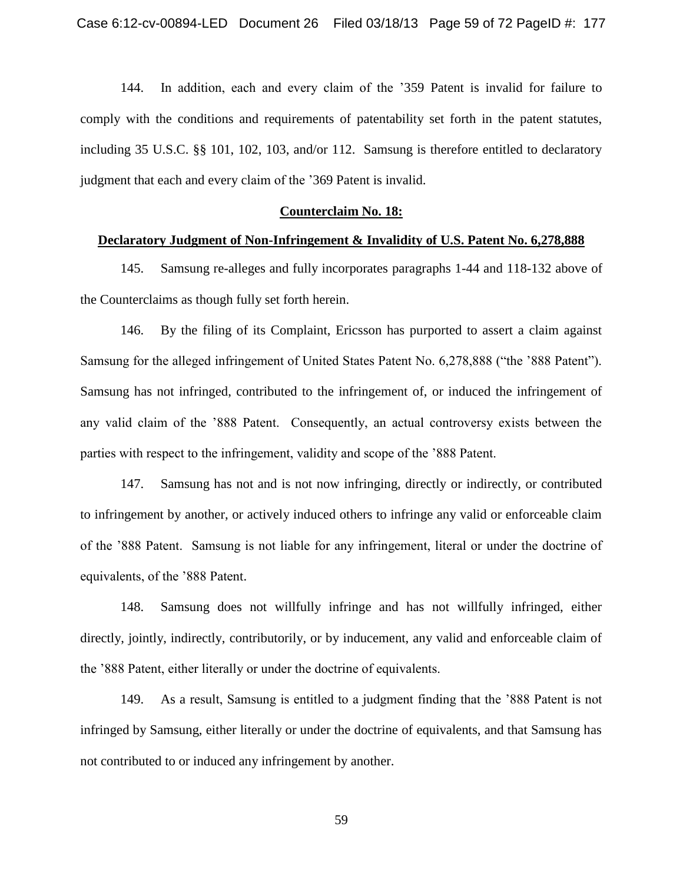144. In addition, each and every claim of the '359 Patent is invalid for failure to comply with the conditions and requirements of patentability set forth in the patent statutes, including 35 U.S.C. §§ 101, 102, 103, and/or 112. Samsung is therefore entitled to declaratory judgment that each and every claim of the '369 Patent is invalid.

# **Counterclaim No. 18:**

# **Declaratory Judgment of Non-Infringement & Invalidity of U.S. Patent No. 6,278,888**

145. Samsung re-alleges and fully incorporates paragraphs 1-44 and 118-132 above of the Counterclaims as though fully set forth herein.

146. By the filing of its Complaint, Ericsson has purported to assert a claim against Samsung for the alleged infringement of United States Patent No. 6,278,888 ("the '888 Patent"). Samsung has not infringed, contributed to the infringement of, or induced the infringement of any valid claim of the '888 Patent. Consequently, an actual controversy exists between the parties with respect to the infringement, validity and scope of the '888 Patent.

147. Samsung has not and is not now infringing, directly or indirectly, or contributed to infringement by another, or actively induced others to infringe any valid or enforceable claim of the '888 Patent. Samsung is not liable for any infringement, literal or under the doctrine of equivalents, of the '888 Patent.

148. Samsung does not willfully infringe and has not willfully infringed, either directly, jointly, indirectly, contributorily, or by inducement, any valid and enforceable claim of the '888 Patent, either literally or under the doctrine of equivalents.

149. As a result, Samsung is entitled to a judgment finding that the '888 Patent is not infringed by Samsung, either literally or under the doctrine of equivalents, and that Samsung has not contributed to or induced any infringement by another.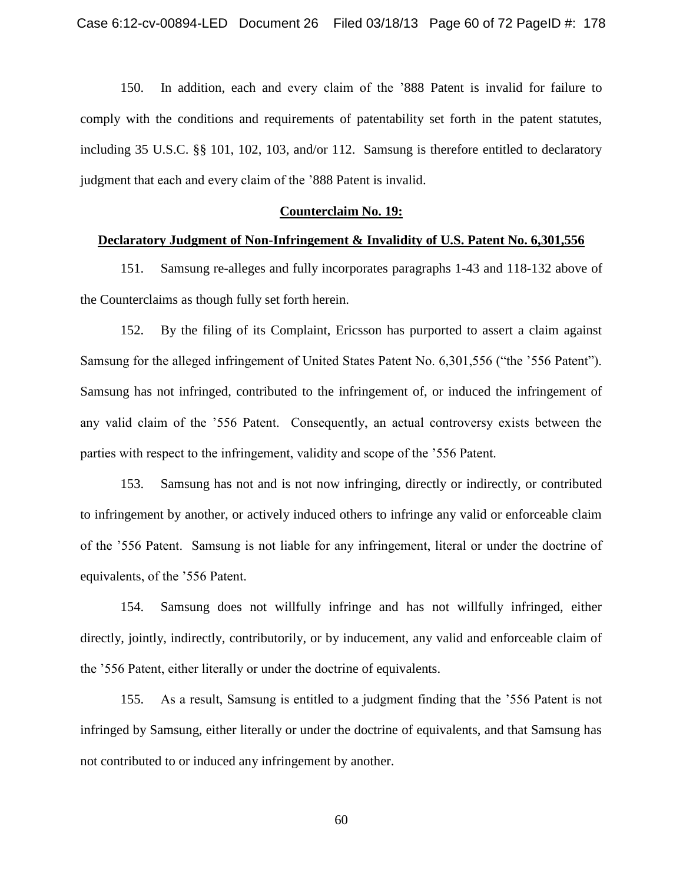150. In addition, each and every claim of the '888 Patent is invalid for failure to comply with the conditions and requirements of patentability set forth in the patent statutes, including 35 U.S.C. §§ 101, 102, 103, and/or 112. Samsung is therefore entitled to declaratory judgment that each and every claim of the '888 Patent is invalid.

# **Counterclaim No. 19:**

# **Declaratory Judgment of Non-Infringement & Invalidity of U.S. Patent No. 6,301,556**

151. Samsung re-alleges and fully incorporates paragraphs 1-43 and 118-132 above of the Counterclaims as though fully set forth herein.

152. By the filing of its Complaint, Ericsson has purported to assert a claim against Samsung for the alleged infringement of United States Patent No. 6,301,556 ("the '556 Patent"). Samsung has not infringed, contributed to the infringement of, or induced the infringement of any valid claim of the '556 Patent. Consequently, an actual controversy exists between the parties with respect to the infringement, validity and scope of the '556 Patent.

153. Samsung has not and is not now infringing, directly or indirectly, or contributed to infringement by another, or actively induced others to infringe any valid or enforceable claim of the '556 Patent. Samsung is not liable for any infringement, literal or under the doctrine of equivalents, of the '556 Patent.

154. Samsung does not willfully infringe and has not willfully infringed, either directly, jointly, indirectly, contributorily, or by inducement, any valid and enforceable claim of the '556 Patent, either literally or under the doctrine of equivalents.

155. As a result, Samsung is entitled to a judgment finding that the '556 Patent is not infringed by Samsung, either literally or under the doctrine of equivalents, and that Samsung has not contributed to or induced any infringement by another.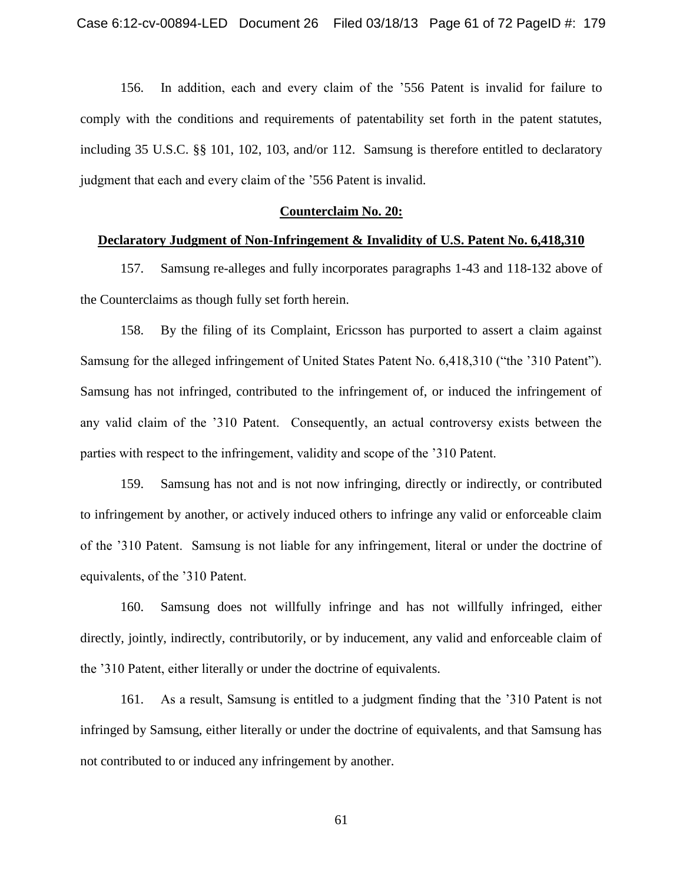156. In addition, each and every claim of the '556 Patent is invalid for failure to comply with the conditions and requirements of patentability set forth in the patent statutes, including 35 U.S.C. §§ 101, 102, 103, and/or 112. Samsung is therefore entitled to declaratory judgment that each and every claim of the '556 Patent is invalid.

# **Counterclaim No. 20:**

# **Declaratory Judgment of Non-Infringement & Invalidity of U.S. Patent No. 6,418,310**

157. Samsung re-alleges and fully incorporates paragraphs 1-43 and 118-132 above of the Counterclaims as though fully set forth herein.

158. By the filing of its Complaint, Ericsson has purported to assert a claim against Samsung for the alleged infringement of United States Patent No. 6,418,310 ("the '310 Patent"). Samsung has not infringed, contributed to the infringement of, or induced the infringement of any valid claim of the '310 Patent. Consequently, an actual controversy exists between the parties with respect to the infringement, validity and scope of the '310 Patent.

159. Samsung has not and is not now infringing, directly or indirectly, or contributed to infringement by another, or actively induced others to infringe any valid or enforceable claim of the '310 Patent. Samsung is not liable for any infringement, literal or under the doctrine of equivalents, of the '310 Patent.

160. Samsung does not willfully infringe and has not willfully infringed, either directly, jointly, indirectly, contributorily, or by inducement, any valid and enforceable claim of the '310 Patent, either literally or under the doctrine of equivalents.

161. As a result, Samsung is entitled to a judgment finding that the '310 Patent is not infringed by Samsung, either literally or under the doctrine of equivalents, and that Samsung has not contributed to or induced any infringement by another.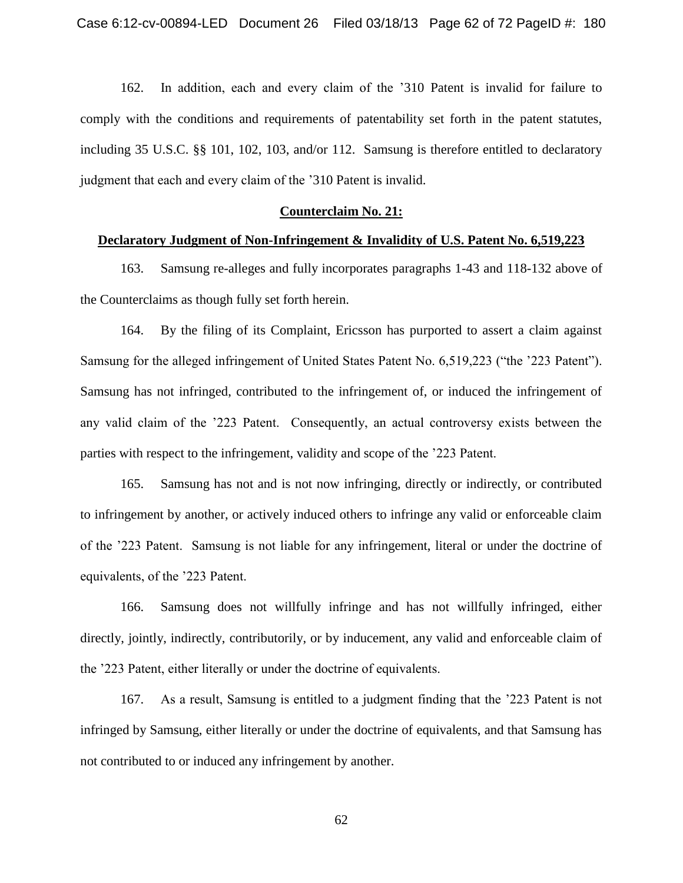162. In addition, each and every claim of the '310 Patent is invalid for failure to comply with the conditions and requirements of patentability set forth in the patent statutes, including 35 U.S.C. §§ 101, 102, 103, and/or 112. Samsung is therefore entitled to declaratory judgment that each and every claim of the '310 Patent is invalid.

# **Counterclaim No. 21:**

# **Declaratory Judgment of Non-Infringement & Invalidity of U.S. Patent No. 6,519,223**

163. Samsung re-alleges and fully incorporates paragraphs 1-43 and 118-132 above of the Counterclaims as though fully set forth herein.

164. By the filing of its Complaint, Ericsson has purported to assert a claim against Samsung for the alleged infringement of United States Patent No. 6,519,223 ("the '223 Patent"). Samsung has not infringed, contributed to the infringement of, or induced the infringement of any valid claim of the '223 Patent. Consequently, an actual controversy exists between the parties with respect to the infringement, validity and scope of the '223 Patent.

165. Samsung has not and is not now infringing, directly or indirectly, or contributed to infringement by another, or actively induced others to infringe any valid or enforceable claim of the '223 Patent. Samsung is not liable for any infringement, literal or under the doctrine of equivalents, of the '223 Patent.

166. Samsung does not willfully infringe and has not willfully infringed, either directly, jointly, indirectly, contributorily, or by inducement, any valid and enforceable claim of the '223 Patent, either literally or under the doctrine of equivalents.

167. As a result, Samsung is entitled to a judgment finding that the '223 Patent is not infringed by Samsung, either literally or under the doctrine of equivalents, and that Samsung has not contributed to or induced any infringement by another.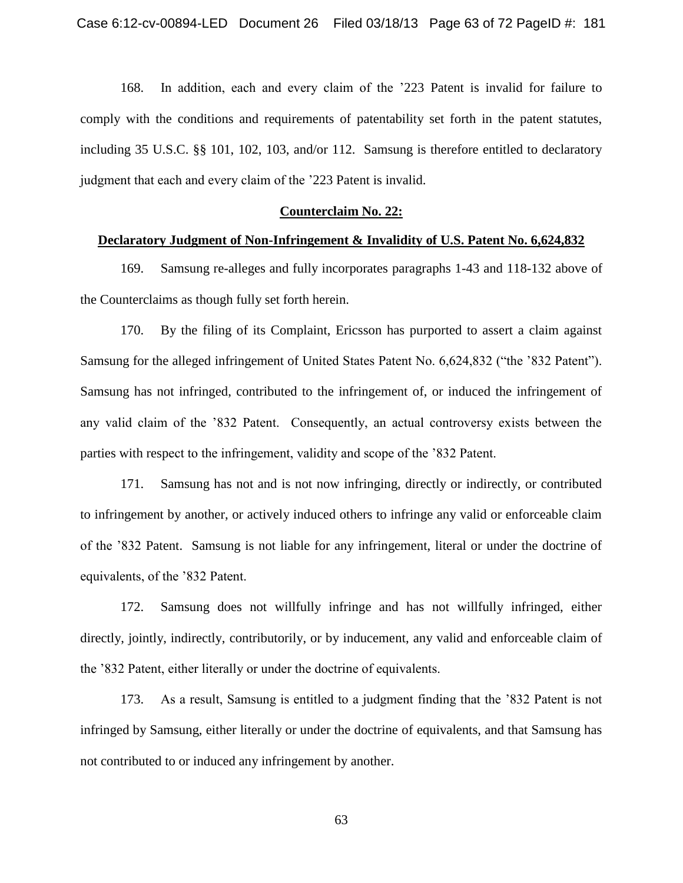168. In addition, each and every claim of the '223 Patent is invalid for failure to comply with the conditions and requirements of patentability set forth in the patent statutes, including 35 U.S.C. §§ 101, 102, 103, and/or 112. Samsung is therefore entitled to declaratory judgment that each and every claim of the '223 Patent is invalid.

## **Counterclaim No. 22:**

# **Declaratory Judgment of Non-Infringement & Invalidity of U.S. Patent No. 6,624,832**

169. Samsung re-alleges and fully incorporates paragraphs 1-43 and 118-132 above of the Counterclaims as though fully set forth herein.

170. By the filing of its Complaint, Ericsson has purported to assert a claim against Samsung for the alleged infringement of United States Patent No. 6,624,832 ("the '832 Patent"). Samsung has not infringed, contributed to the infringement of, or induced the infringement of any valid claim of the '832 Patent. Consequently, an actual controversy exists between the parties with respect to the infringement, validity and scope of the '832 Patent.

171. Samsung has not and is not now infringing, directly or indirectly, or contributed to infringement by another, or actively induced others to infringe any valid or enforceable claim of the '832 Patent. Samsung is not liable for any infringement, literal or under the doctrine of equivalents, of the '832 Patent.

172. Samsung does not willfully infringe and has not willfully infringed, either directly, jointly, indirectly, contributorily, or by inducement, any valid and enforceable claim of the '832 Patent, either literally or under the doctrine of equivalents.

173. As a result, Samsung is entitled to a judgment finding that the '832 Patent is not infringed by Samsung, either literally or under the doctrine of equivalents, and that Samsung has not contributed to or induced any infringement by another.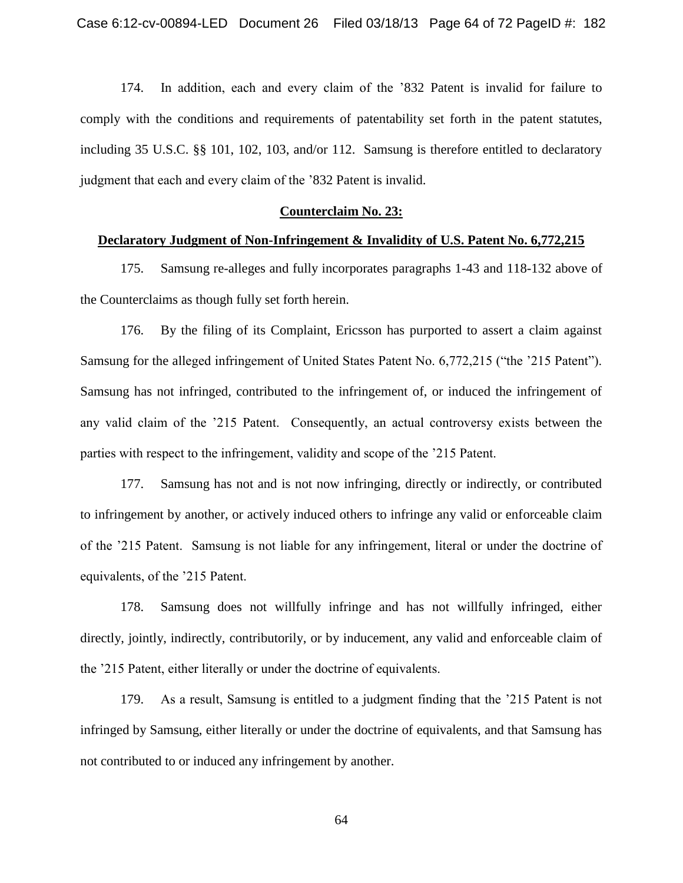174. In addition, each and every claim of the '832 Patent is invalid for failure to comply with the conditions and requirements of patentability set forth in the patent statutes, including 35 U.S.C. §§ 101, 102, 103, and/or 112. Samsung is therefore entitled to declaratory judgment that each and every claim of the '832 Patent is invalid.

# **Counterclaim No. 23:**

# **Declaratory Judgment of Non-Infringement & Invalidity of U.S. Patent No. 6,772,215**

175. Samsung re-alleges and fully incorporates paragraphs 1-43 and 118-132 above of the Counterclaims as though fully set forth herein.

176. By the filing of its Complaint, Ericsson has purported to assert a claim against Samsung for the alleged infringement of United States Patent No. 6,772,215 ("the '215 Patent"). Samsung has not infringed, contributed to the infringement of, or induced the infringement of any valid claim of the '215 Patent. Consequently, an actual controversy exists between the parties with respect to the infringement, validity and scope of the '215 Patent.

177. Samsung has not and is not now infringing, directly or indirectly, or contributed to infringement by another, or actively induced others to infringe any valid or enforceable claim of the '215 Patent. Samsung is not liable for any infringement, literal or under the doctrine of equivalents, of the '215 Patent.

178. Samsung does not willfully infringe and has not willfully infringed, either directly, jointly, indirectly, contributorily, or by inducement, any valid and enforceable claim of the '215 Patent, either literally or under the doctrine of equivalents.

179. As a result, Samsung is entitled to a judgment finding that the '215 Patent is not infringed by Samsung, either literally or under the doctrine of equivalents, and that Samsung has not contributed to or induced any infringement by another.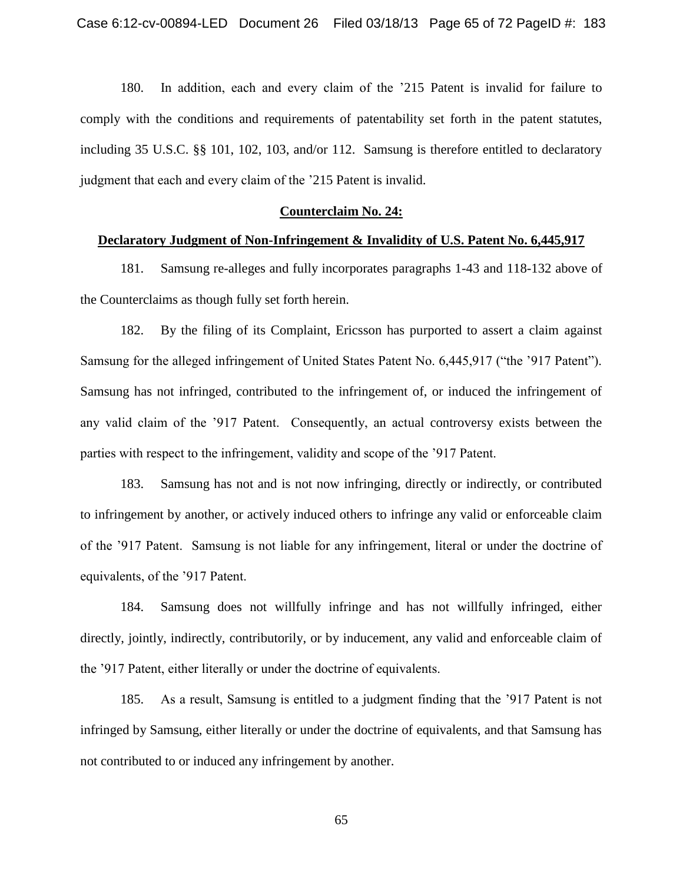180. In addition, each and every claim of the '215 Patent is invalid for failure to comply with the conditions and requirements of patentability set forth in the patent statutes, including 35 U.S.C. §§ 101, 102, 103, and/or 112. Samsung is therefore entitled to declaratory judgment that each and every claim of the '215 Patent is invalid.

# **Counterclaim No. 24:**

# **Declaratory Judgment of Non-Infringement & Invalidity of U.S. Patent No. 6,445,917**

181. Samsung re-alleges and fully incorporates paragraphs 1-43 and 118-132 above of the Counterclaims as though fully set forth herein.

182. By the filing of its Complaint, Ericsson has purported to assert a claim against Samsung for the alleged infringement of United States Patent No. 6,445,917 ("the '917 Patent"). Samsung has not infringed, contributed to the infringement of, or induced the infringement of any valid claim of the '917 Patent. Consequently, an actual controversy exists between the parties with respect to the infringement, validity and scope of the '917 Patent.

183. Samsung has not and is not now infringing, directly or indirectly, or contributed to infringement by another, or actively induced others to infringe any valid or enforceable claim of the '917 Patent. Samsung is not liable for any infringement, literal or under the doctrine of equivalents, of the '917 Patent.

184. Samsung does not willfully infringe and has not willfully infringed, either directly, jointly, indirectly, contributorily, or by inducement, any valid and enforceable claim of the '917 Patent, either literally or under the doctrine of equivalents.

185. As a result, Samsung is entitled to a judgment finding that the '917 Patent is not infringed by Samsung, either literally or under the doctrine of equivalents, and that Samsung has not contributed to or induced any infringement by another.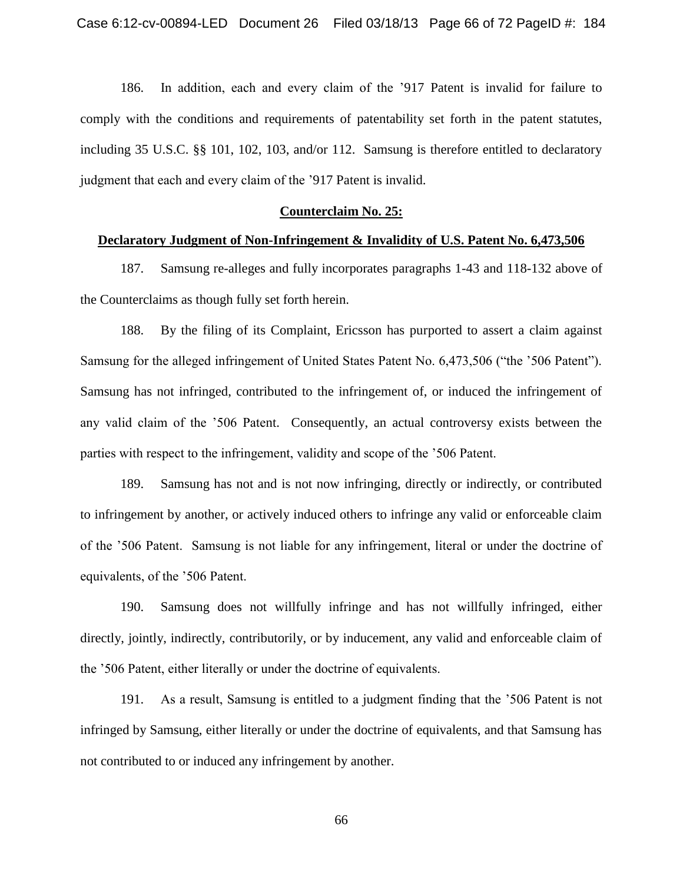186. In addition, each and every claim of the '917 Patent is invalid for failure to comply with the conditions and requirements of patentability set forth in the patent statutes, including 35 U.S.C. §§ 101, 102, 103, and/or 112. Samsung is therefore entitled to declaratory judgment that each and every claim of the '917 Patent is invalid.

# **Counterclaim No. 25:**

# **Declaratory Judgment of Non-Infringement & Invalidity of U.S. Patent No. 6,473,506**

187. Samsung re-alleges and fully incorporates paragraphs 1-43 and 118-132 above of the Counterclaims as though fully set forth herein.

188. By the filing of its Complaint, Ericsson has purported to assert a claim against Samsung for the alleged infringement of United States Patent No. 6,473,506 ("the '506 Patent"). Samsung has not infringed, contributed to the infringement of, or induced the infringement of any valid claim of the '506 Patent. Consequently, an actual controversy exists between the parties with respect to the infringement, validity and scope of the '506 Patent.

189. Samsung has not and is not now infringing, directly or indirectly, or contributed to infringement by another, or actively induced others to infringe any valid or enforceable claim of the '506 Patent. Samsung is not liable for any infringement, literal or under the doctrine of equivalents, of the '506 Patent.

190. Samsung does not willfully infringe and has not willfully infringed, either directly, jointly, indirectly, contributorily, or by inducement, any valid and enforceable claim of the '506 Patent, either literally or under the doctrine of equivalents.

191. As a result, Samsung is entitled to a judgment finding that the '506 Patent is not infringed by Samsung, either literally or under the doctrine of equivalents, and that Samsung has not contributed to or induced any infringement by another.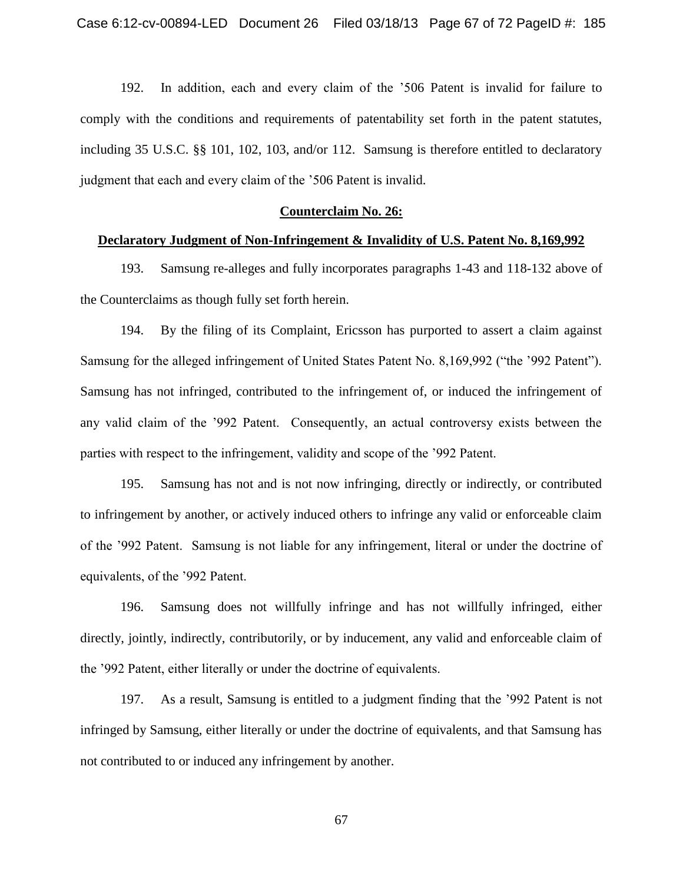192. In addition, each and every claim of the '506 Patent is invalid for failure to comply with the conditions and requirements of patentability set forth in the patent statutes, including 35 U.S.C. §§ 101, 102, 103, and/or 112. Samsung is therefore entitled to declaratory judgment that each and every claim of the '506 Patent is invalid.

# **Counterclaim No. 26:**

# **Declaratory Judgment of Non-Infringement & Invalidity of U.S. Patent No. 8,169,992**

193. Samsung re-alleges and fully incorporates paragraphs 1-43 and 118-132 above of the Counterclaims as though fully set forth herein.

194. By the filing of its Complaint, Ericsson has purported to assert a claim against Samsung for the alleged infringement of United States Patent No. 8,169,992 ("the '992 Patent"). Samsung has not infringed, contributed to the infringement of, or induced the infringement of any valid claim of the '992 Patent. Consequently, an actual controversy exists between the parties with respect to the infringement, validity and scope of the '992 Patent.

195. Samsung has not and is not now infringing, directly or indirectly, or contributed to infringement by another, or actively induced others to infringe any valid or enforceable claim of the '992 Patent. Samsung is not liable for any infringement, literal or under the doctrine of equivalents, of the '992 Patent.

196. Samsung does not willfully infringe and has not willfully infringed, either directly, jointly, indirectly, contributorily, or by inducement, any valid and enforceable claim of the '992 Patent, either literally or under the doctrine of equivalents.

197. As a result, Samsung is entitled to a judgment finding that the '992 Patent is not infringed by Samsung, either literally or under the doctrine of equivalents, and that Samsung has not contributed to or induced any infringement by another.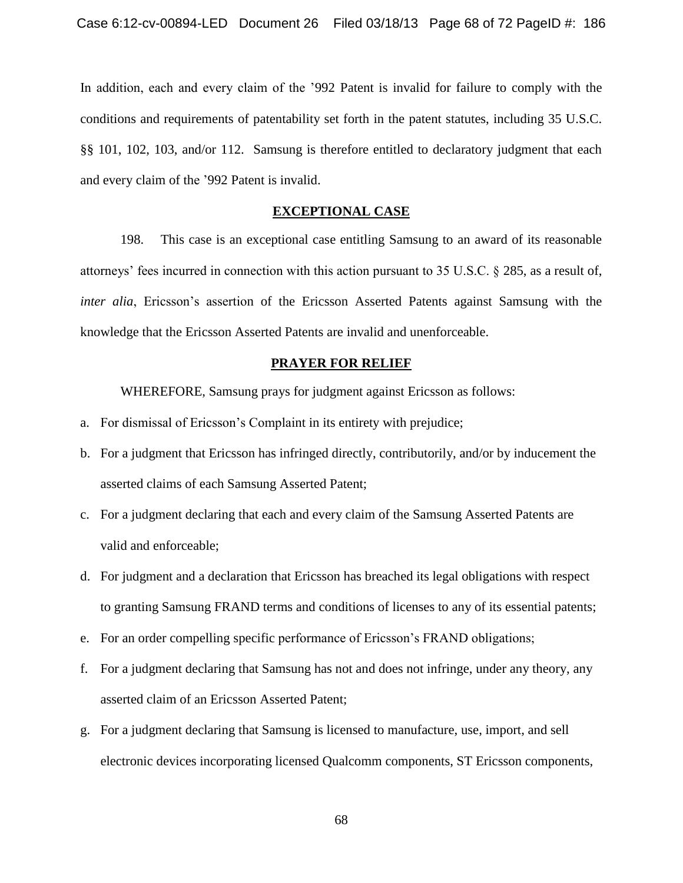In addition, each and every claim of the '992 Patent is invalid for failure to comply with the conditions and requirements of patentability set forth in the patent statutes, including 35 U.S.C. §§ 101, 102, 103, and/or 112. Samsung is therefore entitled to declaratory judgment that each and every claim of the '992 Patent is invalid.

# **EXCEPTIONAL CASE**

198. This case is an exceptional case entitling Samsung to an award of its reasonable attorneys' fees incurred in connection with this action pursuant to 35 U.S.C. § 285, as a result of, *inter alia*, Ericsson's assertion of the Ericsson Asserted Patents against Samsung with the knowledge that the Ericsson Asserted Patents are invalid and unenforceable.

# **PRAYER FOR RELIEF**

WHEREFORE, Samsung prays for judgment against Ericsson as follows:

- a. For dismissal of Ericsson's Complaint in its entirety with prejudice;
- b. For a judgment that Ericsson has infringed directly, contributorily, and/or by inducement the asserted claims of each Samsung Asserted Patent;
- c. For a judgment declaring that each and every claim of the Samsung Asserted Patents are valid and enforceable;
- d. For judgment and a declaration that Ericsson has breached its legal obligations with respect to granting Samsung FRAND terms and conditions of licenses to any of its essential patents;
- e. For an order compelling specific performance of Ericsson's FRAND obligations;
- f. For a judgment declaring that Samsung has not and does not infringe, under any theory, any asserted claim of an Ericsson Asserted Patent;
- g. For a judgment declaring that Samsung is licensed to manufacture, use, import, and sell electronic devices incorporating licensed Qualcomm components, ST Ericsson components,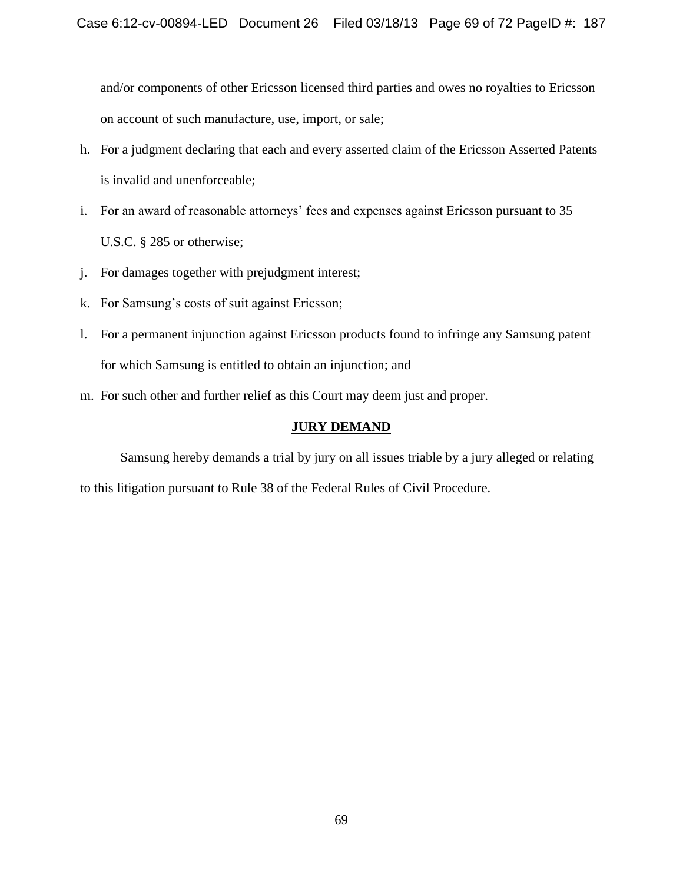and/or components of other Ericsson licensed third parties and owes no royalties to Ericsson on account of such manufacture, use, import, or sale;

- h. For a judgment declaring that each and every asserted claim of the Ericsson Asserted Patents is invalid and unenforceable;
- i. For an award of reasonable attorneys' fees and expenses against Ericsson pursuant to 35 U.S.C. § 285 or otherwise;
- j. For damages together with prejudgment interest;
- k. For Samsung's costs of suit against Ericsson;
- l. For a permanent injunction against Ericsson products found to infringe any Samsung patent for which Samsung is entitled to obtain an injunction; and
- m. For such other and further relief as this Court may deem just and proper.

# **JURY DEMAND**

Samsung hereby demands a trial by jury on all issues triable by a jury alleged or relating to this litigation pursuant to Rule 38 of the Federal Rules of Civil Procedure.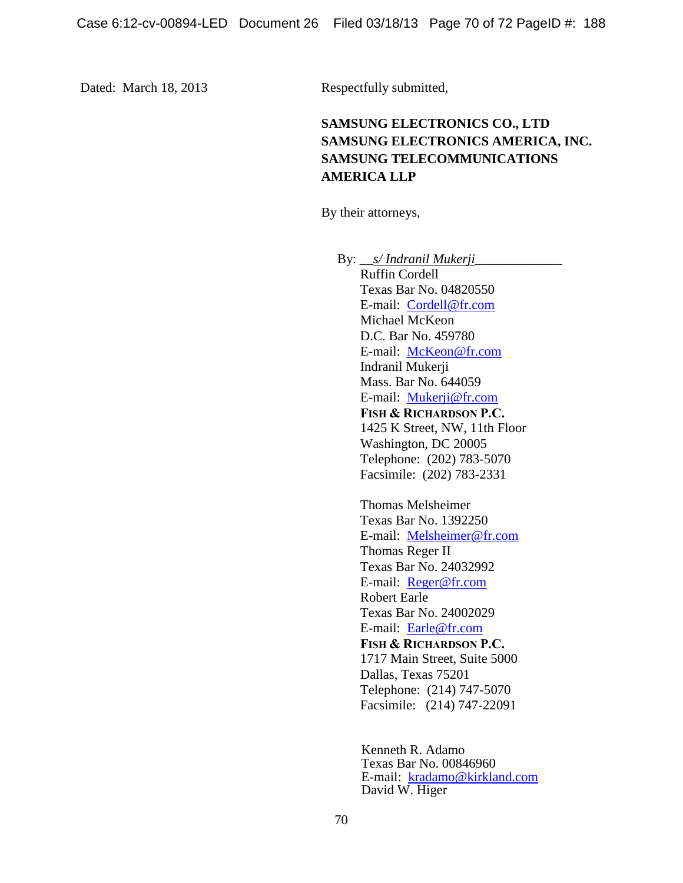Dated: March 18, 2013 Respectfully submitted,

# **SAMSUNG ELECTRONICS CO., LTD SAMSUNG ELECTRONICS AMERICA, INC. SAMSUNG TELECOMMUNICATIONS AMERICA LLP**

By their attorneys,

By: *\_\_\_\_\_s/ Indranil Mukerji\_\_\_* Ruffin Cordell Texas Bar No. 04820550 E-mail: [Cordell@fr.com](mailto:Cordell@fr.com) Michael McKeon D.C. Bar No. 459780 E-mail: [McKeon@fr.com](mailto:McKeon@fr.com) Indranil Mukerji Mass. Bar No. 644059 E-mail: [Mukerji@fr.com](mailto:Colaianni@fr.com) **FISH & RICHARDSON P.C.** 1425 K Street, NW, 11th Floor Washington, DC 20005 Telephone: (202) 783-5070 Facsimile: (202) 783-2331 Thomas Melsheimer Texas Bar No. 1392250 E-mail: [Melsheimer@fr.com](mailto:Melsheimer@fr.com) Thomas Reger II Texas Bar No. 24032992 E-mail: [Reger@fr.com](mailto:Reger@fr.com) Robert Earle Texas Bar No. 24002029 E-mail: [Earle@fr.com](mailto:Earle@fr.com) **FISH & RICHARDSON P.C.** 1717 Main Street, Suite 5000 Dallas, Texas 75201 Telephone: (214) 747-5070 Facsimile: (214) 747-22091

> Kenneth R. Adamo Texas Bar No. 00846960 E-mail: [kradamo@kirkland.com](mailto:kradamo@kirkland.com) David W. Higer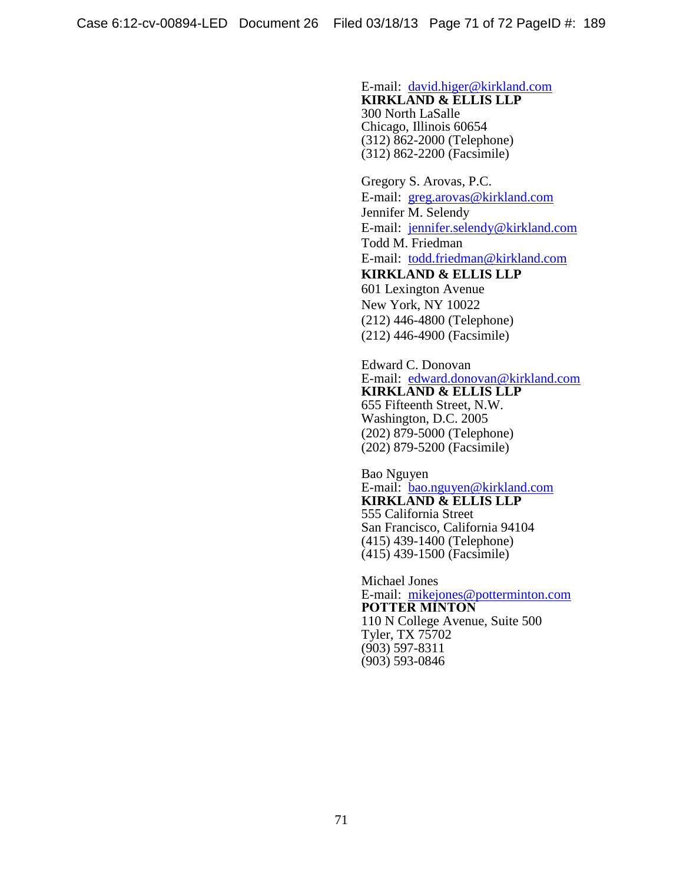#### E-mail: [david.higer@kirkland.com](mailto:david.higer@kirkland.com) **KIRKLAND & ELLIS LLP** 300 North LaSalle Chicago, Illinois 60654

(312) 862-2000 (Telephone) (312) 862-2200 (Facsimile)

Gregory S. Arovas, P.C. E-mail: [greg.arovas@kirkland.com](mailto:greg.arovas@kirkland.com) Jennifer M. Selendy E-mail: [jennifer.selendy@kirkland.com](mailto:jennifer.selendy@kirkland.com) Todd M. Friedman E-mail: [todd.friedman@kirkland.com](mailto:todd.friedman@kirkland.com)

# **KIRKLAND & ELLIS LLP** 601 Lexington Avenue New York, NY 10022 (212) 446-4800 (Telephone) (212) 446-4900 (Facsimile)

Edward C. Donovan E-mail: [edward.donovan@kirkland.com](mailto:edward.donovan@kirkland.com) **KIRKLAND & ELLIS LLP** 655 Fifteenth Street, N.W. Washington, D.C. 2005 (202) 879-5000 (Telephone) (202) 879-5200 (Facsimile)

Bao Nguyen E-mail: [bao.nguyen@kirkland.com](mailto:bao.nguyen@kirkland.com) **KIRKLAND & ELLIS LLP** 555 California Street San Francisco, California 94104 (415) 439-1400 (Telephone) (415) 439-1500 (Facsimile)

Michael Jones E-mail: [mikejones@potterminton.com](mailto:mikejones@potterminton.com) **POTTER MINTON** 110 N College Avenue, Suite 500 Tyler, TX 75702 (903) 597-8311 (903) 593-0846